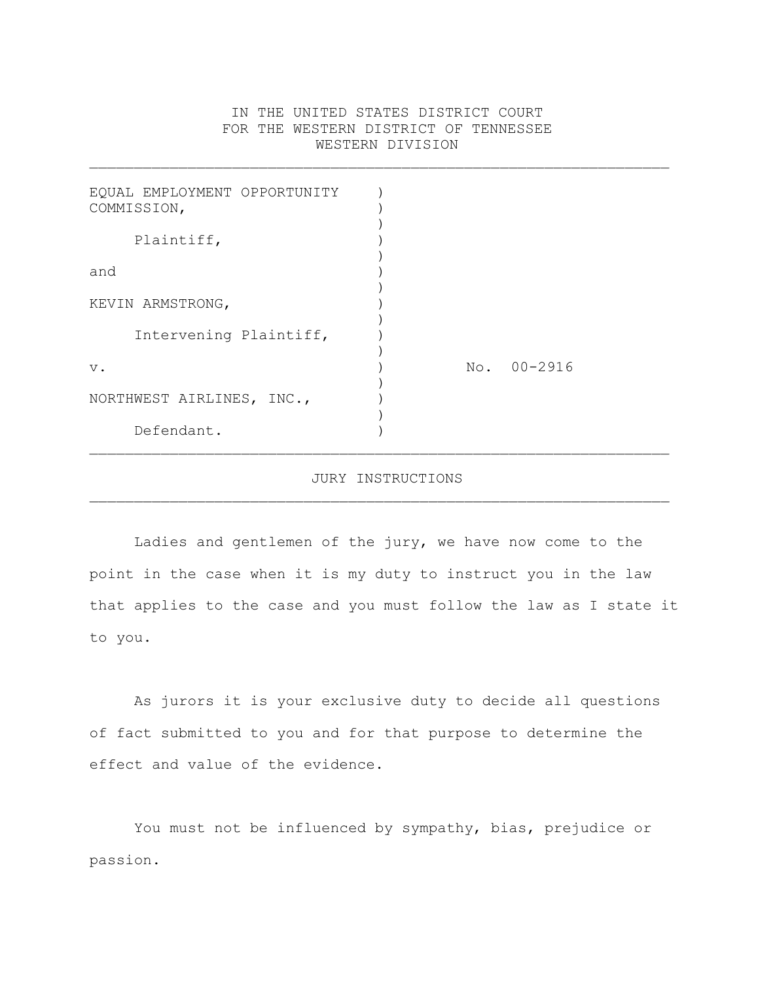# IN THE UNITED STATES DISTRICT COURT FOR THE WESTERN DISTRICT OF TENNESSEE WESTERN DIVISION

 $\mathcal{L}_\text{max} = \mathcal{L}_\text{max} = \mathcal{L}_\text{max} = \mathcal{L}_\text{max} = \mathcal{L}_\text{max} = \mathcal{L}_\text{max} = \mathcal{L}_\text{max} = \mathcal{L}_\text{max} = \mathcal{L}_\text{max} = \mathcal{L}_\text{max} = \mathcal{L}_\text{max} = \mathcal{L}_\text{max} = \mathcal{L}_\text{max} = \mathcal{L}_\text{max} = \mathcal{L}_\text{max} = \mathcal{L}_\text{max} = \mathcal{L}_\text{max} = \mathcal{L}_\text{max} = \mathcal{$ 

| EQUAL EMPLOYMENT OPPORTUNITY<br>COMMISSION, |             |
|---------------------------------------------|-------------|
| Plaintiff,                                  |             |
| and                                         |             |
| KEVIN ARMSTRONG,                            |             |
| Intervening Plaintiff,                      |             |
| $V$ .                                       | No. 00-2916 |
| NORTHWEST AIRLINES, INC.,                   |             |
| Defendant.                                  |             |
|                                             |             |

# JURY INSTRUCTIONS  $\mathcal{L}_\text{max} = \mathcal{L}_\text{max} = \mathcal{L}_\text{max} = \mathcal{L}_\text{max} = \mathcal{L}_\text{max} = \mathcal{L}_\text{max} = \mathcal{L}_\text{max} = \mathcal{L}_\text{max} = \mathcal{L}_\text{max} = \mathcal{L}_\text{max} = \mathcal{L}_\text{max} = \mathcal{L}_\text{max} = \mathcal{L}_\text{max} = \mathcal{L}_\text{max} = \mathcal{L}_\text{max} = \mathcal{L}_\text{max} = \mathcal{L}_\text{max} = \mathcal{L}_\text{max} = \mathcal{$

Ladies and gentlemen of the jury, we have now come to the point in the case when it is my duty to instruct you in the law that applies to the case and you must follow the law as I state it to you.

As jurors it is your exclusive duty to decide all questions of fact submitted to you and for that purpose to determine the effect and value of the evidence.

You must not be influenced by sympathy, bias, prejudice or passion.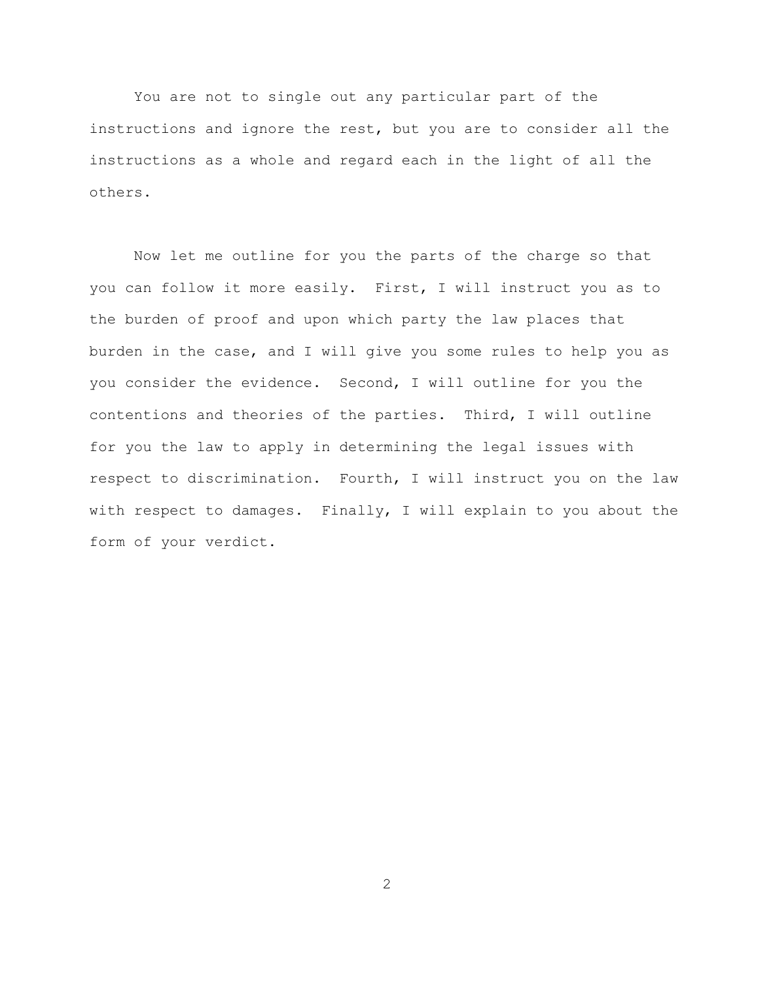You are not to single out any particular part of the instructions and ignore the rest, but you are to consider all the instructions as a whole and regard each in the light of all the others.

Now let me outline for you the parts of the charge so that you can follow it more easily. First, I will instruct you as to the burden of proof and upon which party the law places that burden in the case, and I will give you some rules to help you as you consider the evidence. Second, I will outline for you the contentions and theories of the parties. Third, I will outline for you the law to apply in determining the legal issues with respect to discrimination. Fourth, I will instruct you on the law with respect to damages. Finally, I will explain to you about the form of your verdict.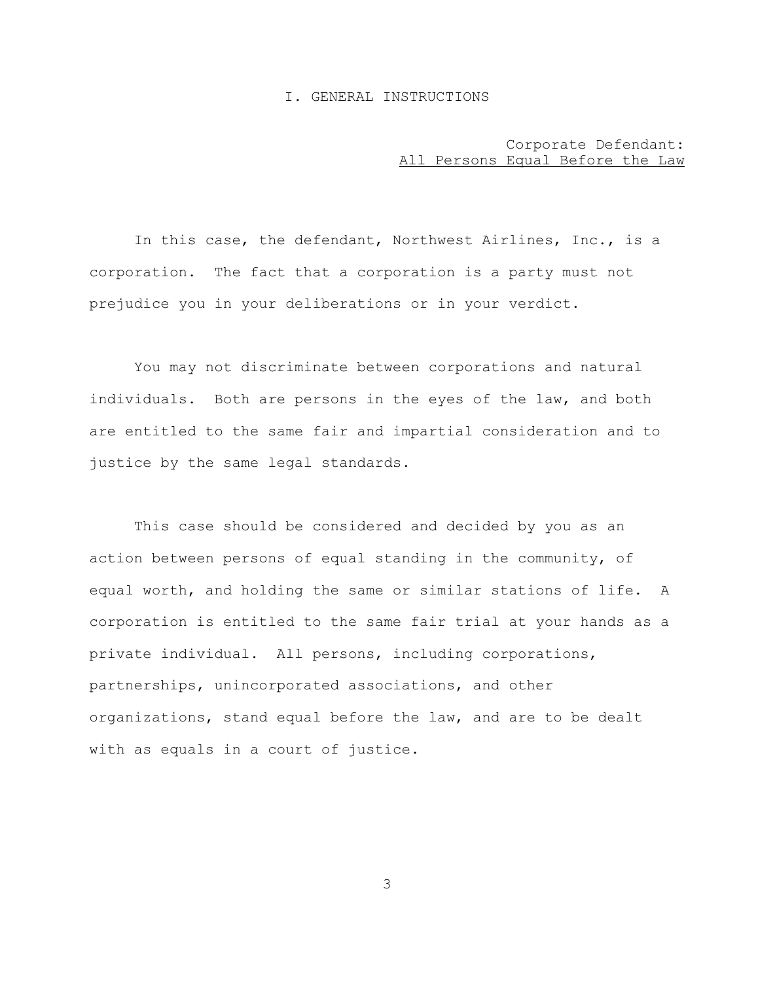### I. GENERAL INSTRUCTIONS

### Corporate Defendant: All Persons Equal Before the Law

In this case, the defendant, Northwest Airlines, Inc., is a corporation. The fact that a corporation is a party must not prejudice you in your deliberations or in your verdict.

You may not discriminate between corporations and natural individuals. Both are persons in the eyes of the law, and both are entitled to the same fair and impartial consideration and to justice by the same legal standards.

This case should be considered and decided by you as an action between persons of equal standing in the community, of equal worth, and holding the same or similar stations of life. A corporation is entitled to the same fair trial at your hands as a private individual. All persons, including corporations, partnerships, unincorporated associations, and other organizations, stand equal before the law, and are to be dealt with as equals in a court of justice.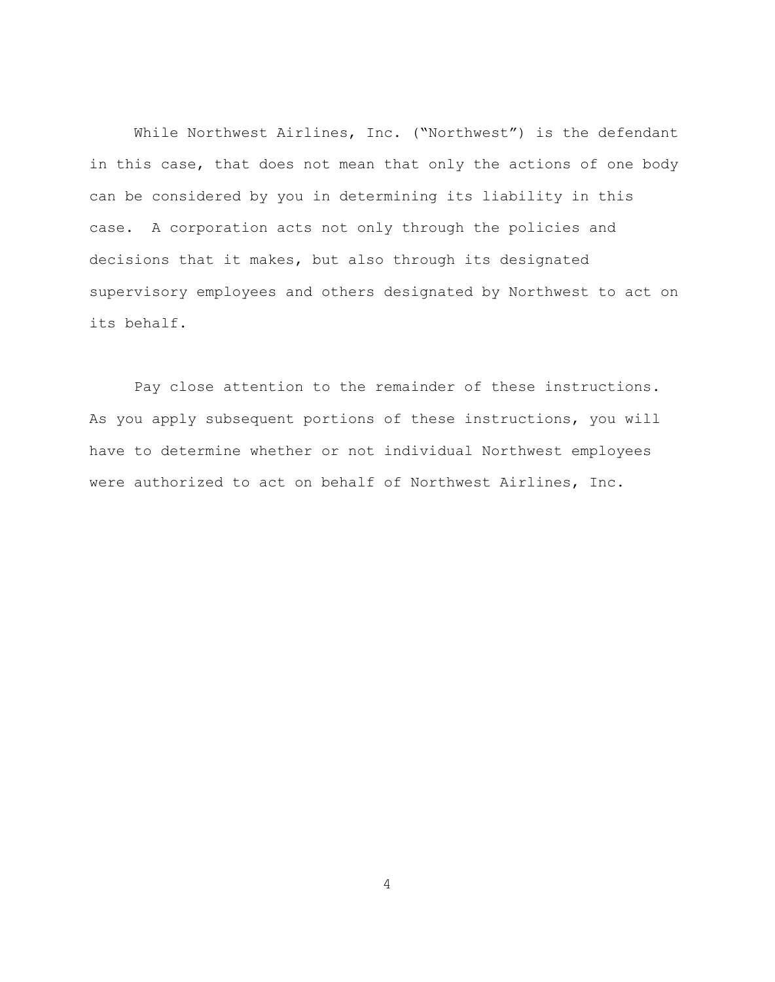While Northwest Airlines, Inc. ("Northwest") is the defendant in this case, that does not mean that only the actions of one body can be considered by you in determining its liability in this case. A corporation acts not only through the policies and decisions that it makes, but also through its designated supervisory employees and others designated by Northwest to act on its behalf.

Pay close attention to the remainder of these instructions. As you apply subsequent portions of these instructions, you will have to determine whether or not individual Northwest employees were authorized to act on behalf of Northwest Airlines, Inc.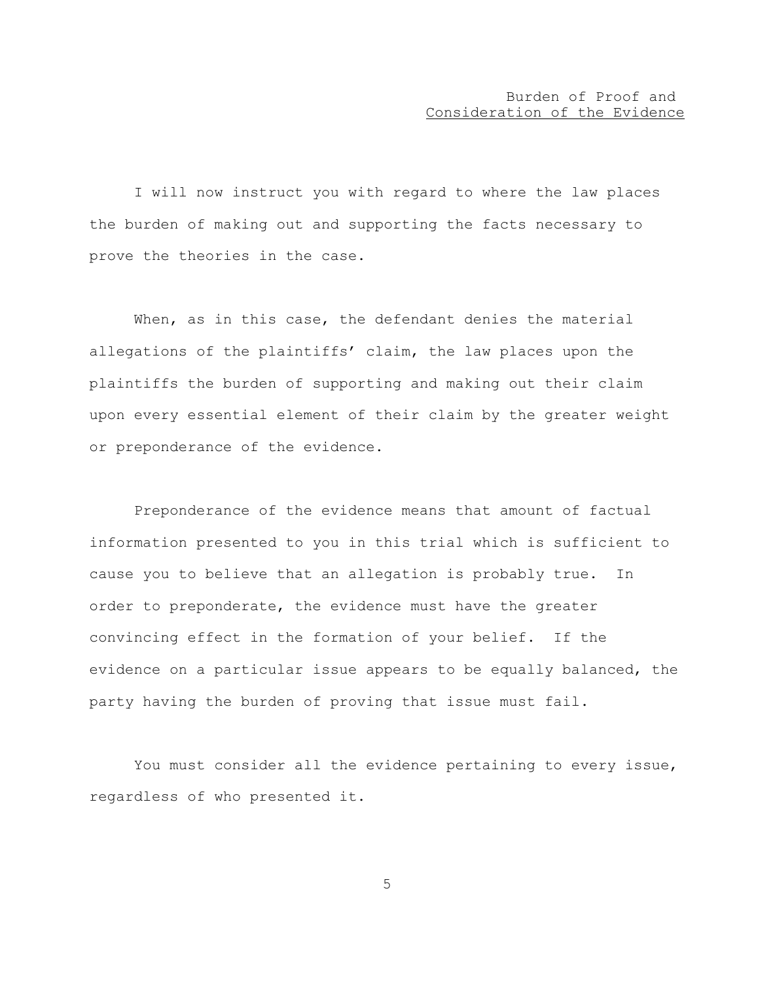I will now instruct you with regard to where the law places the burden of making out and supporting the facts necessary to prove the theories in the case.

When, as in this case, the defendant denies the material allegations of the plaintiffs' claim, the law places upon the plaintiffs the burden of supporting and making out their claim upon every essential element of their claim by the greater weight or preponderance of the evidence.

Preponderance of the evidence means that amount of factual information presented to you in this trial which is sufficient to cause you to believe that an allegation is probably true. In order to preponderate, the evidence must have the greater convincing effect in the formation of your belief. If the evidence on a particular issue appears to be equally balanced, the party having the burden of proving that issue must fail.

You must consider all the evidence pertaining to every issue, regardless of who presented it.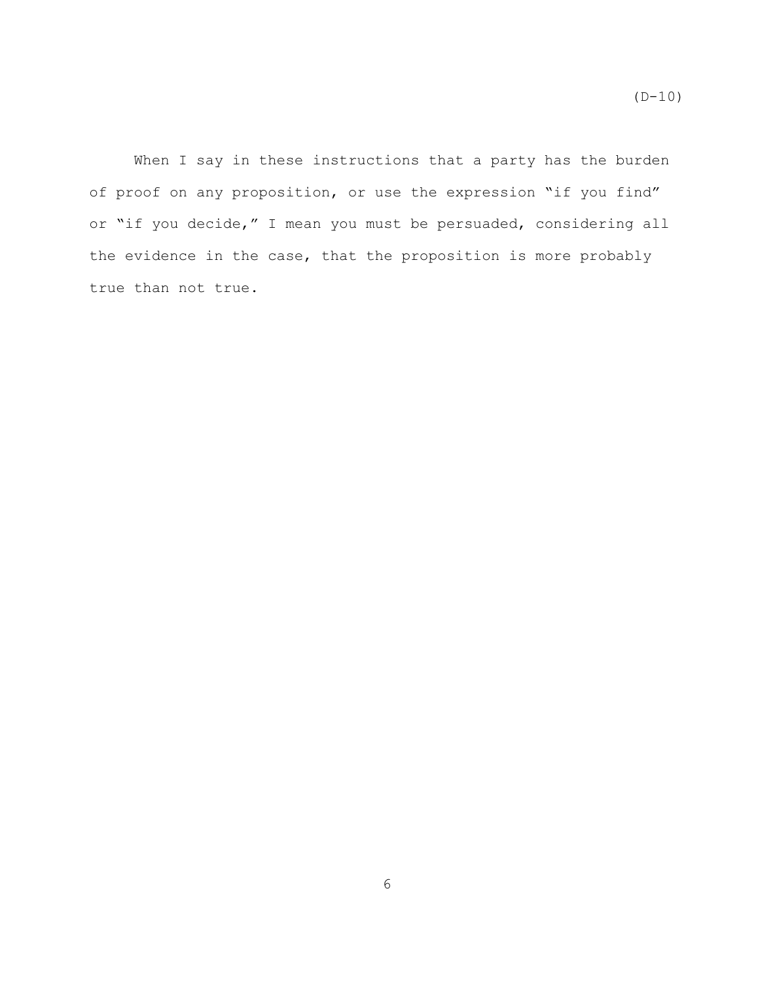When I say in these instructions that a party has the burden of proof on any proposition, or use the expression "if you find" or "if you decide," I mean you must be persuaded, considering all the evidence in the case, that the proposition is more probably true than not true.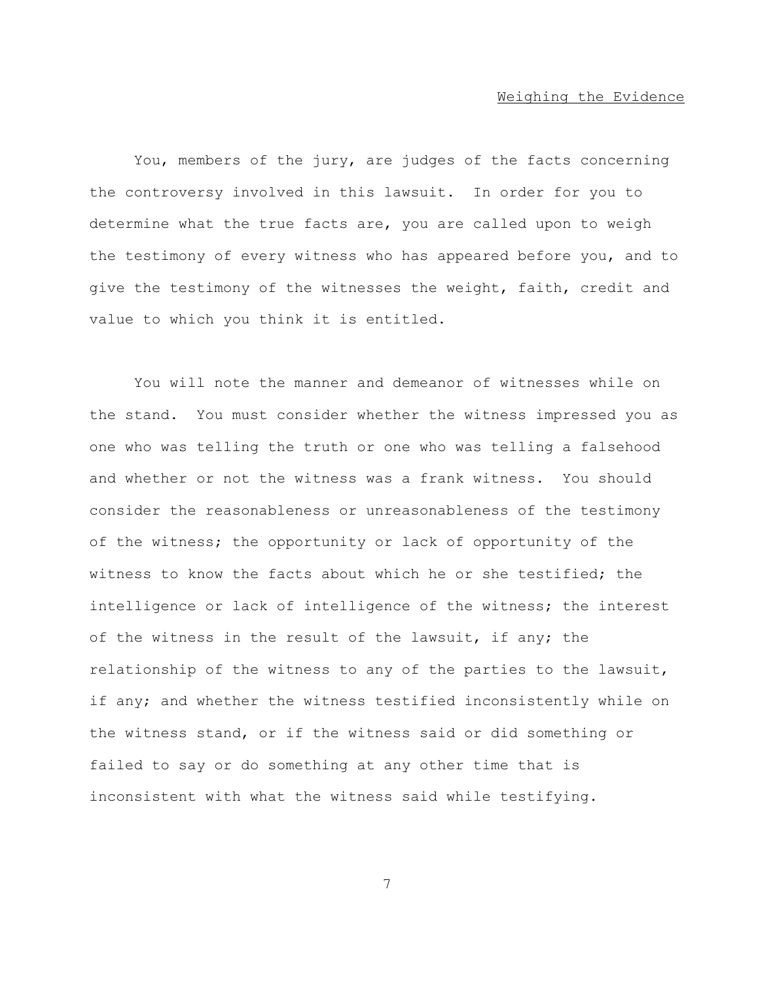### Weighing the Evidence

You, members of the jury, are judges of the facts concerning the controversy involved in this lawsuit. In order for you to determine what the true facts are, you are called upon to weigh the testimony of every witness who has appeared before you, and to give the testimony of the witnesses the weight, faith, credit and value to which you think it is entitled.

You will note the manner and demeanor of witnesses while on the stand. You must consider whether the witness impressed you as one who was telling the truth or one who was telling a falsehood and whether or not the witness was a frank witness. You should consider the reasonableness or unreasonableness of the testimony of the witness; the opportunity or lack of opportunity of the witness to know the facts about which he or she testified; the intelligence or lack of intelligence of the witness; the interest of the witness in the result of the lawsuit, if any; the relationship of the witness to any of the parties to the lawsuit, if any; and whether the witness testified inconsistently while on the witness stand, or if the witness said or did something or failed to say or do something at any other time that is inconsistent with what the witness said while testifying.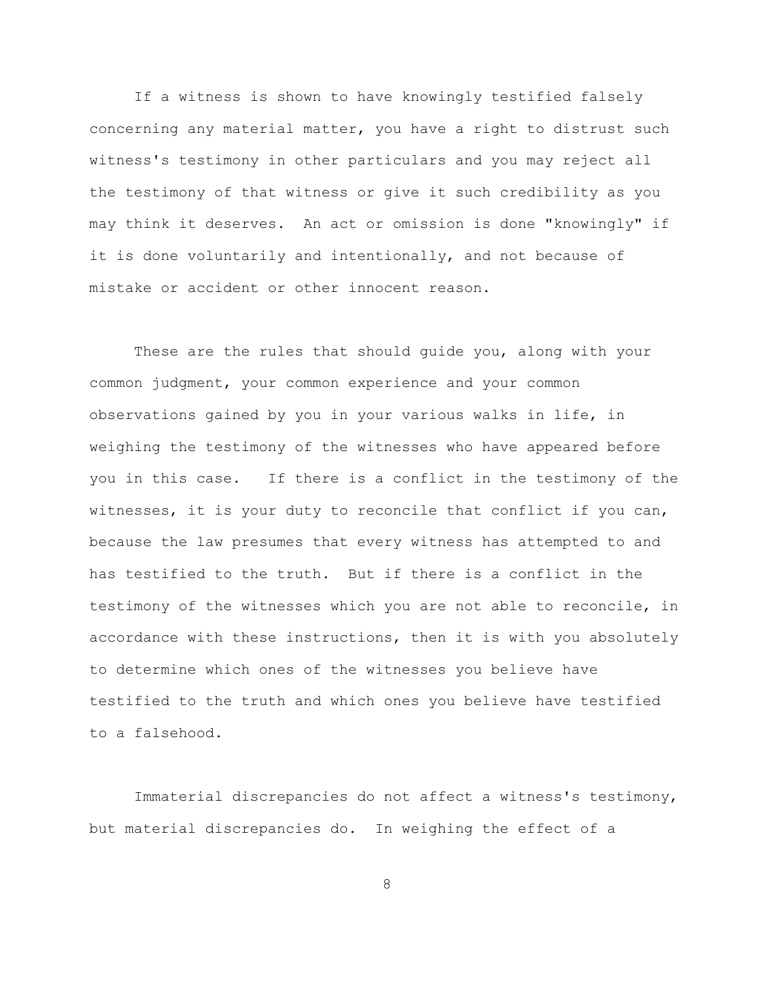If a witness is shown to have knowingly testified falsely concerning any material matter, you have a right to distrust such witness's testimony in other particulars and you may reject all the testimony of that witness or give it such credibility as you may think it deserves. An act or omission is done "knowingly" if it is done voluntarily and intentionally, and not because of mistake or accident or other innocent reason.

These are the rules that should guide you, along with your common judgment, your common experience and your common observations gained by you in your various walks in life, in weighing the testimony of the witnesses who have appeared before you in this case. If there is a conflict in the testimony of the witnesses, it is your duty to reconcile that conflict if you can, because the law presumes that every witness has attempted to and has testified to the truth. But if there is a conflict in the testimony of the witnesses which you are not able to reconcile, in accordance with these instructions, then it is with you absolutely to determine which ones of the witnesses you believe have testified to the truth and which ones you believe have testified to a falsehood.

Immaterial discrepancies do not affect a witness's testimony, but material discrepancies do. In weighing the effect of a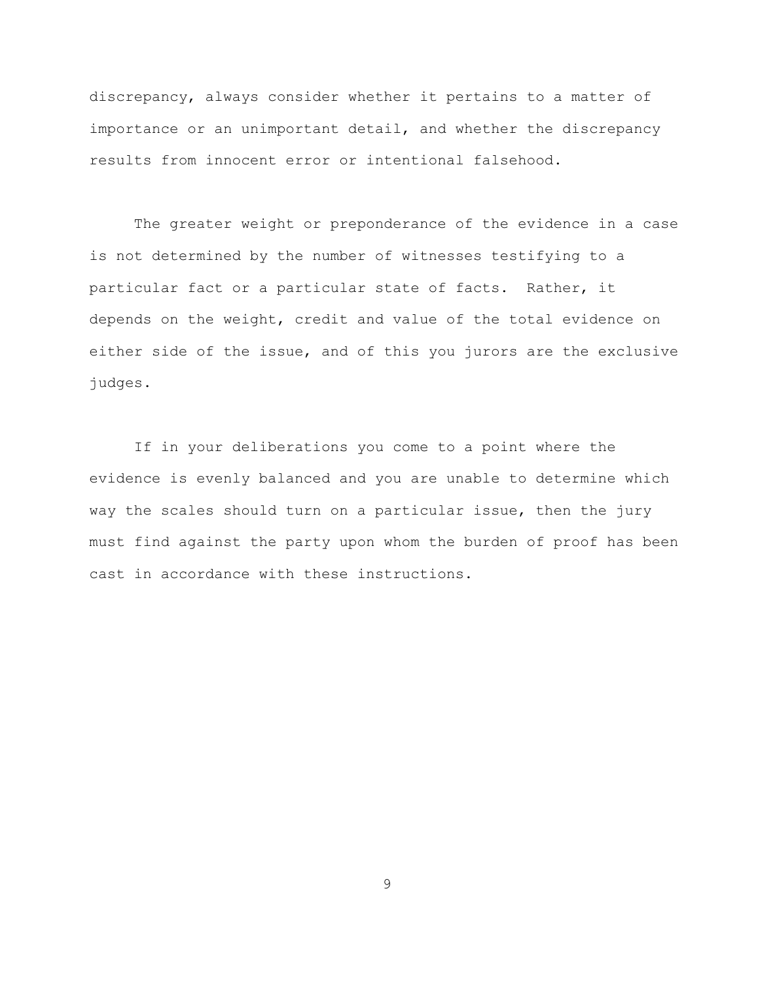discrepancy, always consider whether it pertains to a matter of importance or an unimportant detail, and whether the discrepancy results from innocent error or intentional falsehood.

The greater weight or preponderance of the evidence in a case is not determined by the number of witnesses testifying to a particular fact or a particular state of facts. Rather, it depends on the weight, credit and value of the total evidence on either side of the issue, and of this you jurors are the exclusive judges.

If in your deliberations you come to a point where the evidence is evenly balanced and you are unable to determine which way the scales should turn on a particular issue, then the jury must find against the party upon whom the burden of proof has been cast in accordance with these instructions.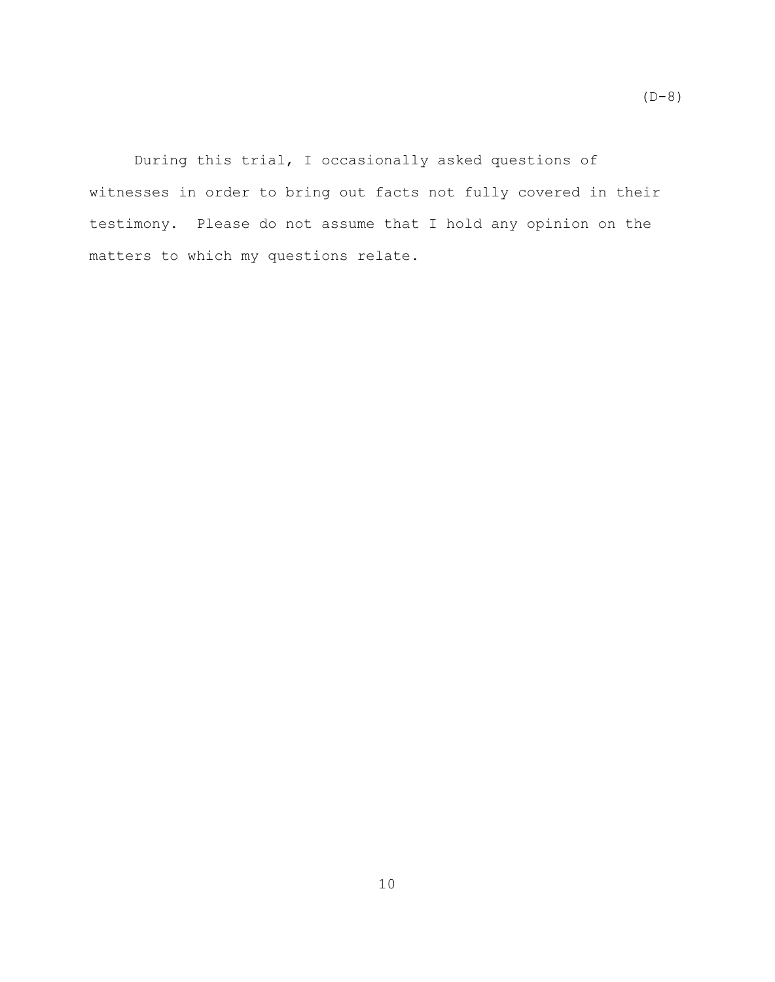During this trial, I occasionally asked questions of witnesses in order to bring out facts not fully covered in their

testimony. Please do not assume that I hold any opinion on the matters to which my questions relate.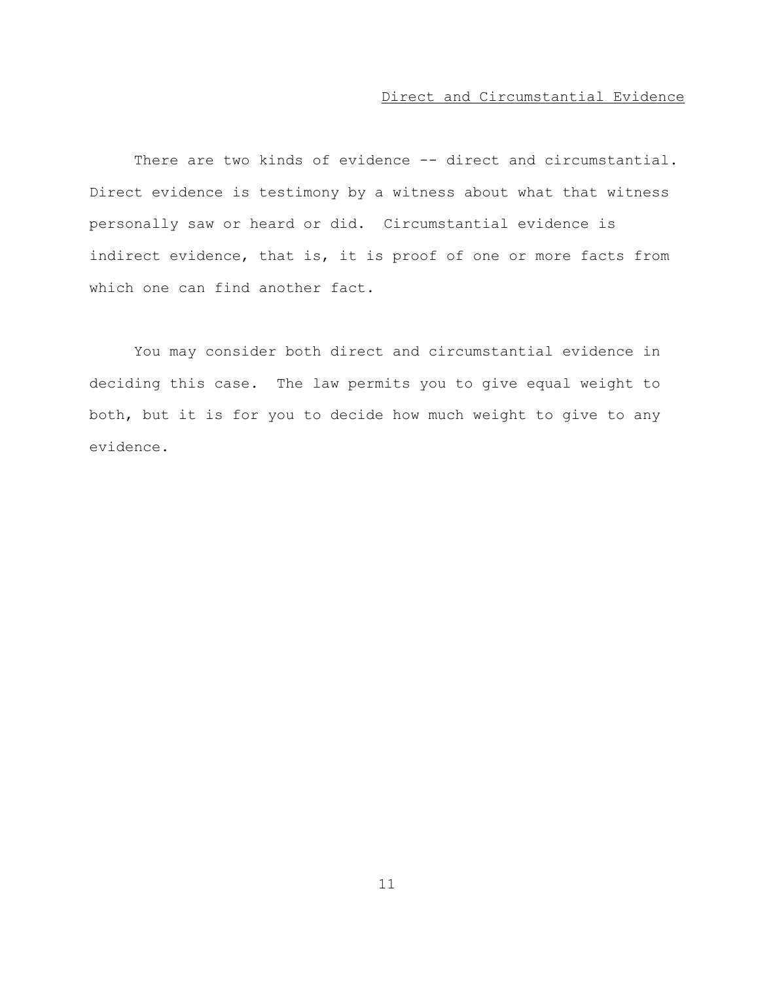# Direct and Circumstantial Evidence

There are two kinds of evidence -- direct and circumstantial. Direct evidence is testimony by a witness about what that witness personally saw or heard or did. Circumstantial evidence is indirect evidence, that is, it is proof of one or more facts from which one can find another fact.

You may consider both direct and circumstantial evidence in deciding this case. The law permits you to give equal weight to both, but it is for you to decide how much weight to give to any evidence.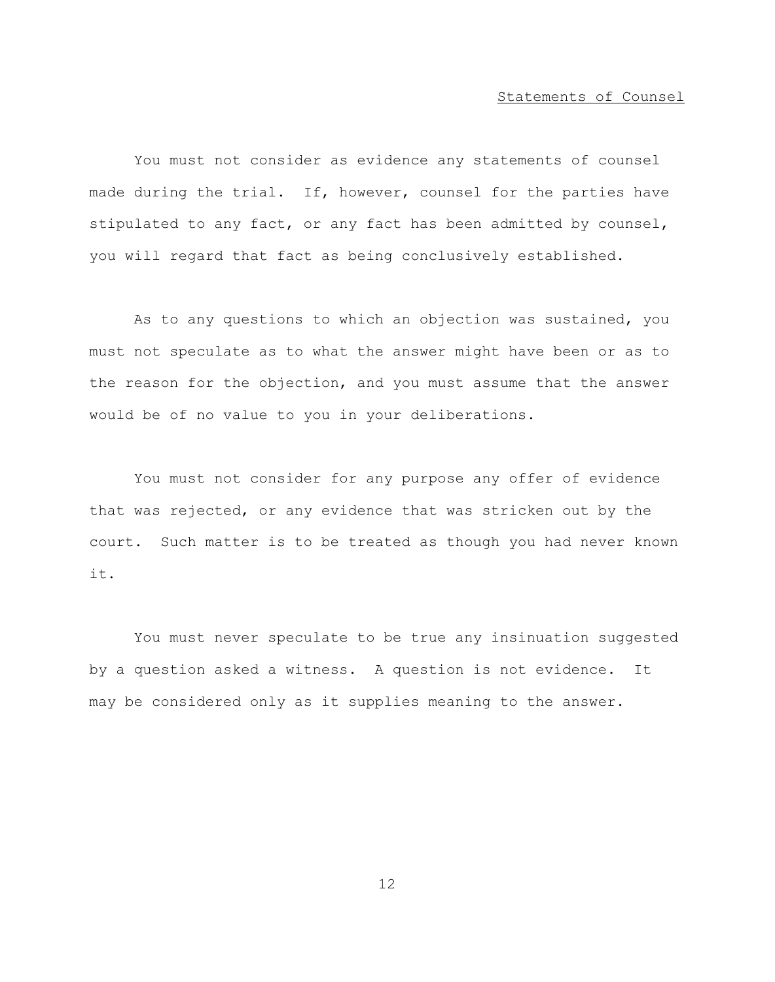### Statements of Counsel

You must not consider as evidence any statements of counsel made during the trial. If, however, counsel for the parties have stipulated to any fact, or any fact has been admitted by counsel, you will regard that fact as being conclusively established.

As to any questions to which an objection was sustained, you must not speculate as to what the answer might have been or as to the reason for the objection, and you must assume that the answer would be of no value to you in your deliberations.

You must not consider for any purpose any offer of evidence that was rejected, or any evidence that was stricken out by the court. Such matter is to be treated as though you had never known it.

You must never speculate to be true any insinuation suggested by a question asked a witness. A question is not evidence. It may be considered only as it supplies meaning to the answer.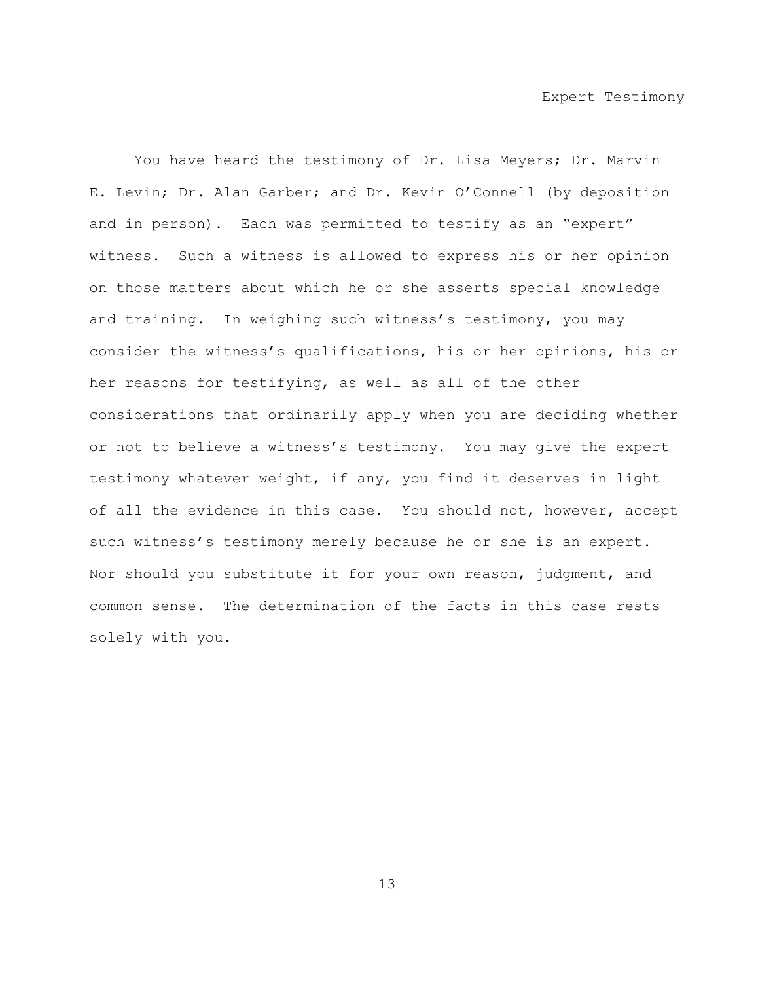### Expert Testimony

You have heard the testimony of Dr. Lisa Meyers; Dr. Marvin E. Levin; Dr. Alan Garber; and Dr. Kevin O'Connell (by deposition and in person). Each was permitted to testify as an "expert" witness. Such a witness is allowed to express his or her opinion on those matters about which he or she asserts special knowledge and training. In weighing such witness's testimony, you may consider the witness's qualifications, his or her opinions, his or her reasons for testifying, as well as all of the other considerations that ordinarily apply when you are deciding whether or not to believe a witness's testimony. You may give the expert testimony whatever weight, if any, you find it deserves in light of all the evidence in this case. You should not, however, accept such witness's testimony merely because he or she is an expert. Nor should you substitute it for your own reason, judgment, and common sense. The determination of the facts in this case rests solely with you.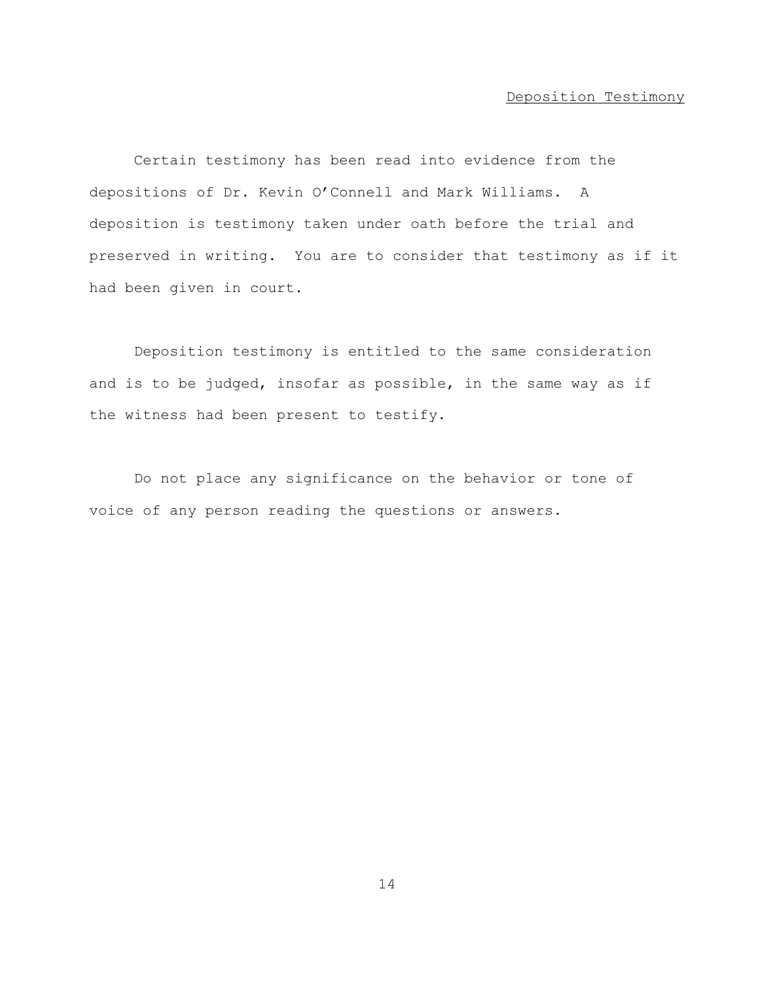# Deposition Testimony

Certain testimony has been read into evidence from the depositions of Dr. Kevin O'Connell and Mark Williams. A deposition is testimony taken under oath before the trial and preserved in writing. You are to consider that testimony as if it had been given in court.

Deposition testimony is entitled to the same consideration and is to be judged, insofar as possible, in the same way as if the witness had been present to testify.

Do not place any significance on the behavior or tone of voice of any person reading the questions or answers.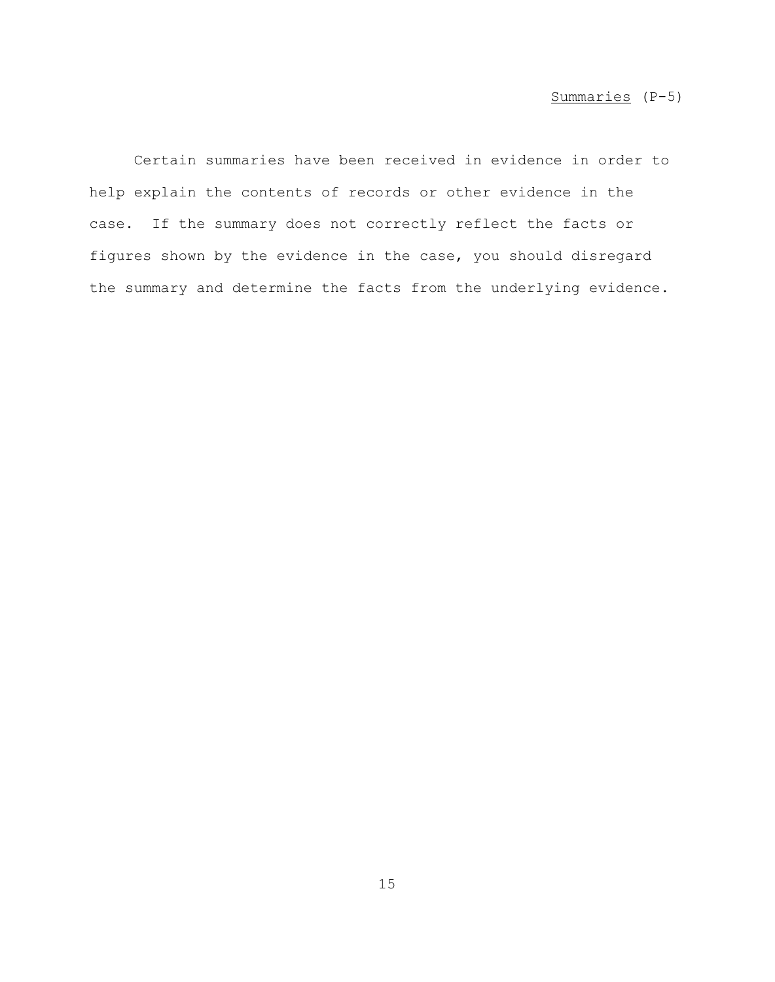Certain summaries have been received in evidence in order to help explain the contents of records or other evidence in the case. If the summary does not correctly reflect the facts or figures shown by the evidence in the case, you should disregard the summary and determine the facts from the underlying evidence.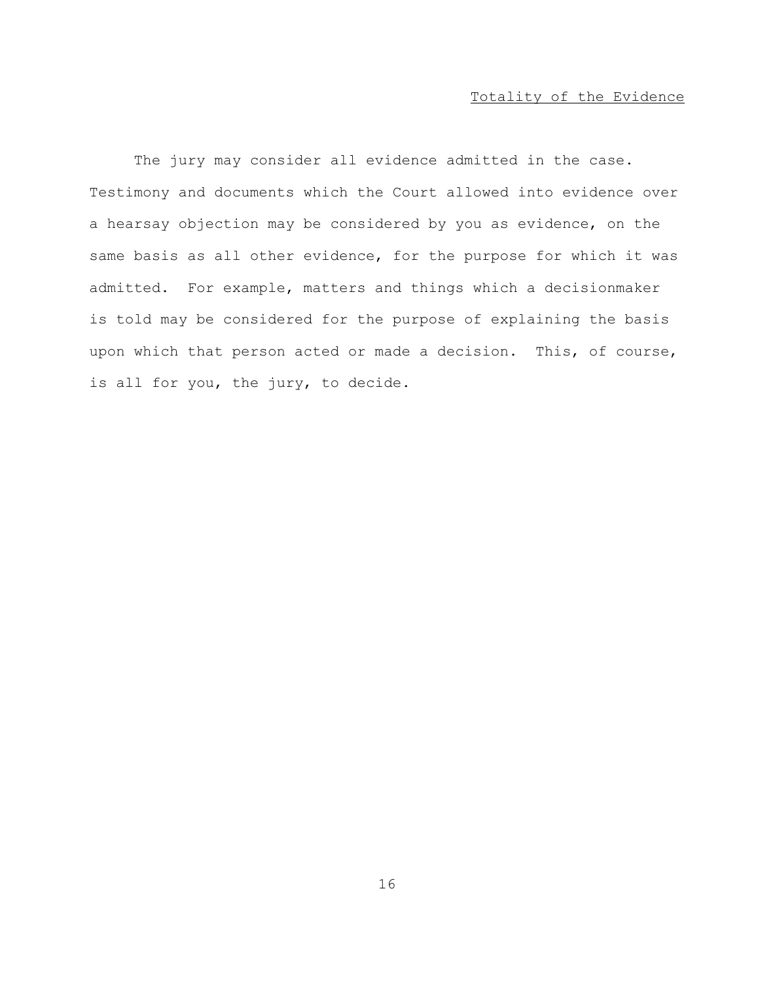# Totality of the Evidence

The jury may consider all evidence admitted in the case. Testimony and documents which the Court allowed into evidence over a hearsay objection may be considered by you as evidence, on the same basis as all other evidence, for the purpose for which it was admitted. For example, matters and things which a decisionmaker is told may be considered for the purpose of explaining the basis upon which that person acted or made a decision. This, of course, is all for you, the jury, to decide.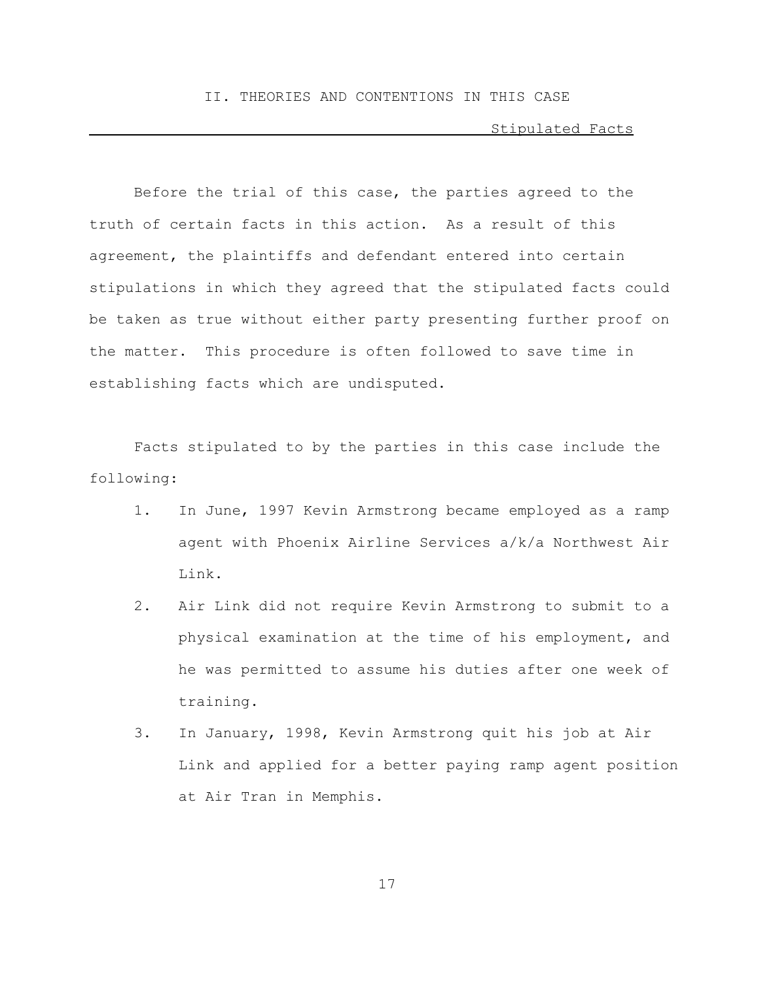#### Stipulated Facts

Before the trial of this case, the parties agreed to the truth of certain facts in this action. As a result of this agreement, the plaintiffs and defendant entered into certain stipulations in which they agreed that the stipulated facts could be taken as true without either party presenting further proof on the matter. This procedure is often followed to save time in establishing facts which are undisputed.

Facts stipulated to by the parties in this case include the following:

- 1. In June, 1997 Kevin Armstrong became employed as a ramp agent with Phoenix Airline Services a/k/a Northwest Air Link.
- 2. Air Link did not require Kevin Armstrong to submit to a physical examination at the time of his employment, and he was permitted to assume his duties after one week of training.
- 3. In January, 1998, Kevin Armstrong quit his job at Air Link and applied for a better paying ramp agent position at Air Tran in Memphis.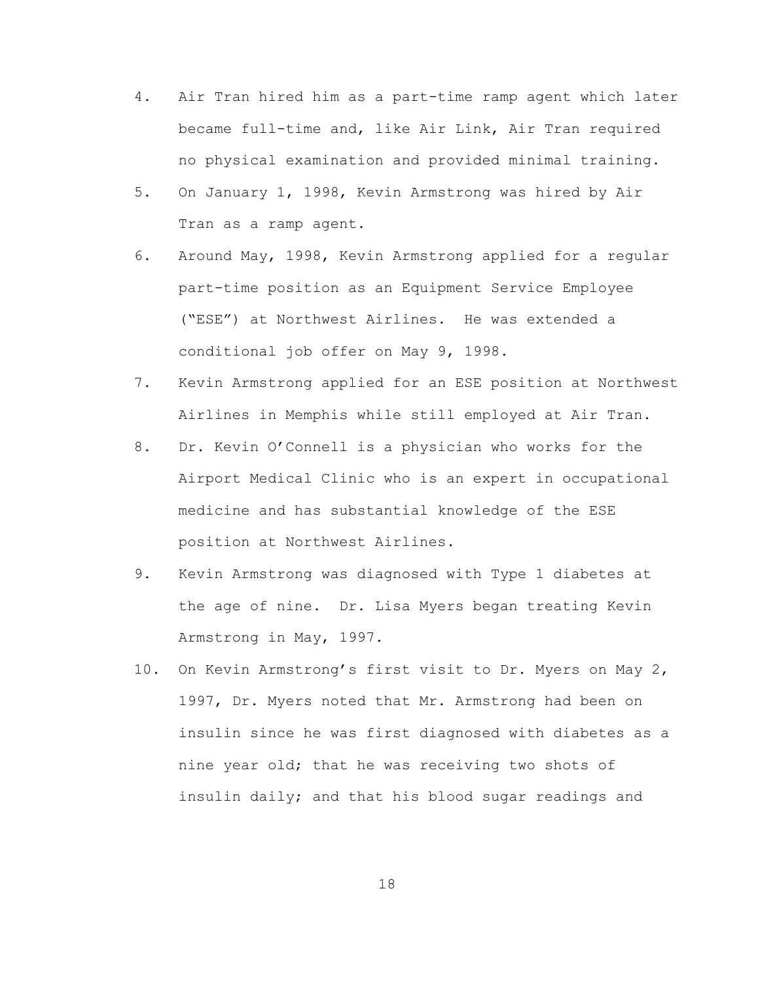- 4. Air Tran hired him as a part-time ramp agent which later became full-time and, like Air Link, Air Tran required no physical examination and provided minimal training.
- 5. On January 1, 1998, Kevin Armstrong was hired by Air Tran as a ramp agent.
- 6. Around May, 1998, Kevin Armstrong applied for a regular part-time position as an Equipment Service Employee ("ESE") at Northwest Airlines. He was extended a conditional job offer on May 9, 1998.
- 7. Kevin Armstrong applied for an ESE position at Northwest Airlines in Memphis while still employed at Air Tran.
- 8. Dr. Kevin O'Connell is a physician who works for the Airport Medical Clinic who is an expert in occupational medicine and has substantial knowledge of the ESE position at Northwest Airlines.
- 9. Kevin Armstrong was diagnosed with Type 1 diabetes at the age of nine. Dr. Lisa Myers began treating Kevin Armstrong in May, 1997.
- 10. On Kevin Armstrong's first visit to Dr. Myers on May 2, 1997, Dr. Myers noted that Mr. Armstrong had been on insulin since he was first diagnosed with diabetes as a nine year old; that he was receiving two shots of insulin daily; and that his blood sugar readings and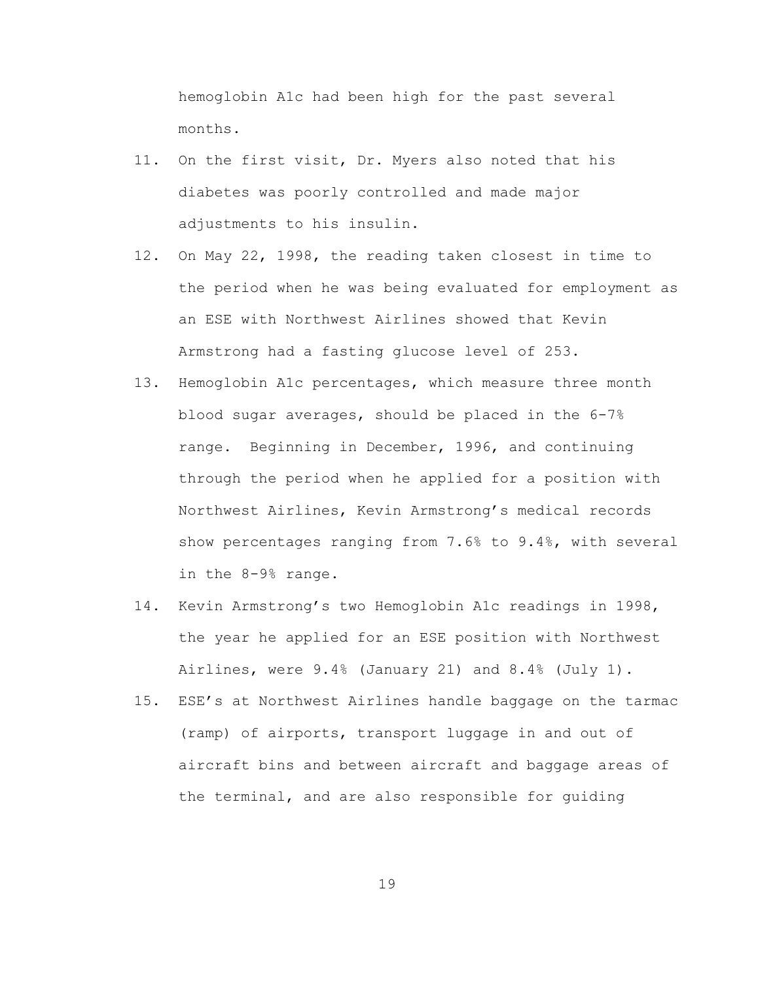hemoglobin A1c had been high for the past several months.

- 11. On the first visit, Dr. Myers also noted that his diabetes was poorly controlled and made major adjustments to his insulin.
- 12. On May 22, 1998, the reading taken closest in time to the period when he was being evaluated for employment as an ESE with Northwest Airlines showed that Kevin Armstrong had a fasting glucose level of 253.
- 13. Hemoglobin A1c percentages, which measure three month blood sugar averages, should be placed in the 6-7% range. Beginning in December, 1996, and continuing through the period when he applied for a position with Northwest Airlines, Kevin Armstrong's medical records show percentages ranging from 7.6% to 9.4%, with several in the 8-9% range.
- 14. Kevin Armstrong's two Hemoglobin A1c readings in 1998, the year he applied for an ESE position with Northwest Airlines, were 9.4% (January 21) and 8.4% (July 1).
- 15. ESE's at Northwest Airlines handle baggage on the tarmac (ramp) of airports, transport luggage in and out of aircraft bins and between aircraft and baggage areas of the terminal, and are also responsible for guiding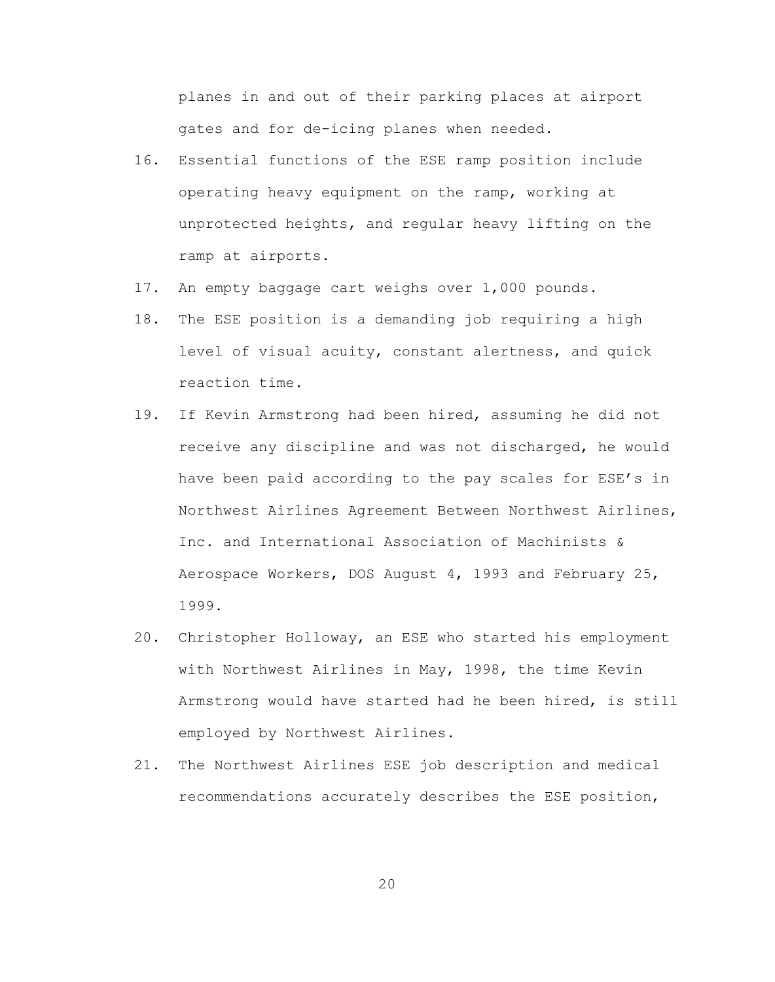planes in and out of their parking places at airport gates and for de-icing planes when needed.

- 16. Essential functions of the ESE ramp position include operating heavy equipment on the ramp, working at unprotected heights, and regular heavy lifting on the ramp at airports.
- 17. An empty baggage cart weighs over 1,000 pounds.
- 18. The ESE position is a demanding job requiring a high level of visual acuity, constant alertness, and quick reaction time.
- 19. If Kevin Armstrong had been hired, assuming he did not receive any discipline and was not discharged, he would have been paid according to the pay scales for ESE's in Northwest Airlines Agreement Between Northwest Airlines, Inc. and International Association of Machinists & Aerospace Workers, DOS August 4, 1993 and February 25, 1999.
- 20. Christopher Holloway, an ESE who started his employment with Northwest Airlines in May, 1998, the time Kevin Armstrong would have started had he been hired, is still employed by Northwest Airlines.
- 21. The Northwest Airlines ESE job description and medical recommendations accurately describes the ESE position,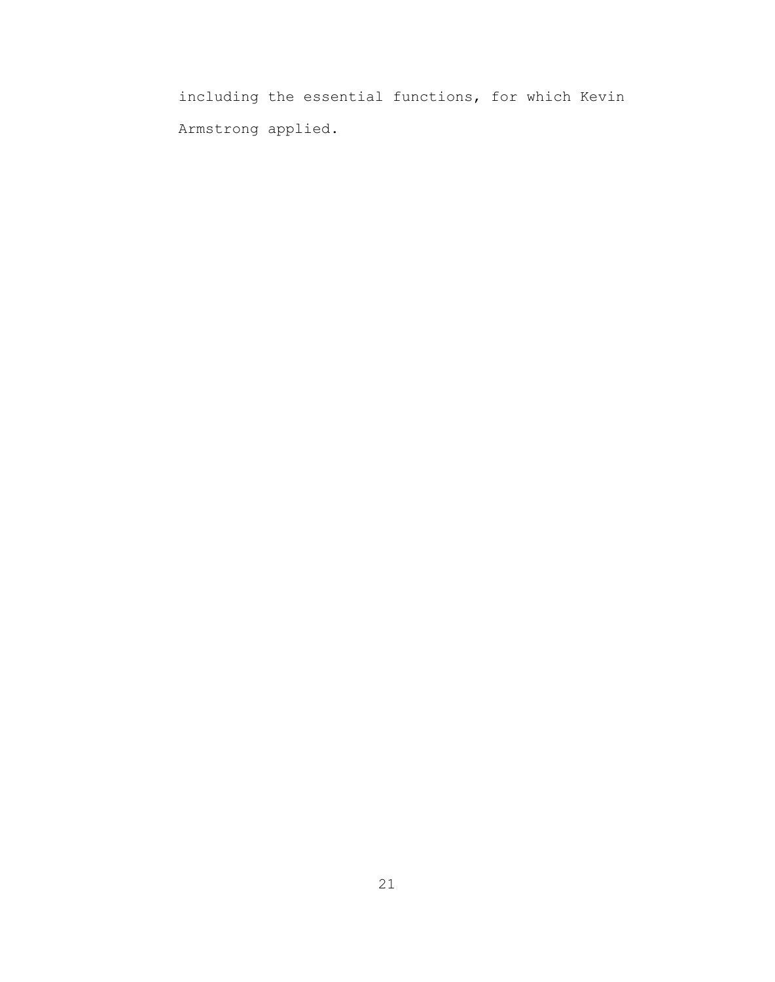including the essential functions, for which Kevin Armstrong applied.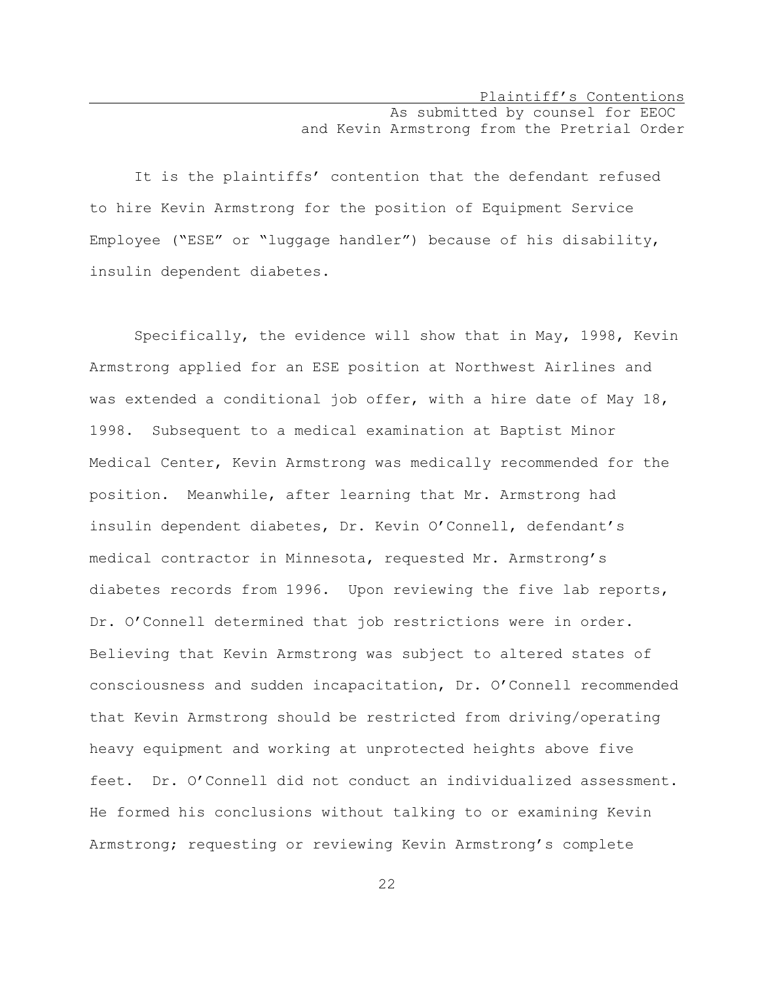Plaintiff's Contentions As submitted by counsel for EEOC and Kevin Armstrong from the Pretrial Order

It is the plaintiffs' contention that the defendant refused to hire Kevin Armstrong for the position of Equipment Service Employee ("ESE" or "luggage handler") because of his disability, insulin dependent diabetes.

Specifically, the evidence will show that in May, 1998, Kevin Armstrong applied for an ESE position at Northwest Airlines and was extended a conditional job offer, with a hire date of May 18, 1998. Subsequent to a medical examination at Baptist Minor Medical Center, Kevin Armstrong was medically recommended for the position. Meanwhile, after learning that Mr. Armstrong had insulin dependent diabetes, Dr. Kevin O'Connell, defendant's medical contractor in Minnesota, requested Mr. Armstrong's diabetes records from 1996. Upon reviewing the five lab reports, Dr. O'Connell determined that job restrictions were in order. Believing that Kevin Armstrong was subject to altered states of consciousness and sudden incapacitation, Dr. O'Connell recommended that Kevin Armstrong should be restricted from driving/operating heavy equipment and working at unprotected heights above five feet. Dr. O'Connell did not conduct an individualized assessment. He formed his conclusions without talking to or examining Kevin Armstrong; requesting or reviewing Kevin Armstrong's complete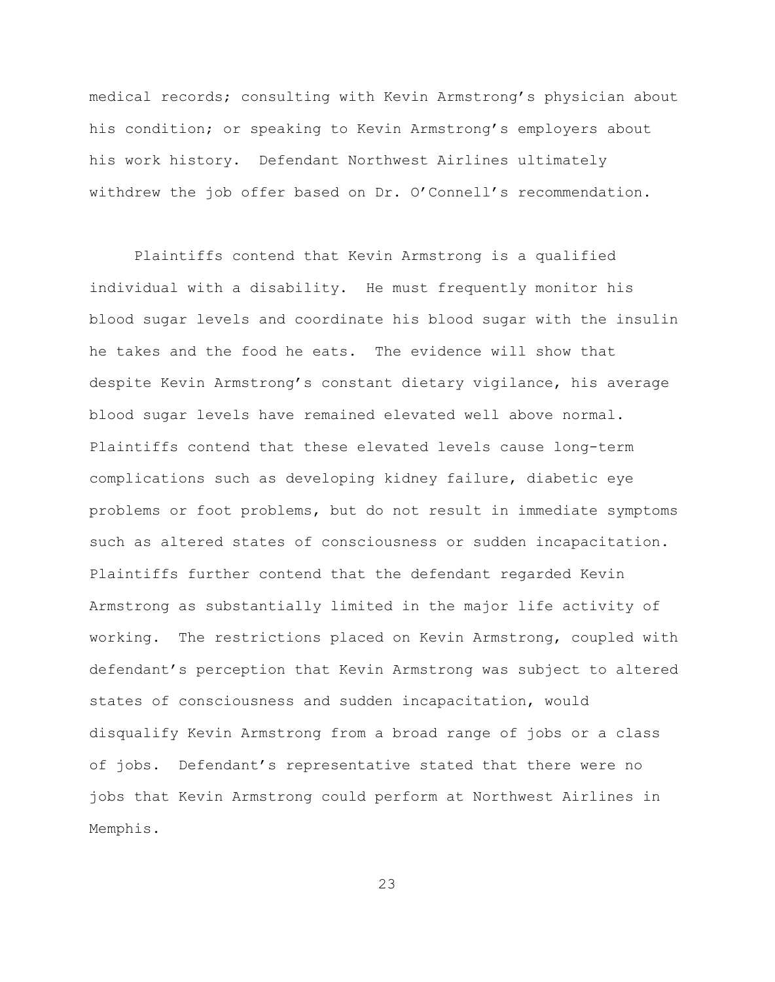medical records; consulting with Kevin Armstrong's physician about his condition; or speaking to Kevin Armstrong's employers about his work history. Defendant Northwest Airlines ultimately withdrew the job offer based on Dr. O'Connell's recommendation.

Plaintiffs contend that Kevin Armstrong is a qualified individual with a disability. He must frequently monitor his blood sugar levels and coordinate his blood sugar with the insulin he takes and the food he eats. The evidence will show that despite Kevin Armstrong's constant dietary vigilance, his average blood sugar levels have remained elevated well above normal. Plaintiffs contend that these elevated levels cause long-term complications such as developing kidney failure, diabetic eye problems or foot problems, but do not result in immediate symptoms such as altered states of consciousness or sudden incapacitation. Plaintiffs further contend that the defendant regarded Kevin Armstrong as substantially limited in the major life activity of working. The restrictions placed on Kevin Armstrong, coupled with defendant's perception that Kevin Armstrong was subject to altered states of consciousness and sudden incapacitation, would disqualify Kevin Armstrong from a broad range of jobs or a class of jobs. Defendant's representative stated that there were no jobs that Kevin Armstrong could perform at Northwest Airlines in Memphis.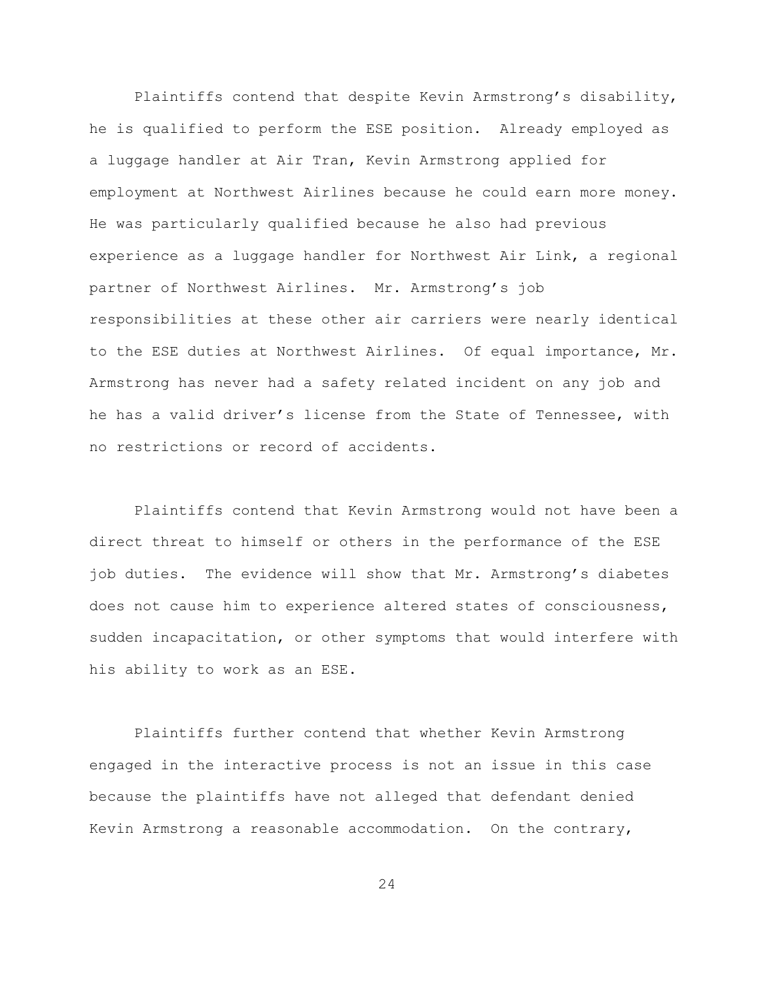Plaintiffs contend that despite Kevin Armstrong's disability, he is qualified to perform the ESE position. Already employed as a luggage handler at Air Tran, Kevin Armstrong applied for employment at Northwest Airlines because he could earn more money. He was particularly qualified because he also had previous experience as a luggage handler for Northwest Air Link, a regional partner of Northwest Airlines. Mr. Armstrong's job responsibilities at these other air carriers were nearly identical to the ESE duties at Northwest Airlines. Of equal importance, Mr. Armstrong has never had a safety related incident on any job and he has a valid driver's license from the State of Tennessee, with no restrictions or record of accidents.

Plaintiffs contend that Kevin Armstrong would not have been a direct threat to himself or others in the performance of the ESE job duties. The evidence will show that Mr. Armstrong's diabetes does not cause him to experience altered states of consciousness, sudden incapacitation, or other symptoms that would interfere with his ability to work as an ESE.

Plaintiffs further contend that whether Kevin Armstrong engaged in the interactive process is not an issue in this case because the plaintiffs have not alleged that defendant denied Kevin Armstrong a reasonable accommodation. On the contrary,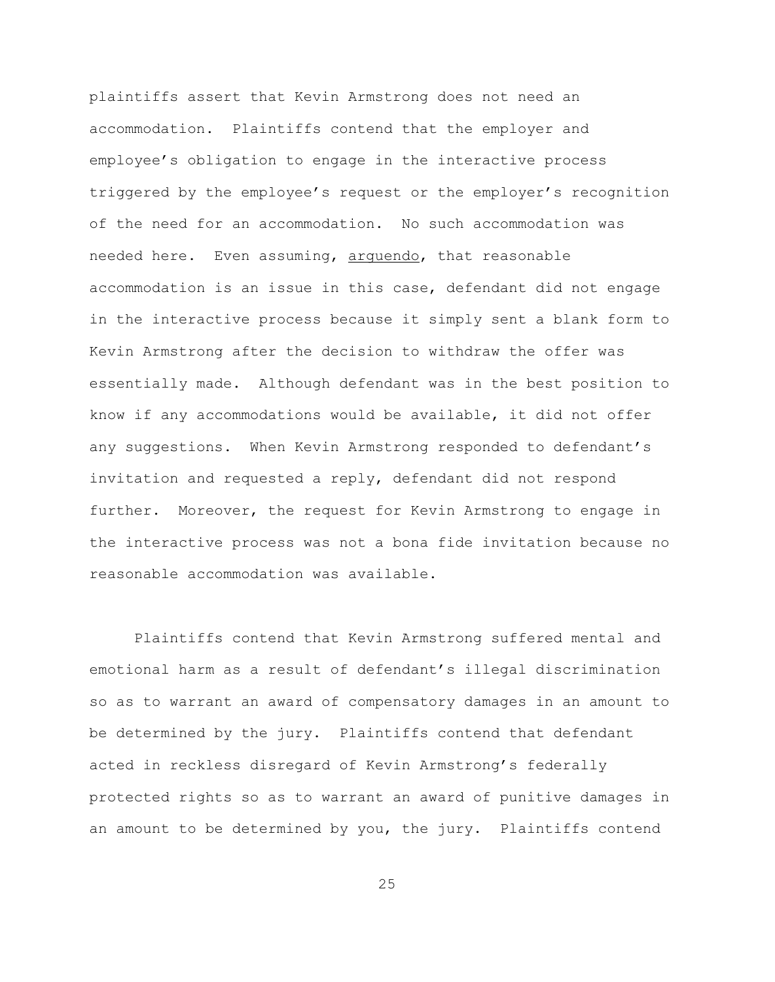plaintiffs assert that Kevin Armstrong does not need an accommodation. Plaintiffs contend that the employer and employee's obligation to engage in the interactive process triggered by the employee's request or the employer's recognition of the need for an accommodation. No such accommodation was needed here. Even assuming, arguendo, that reasonable accommodation is an issue in this case, defendant did not engage in the interactive process because it simply sent a blank form to Kevin Armstrong after the decision to withdraw the offer was essentially made. Although defendant was in the best position to know if any accommodations would be available, it did not offer any suggestions. When Kevin Armstrong responded to defendant's invitation and requested a reply, defendant did not respond further. Moreover, the request for Kevin Armstrong to engage in the interactive process was not a bona fide invitation because no reasonable accommodation was available.

Plaintiffs contend that Kevin Armstrong suffered mental and emotional harm as a result of defendant's illegal discrimination so as to warrant an award of compensatory damages in an amount to be determined by the jury. Plaintiffs contend that defendant acted in reckless disregard of Kevin Armstrong's federally protected rights so as to warrant an award of punitive damages in an amount to be determined by you, the jury. Plaintiffs contend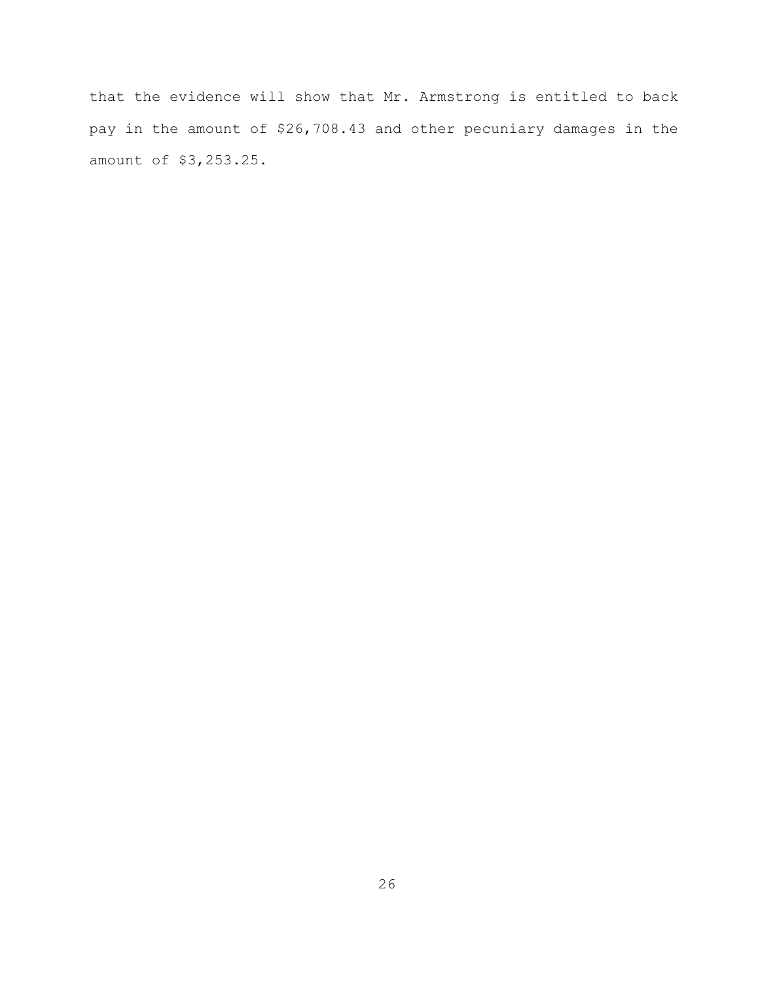that the evidence will show that Mr. Armstrong is entitled to back pay in the amount of \$26,708.43 and other pecuniary damages in the amount of \$3,253.25.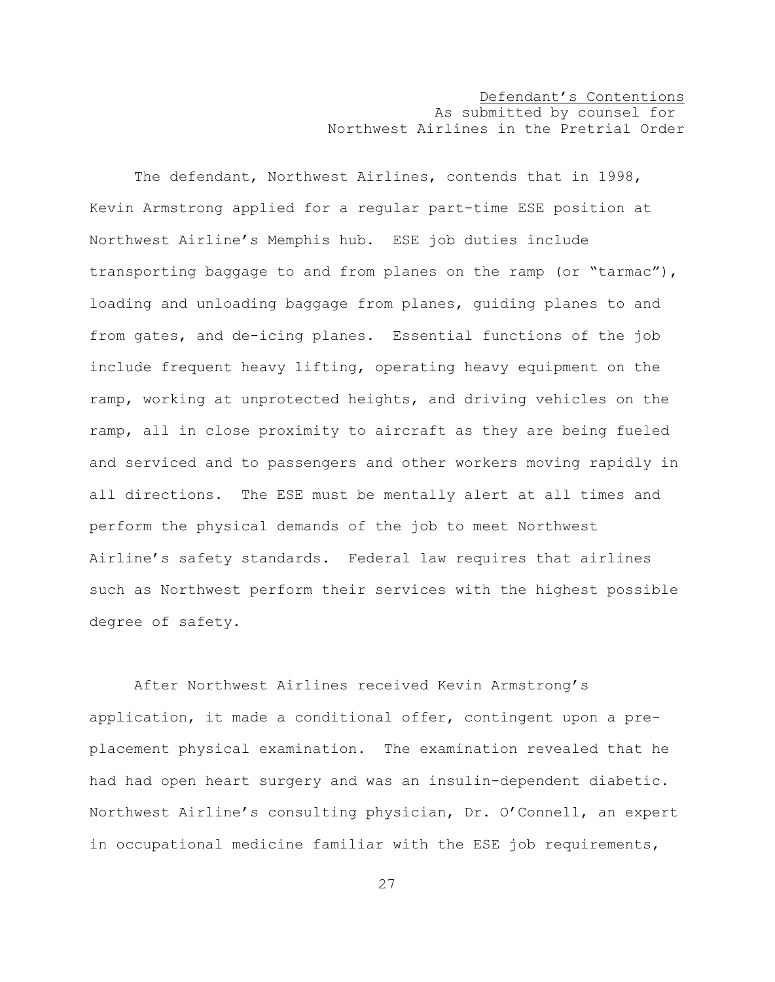# Defendant's Contentions As submitted by counsel for Northwest Airlines in the Pretrial Order

The defendant, Northwest Airlines, contends that in 1998, Kevin Armstrong applied for a regular part-time ESE position at Northwest Airline's Memphis hub. ESE job duties include transporting baggage to and from planes on the ramp (or "tarmac"), loading and unloading baggage from planes, guiding planes to and from gates, and de-icing planes. Essential functions of the job include frequent heavy lifting, operating heavy equipment on the ramp, working at unprotected heights, and driving vehicles on the ramp, all in close proximity to aircraft as they are being fueled and serviced and to passengers and other workers moving rapidly in all directions. The ESE must be mentally alert at all times and perform the physical demands of the job to meet Northwest Airline's safety standards. Federal law requires that airlines such as Northwest perform their services with the highest possible degree of safety.

After Northwest Airlines received Kevin Armstrong's application, it made a conditional offer, contingent upon a preplacement physical examination. The examination revealed that he had had open heart surgery and was an insulin-dependent diabetic. Northwest Airline's consulting physician, Dr. O'Connell, an expert in occupational medicine familiar with the ESE job requirements,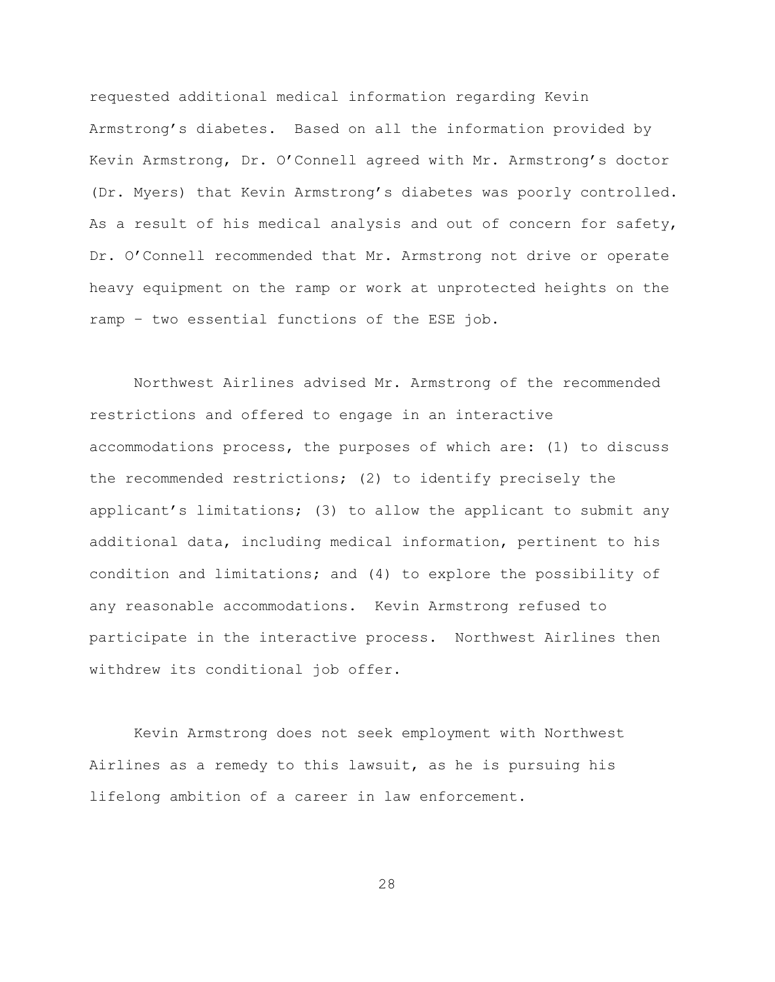requested additional medical information regarding Kevin Armstrong's diabetes. Based on all the information provided by Kevin Armstrong, Dr. O'Connell agreed with Mr. Armstrong's doctor (Dr. Myers) that Kevin Armstrong's diabetes was poorly controlled. As a result of his medical analysis and out of concern for safety, Dr. O'Connell recommended that Mr. Armstrong not drive or operate heavy equipment on the ramp or work at unprotected heights on the ramp – two essential functions of the ESE job.

Northwest Airlines advised Mr. Armstrong of the recommended restrictions and offered to engage in an interactive accommodations process, the purposes of which are: (1) to discuss the recommended restrictions; (2) to identify precisely the applicant's limitations; (3) to allow the applicant to submit any additional data, including medical information, pertinent to his condition and limitations; and (4) to explore the possibility of any reasonable accommodations. Kevin Armstrong refused to participate in the interactive process. Northwest Airlines then withdrew its conditional job offer.

Kevin Armstrong does not seek employment with Northwest Airlines as a remedy to this lawsuit, as he is pursuing his lifelong ambition of a career in law enforcement.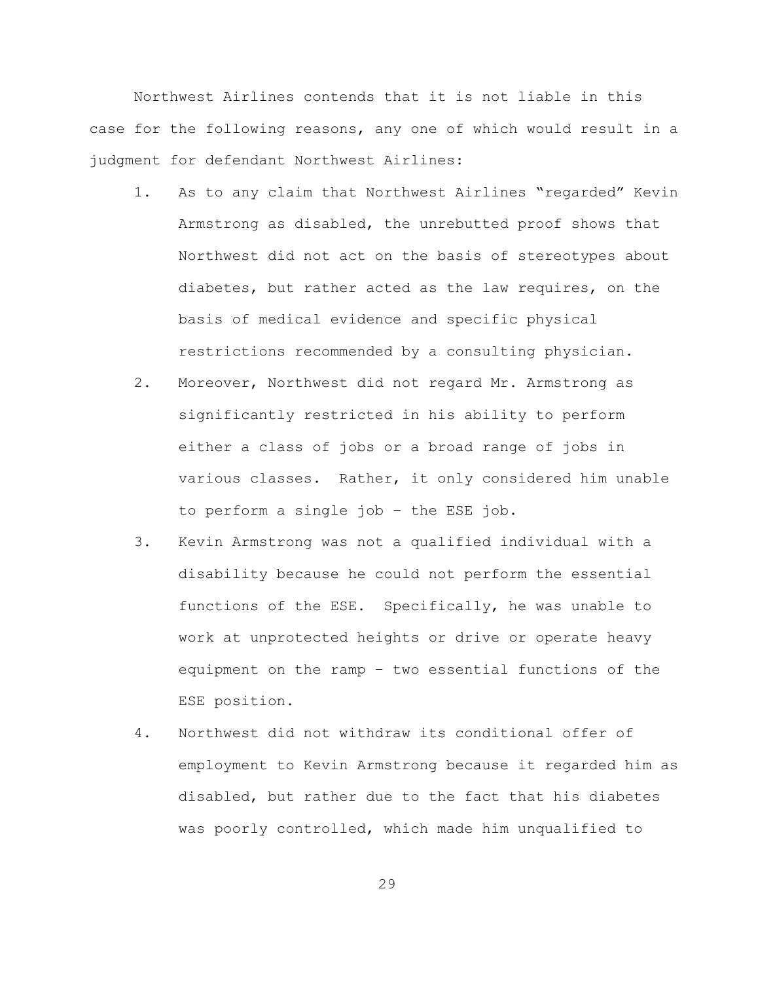Northwest Airlines contends that it is not liable in this case for the following reasons, any one of which would result in a judgment for defendant Northwest Airlines:

- 1. As to any claim that Northwest Airlines "regarded" Kevin Armstrong as disabled, the unrebutted proof shows that Northwest did not act on the basis of stereotypes about diabetes, but rather acted as the law requires, on the basis of medical evidence and specific physical restrictions recommended by a consulting physician.
- 2. Moreover, Northwest did not regard Mr. Armstrong as significantly restricted in his ability to perform either a class of jobs or a broad range of jobs in various classes. Rather, it only considered him unable to perform a single job – the ESE job.
- 3. Kevin Armstrong was not a qualified individual with a disability because he could not perform the essential functions of the ESE. Specifically, he was unable to work at unprotected heights or drive or operate heavy equipment on the ramp – two essential functions of the ESE position.
- 4. Northwest did not withdraw its conditional offer of employment to Kevin Armstrong because it regarded him as disabled, but rather due to the fact that his diabetes was poorly controlled, which made him unqualified to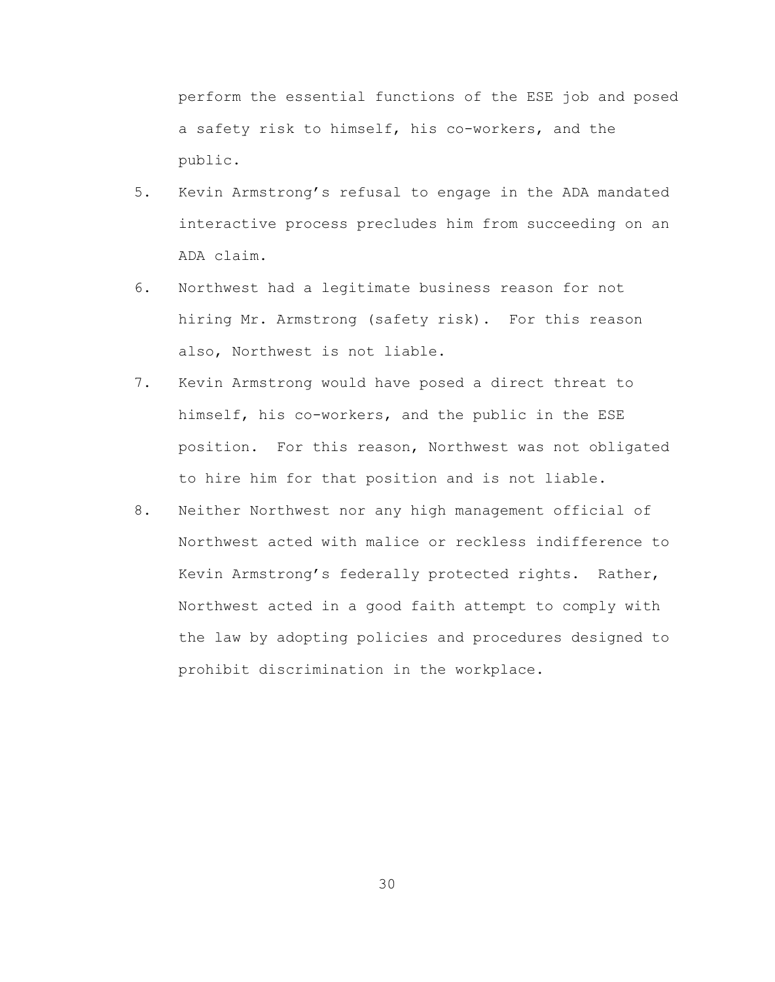perform the essential functions of the ESE job and posed a safety risk to himself, his co-workers, and the public.

- 5. Kevin Armstrong's refusal to engage in the ADA mandated interactive process precludes him from succeeding on an ADA claim.
- 6. Northwest had a legitimate business reason for not hiring Mr. Armstrong (safety risk). For this reason also, Northwest is not liable.
- 7. Kevin Armstrong would have posed a direct threat to himself, his co-workers, and the public in the ESE position. For this reason, Northwest was not obligated to hire him for that position and is not liable.
- 8. Neither Northwest nor any high management official of Northwest acted with malice or reckless indifference to Kevin Armstrong's federally protected rights. Rather, Northwest acted in a good faith attempt to comply with the law by adopting policies and procedures designed to prohibit discrimination in the workplace.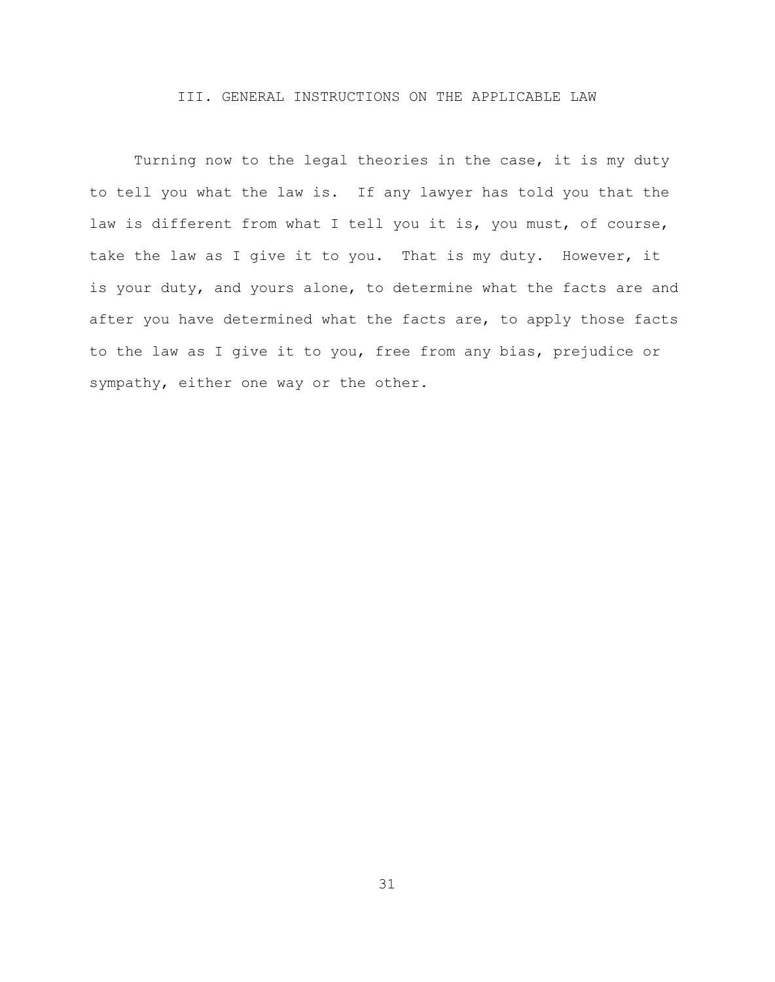# III. GENERAL INSTRUCTIONS ON THE APPLICABLE LAW

Turning now to the legal theories in the case, it is my duty to tell you what the law is. If any lawyer has told you that the law is different from what I tell you it is, you must, of course, take the law as I give it to you. That is my duty. However, it is your duty, and yours alone, to determine what the facts are and after you have determined what the facts are, to apply those facts to the law as I give it to you, free from any bias, prejudice or sympathy, either one way or the other.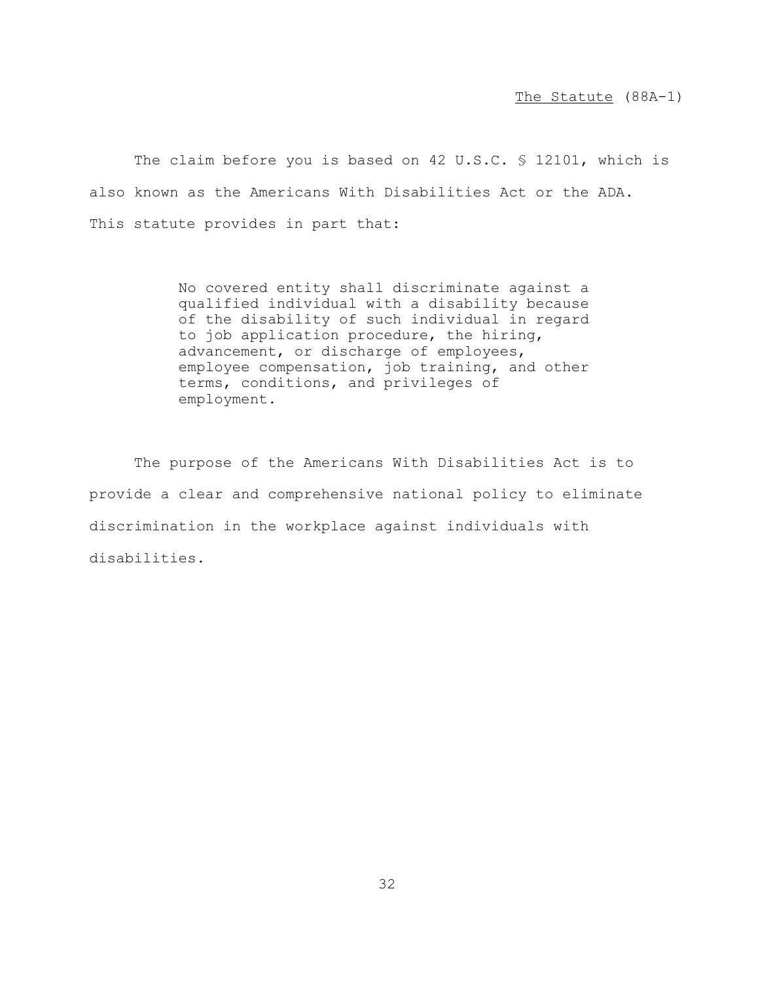The Statute (88A-1)

The claim before you is based on 42 U.S.C. § 12101, which is also known as the Americans With Disabilities Act or the ADA. This statute provides in part that:

> No covered entity shall discriminate against a qualified individual with a disability because of the disability of such individual in regard to job application procedure, the hiring, advancement, or discharge of employees, employee compensation, job training, and other terms, conditions, and privileges of employment.

The purpose of the Americans With Disabilities Act is to provide a clear and comprehensive national policy to eliminate discrimination in the workplace against individuals with disabilities.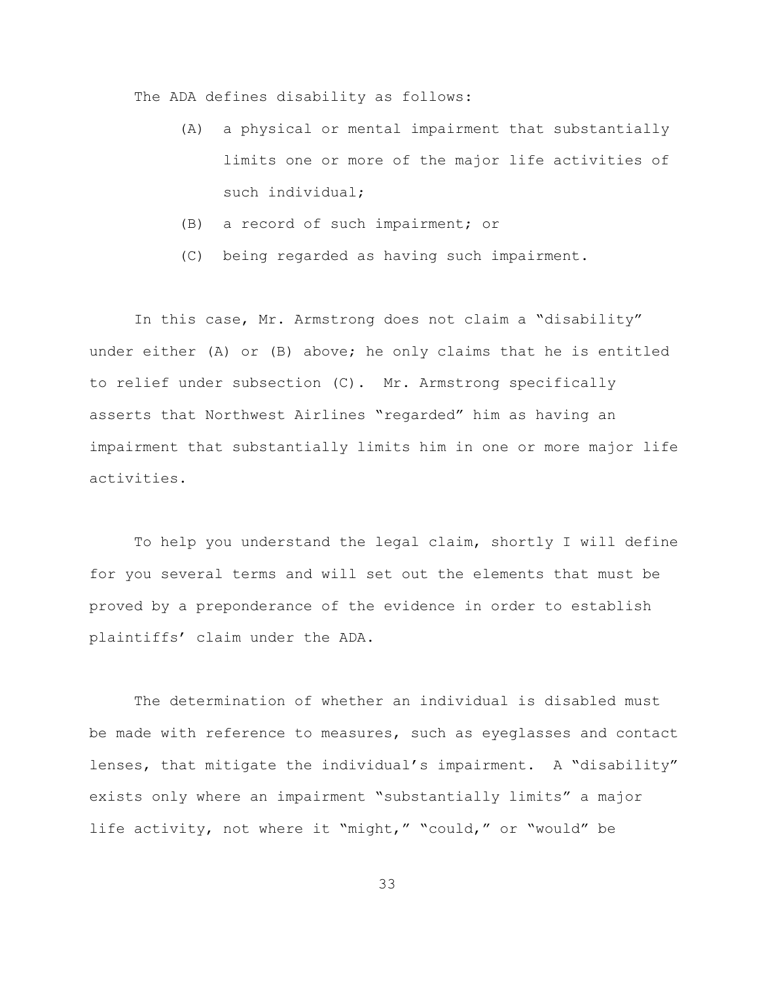The ADA defines disability as follows:

- (A) a physical or mental impairment that substantially limits one or more of the major life activities of such individual;
- (B) a record of such impairment; or
- (C) being regarded as having such impairment.

In this case, Mr. Armstrong does not claim a "disability" under either (A) or (B) above; he only claims that he is entitled to relief under subsection (C). Mr. Armstrong specifically asserts that Northwest Airlines "regarded" him as having an impairment that substantially limits him in one or more major life activities.

To help you understand the legal claim, shortly I will define for you several terms and will set out the elements that must be proved by a preponderance of the evidence in order to establish plaintiffs' claim under the ADA.

The determination of whether an individual is disabled must be made with reference to measures, such as eyeglasses and contact lenses, that mitigate the individual's impairment. A "disability" exists only where an impairment "substantially limits" a major life activity, not where it "might," "could," or "would" be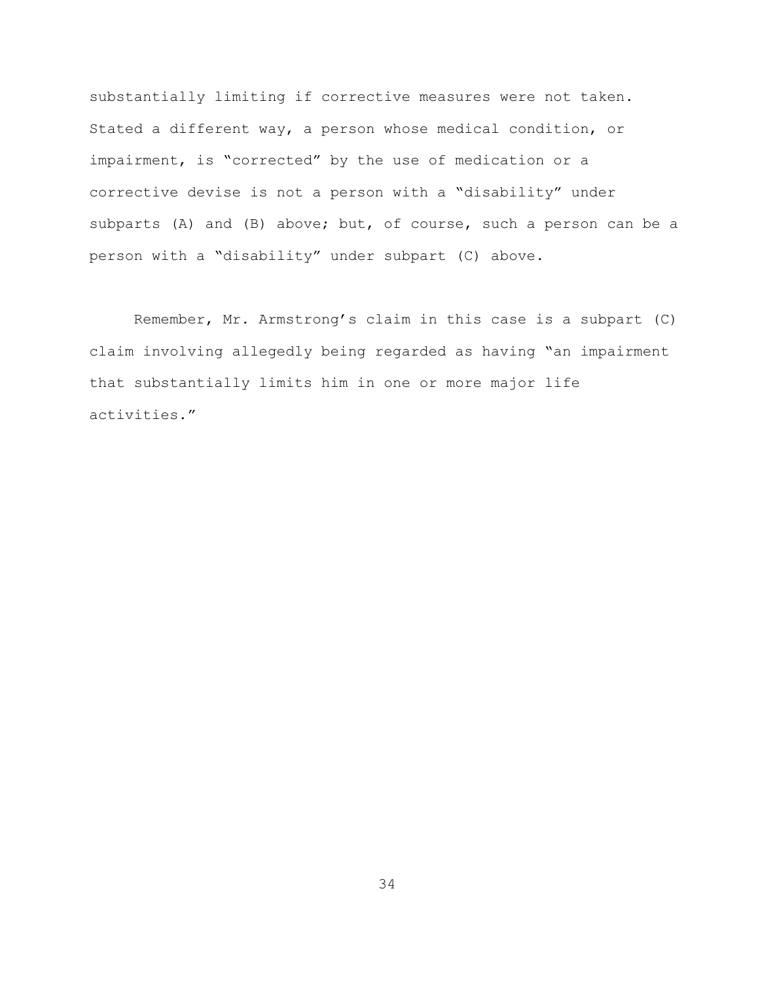substantially limiting if corrective measures were not taken. Stated a different way, a person whose medical condition, or impairment, is "corrected" by the use of medication or a corrective devise is not a person with a "disability" under subparts (A) and (B) above; but, of course, such a person can be a person with a "disability" under subpart (C) above.

Remember, Mr. Armstrong's claim in this case is a subpart (C) claim involving allegedly being regarded as having "an impairment that substantially limits him in one or more major life activities."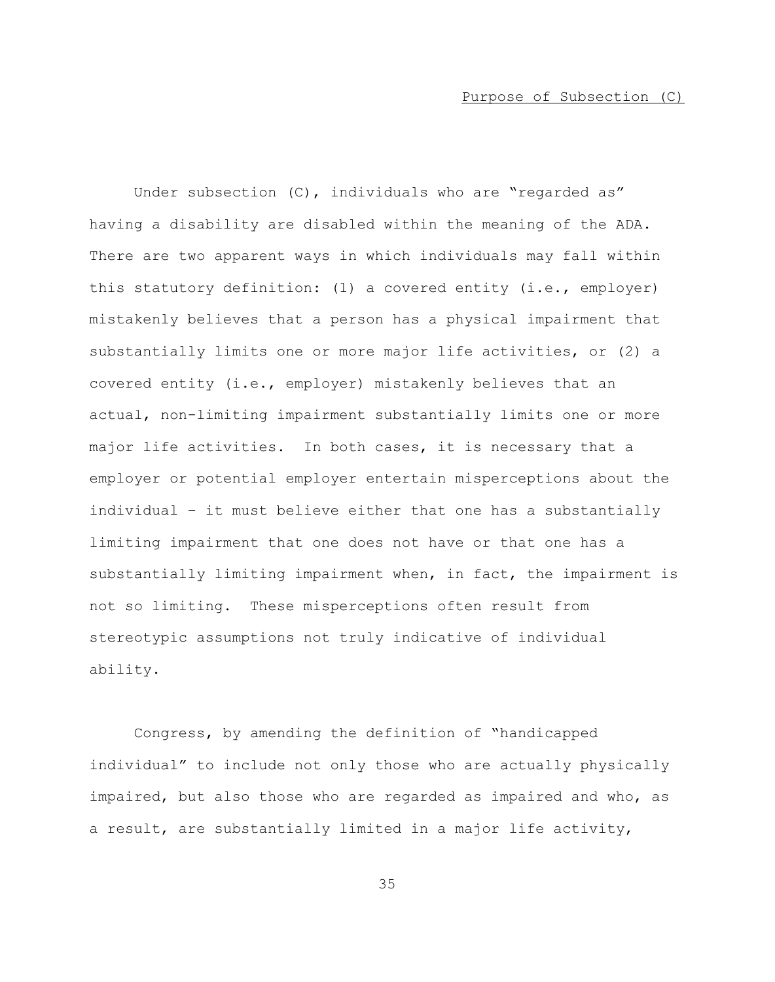Under subsection (C), individuals who are "regarded as" having a disability are disabled within the meaning of the ADA. There are two apparent ways in which individuals may fall within this statutory definition: (1) a covered entity (i.e., employer) mistakenly believes that a person has a physical impairment that substantially limits one or more major life activities, or (2) a covered entity (i.e., employer) mistakenly believes that an actual, non-limiting impairment substantially limits one or more major life activities. In both cases, it is necessary that a employer or potential employer entertain misperceptions about the individual – it must believe either that one has a substantially limiting impairment that one does not have or that one has a substantially limiting impairment when, in fact, the impairment is not so limiting. These misperceptions often result from stereotypic assumptions not truly indicative of individual ability.

Congress, by amending the definition of "handicapped individual" to include not only those who are actually physically impaired, but also those who are regarded as impaired and who, as a result, are substantially limited in a major life activity,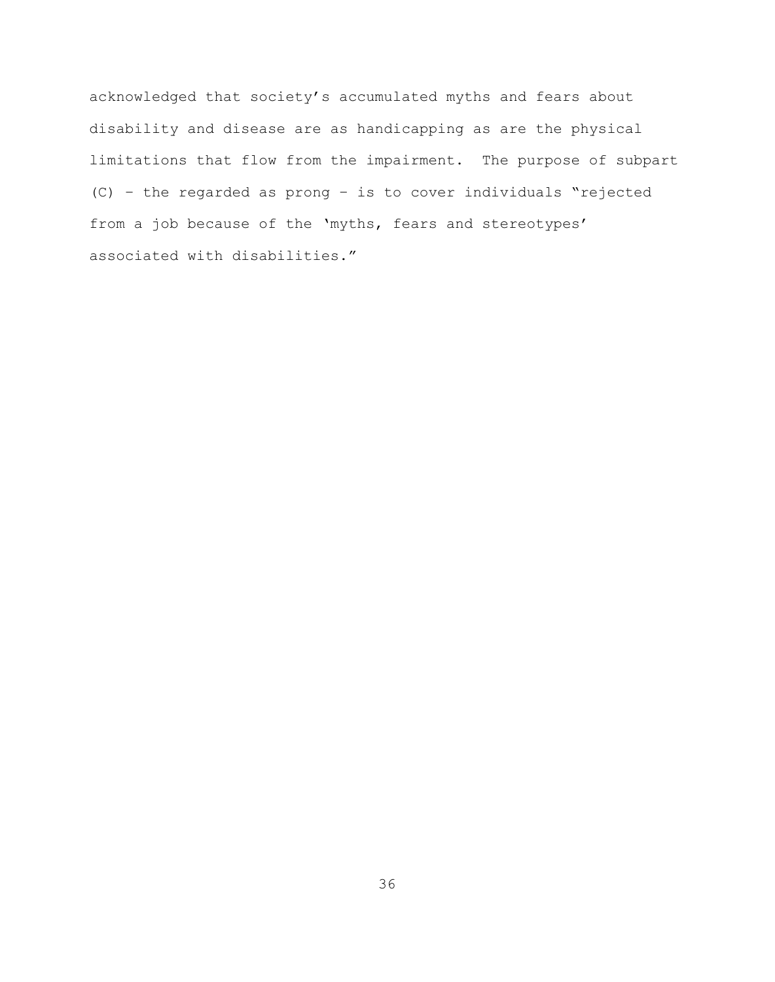acknowledged that society's accumulated myths and fears about disability and disease are as handicapping as are the physical limitations that flow from the impairment. The purpose of subpart (C) – the regarded as prong – is to cover individuals "rejected from a job because of the 'myths, fears and stereotypes' associated with disabilities."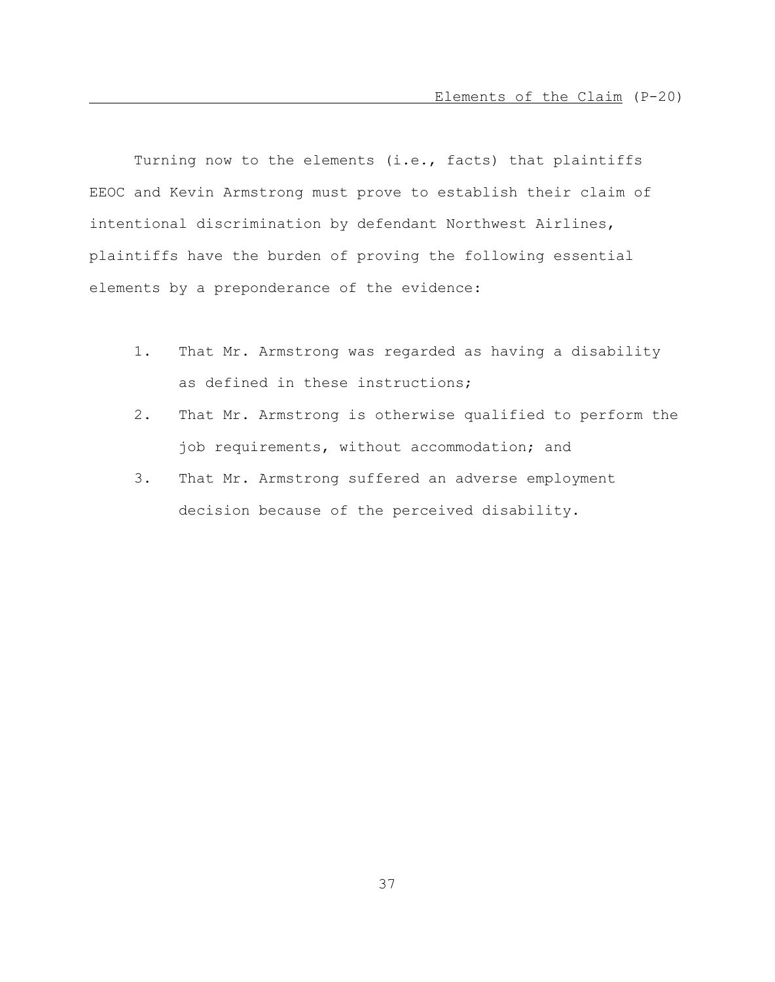Turning now to the elements (i.e., facts) that plaintiffs EEOC and Kevin Armstrong must prove to establish their claim of intentional discrimination by defendant Northwest Airlines, plaintiffs have the burden of proving the following essential elements by a preponderance of the evidence:

- 1. That Mr. Armstrong was regarded as having a disability as defined in these instructions;
- 2. That Mr. Armstrong is otherwise qualified to perform the job requirements, without accommodation; and
- 3. That Mr. Armstrong suffered an adverse employment decision because of the perceived disability.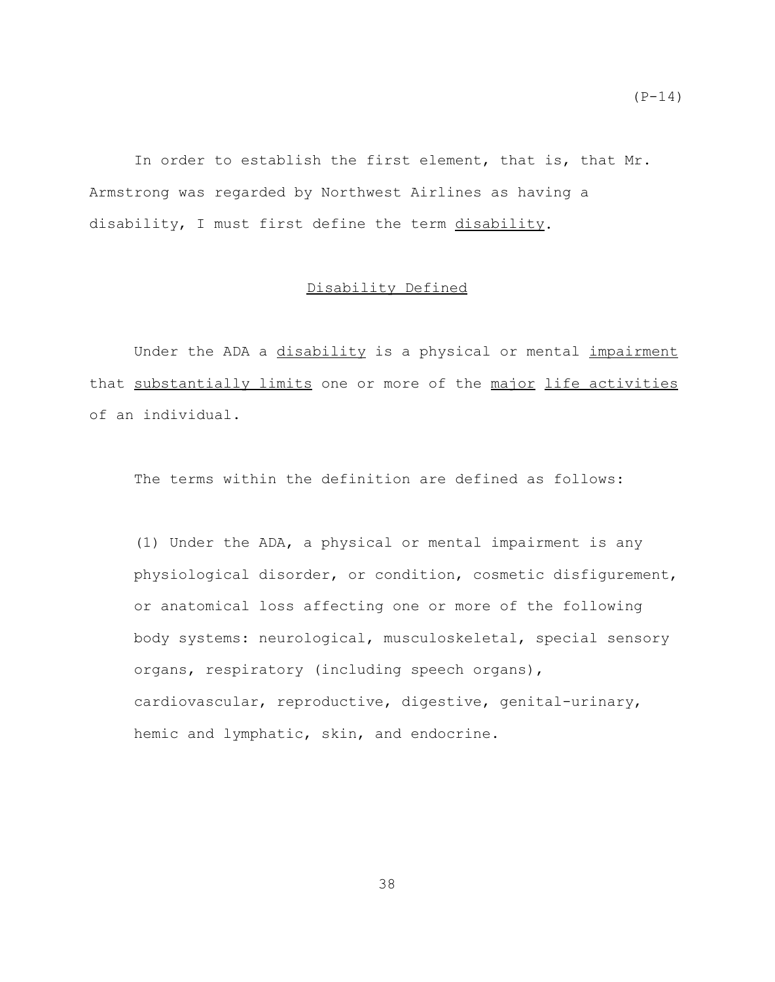In order to establish the first element, that is, that Mr. Armstrong was regarded by Northwest Airlines as having a disability, I must first define the term disability.

## Disability Defined

Under the ADA a disability is a physical or mental impairment that substantially limits one or more of the major life activities of an individual.

The terms within the definition are defined as follows:

(1) Under the ADA, a physical or mental impairment is any physiological disorder, or condition, cosmetic disfigurement, or anatomical loss affecting one or more of the following body systems: neurological, musculoskeletal, special sensory organs, respiratory (including speech organs), cardiovascular, reproductive, digestive, genital-urinary, hemic and lymphatic, skin, and endocrine.

 $(P-14)$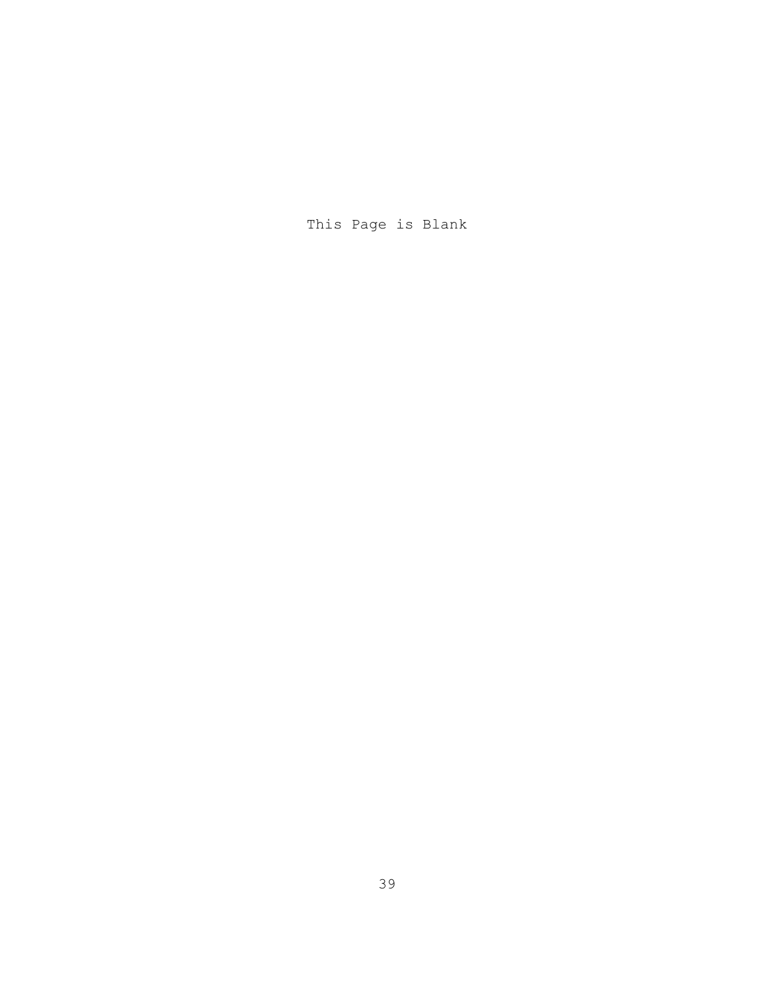This Page is Blank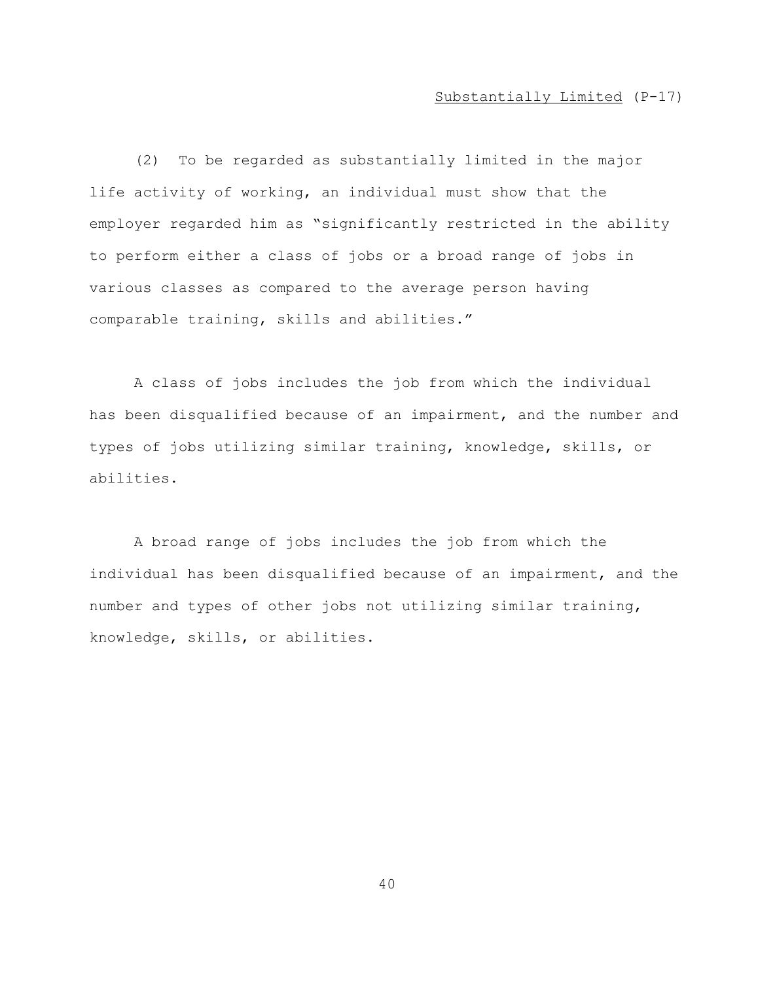#### Substantially Limited (P-17)

(2) To be regarded as substantially limited in the major life activity of working, an individual must show that the employer regarded him as "significantly restricted in the ability to perform either a class of jobs or a broad range of jobs in various classes as compared to the average person having comparable training, skills and abilities."

A class of jobs includes the job from which the individual has been disqualified because of an impairment, and the number and types of jobs utilizing similar training, knowledge, skills, or abilities.

A broad range of jobs includes the job from which the individual has been disqualified because of an impairment, and the number and types of other jobs not utilizing similar training, knowledge, skills, or abilities.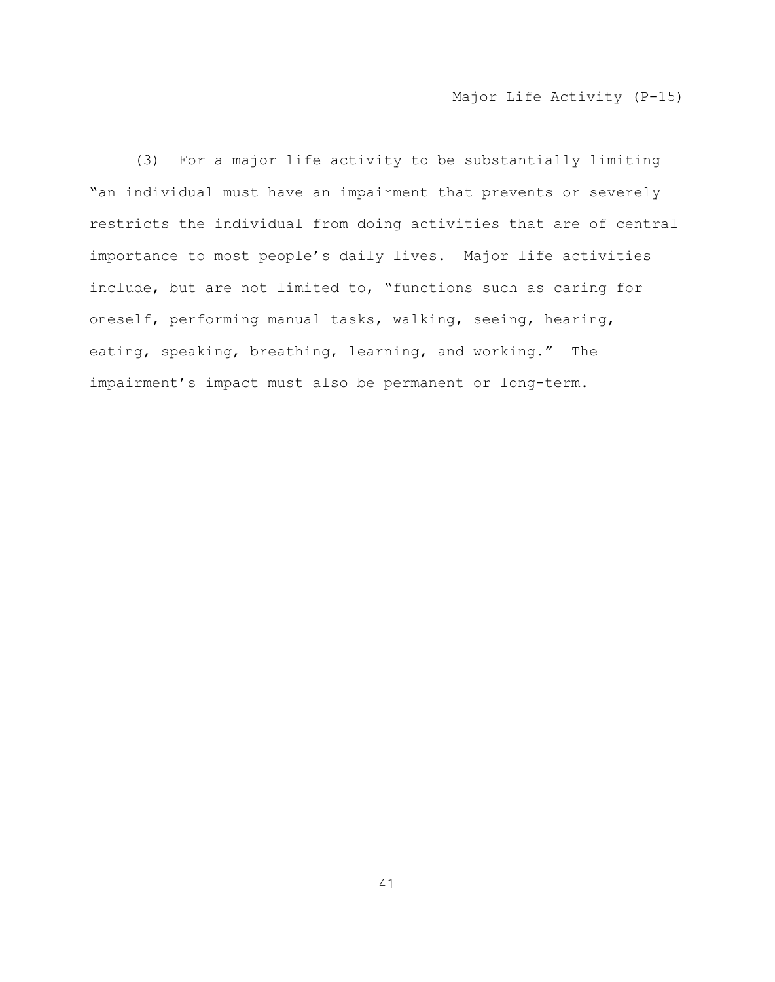## Major Life Activity (P-15)

(3) For a major life activity to be substantially limiting "an individual must have an impairment that prevents or severely restricts the individual from doing activities that are of central importance to most people's daily lives. Major life activities include, but are not limited to, "functions such as caring for oneself, performing manual tasks, walking, seeing, hearing, eating, speaking, breathing, learning, and working." The impairment's impact must also be permanent or long-term.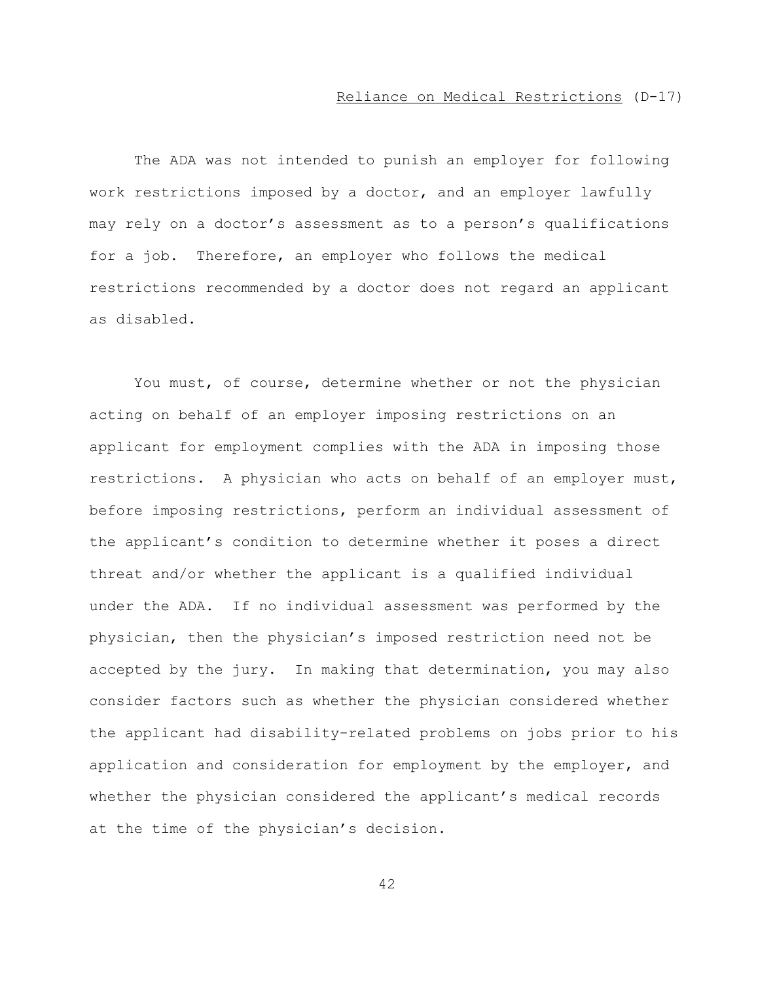### Reliance on Medical Restrictions (D-17)

The ADA was not intended to punish an employer for following work restrictions imposed by a doctor, and an employer lawfully may rely on a doctor's assessment as to a person's qualifications for a job. Therefore, an employer who follows the medical restrictions recommended by a doctor does not regard an applicant as disabled.

You must, of course, determine whether or not the physician acting on behalf of an employer imposing restrictions on an applicant for employment complies with the ADA in imposing those restrictions. A physician who acts on behalf of an employer must, before imposing restrictions, perform an individual assessment of the applicant's condition to determine whether it poses a direct threat and/or whether the applicant is a qualified individual under the ADA. If no individual assessment was performed by the physician, then the physician's imposed restriction need not be accepted by the jury. In making that determination, you may also consider factors such as whether the physician considered whether the applicant had disability-related problems on jobs prior to his application and consideration for employment by the employer, and whether the physician considered the applicant's medical records at the time of the physician's decision.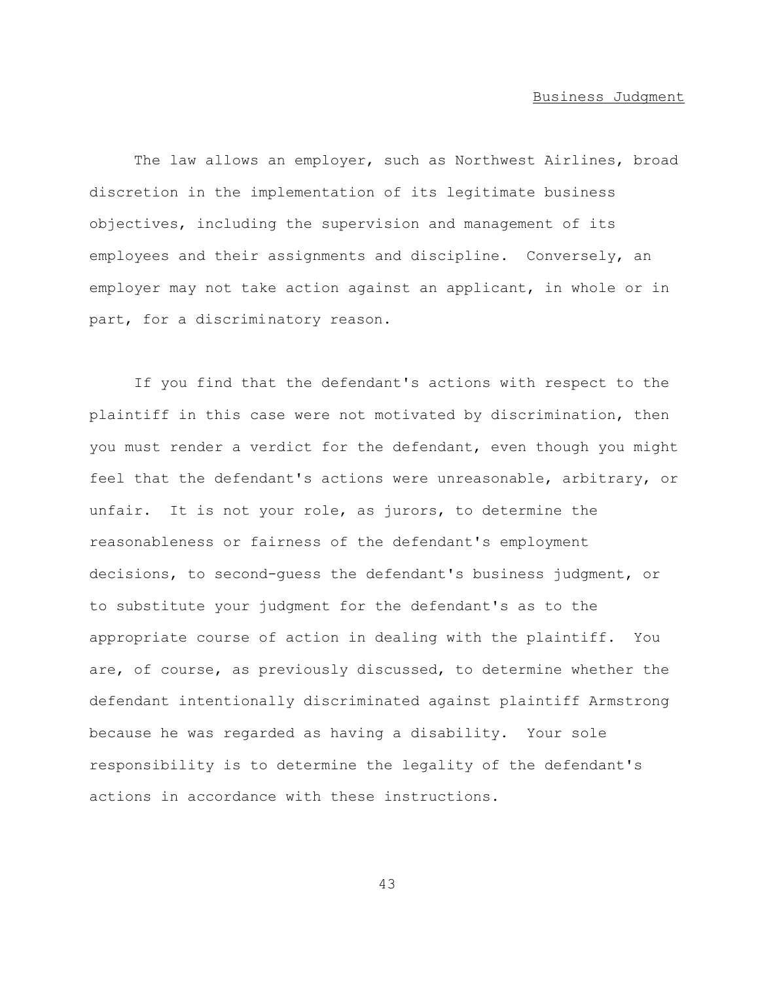The law allows an employer, such as Northwest Airlines, broad discretion in the implementation of its legitimate business objectives, including the supervision and management of its employees and their assignments and discipline. Conversely, an employer may not take action against an applicant, in whole or in part, for a discriminatory reason.

If you find that the defendant's actions with respect to the plaintiff in this case were not motivated by discrimination, then you must render a verdict for the defendant, even though you might feel that the defendant's actions were unreasonable, arbitrary, or unfair. It is not your role, as jurors, to determine the reasonableness or fairness of the defendant's employment decisions, to second-guess the defendant's business judgment, or to substitute your judgment for the defendant's as to the appropriate course of action in dealing with the plaintiff. You are, of course, as previously discussed, to determine whether the defendant intentionally discriminated against plaintiff Armstrong because he was regarded as having a disability. Your sole responsibility is to determine the legality of the defendant's actions in accordance with these instructions.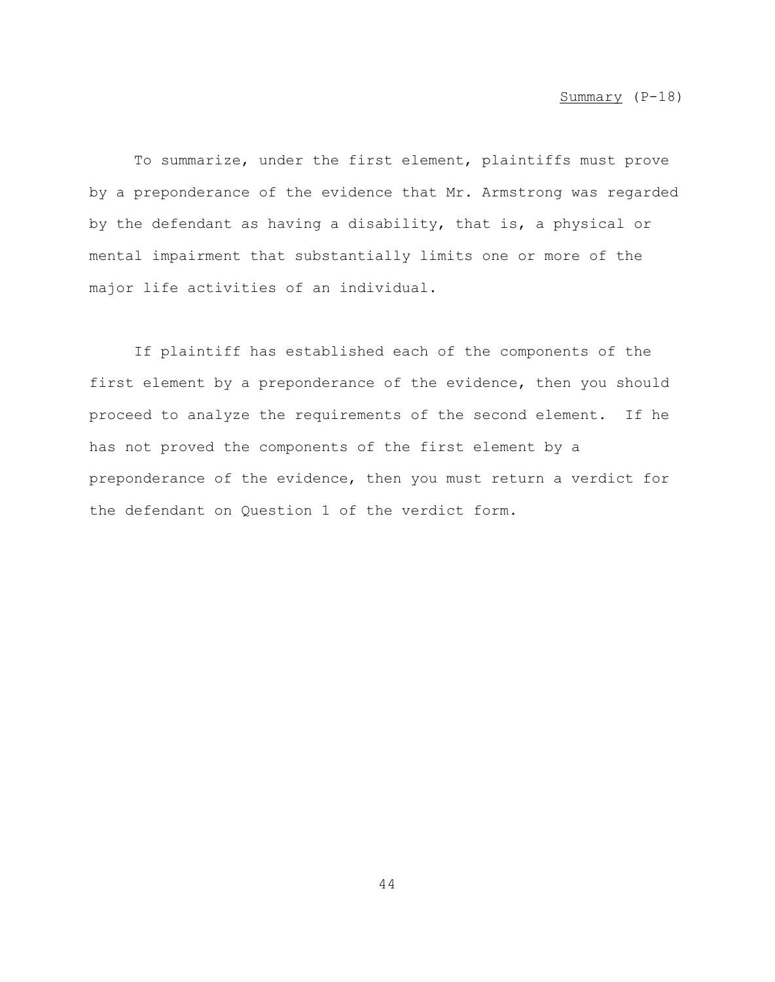To summarize, under the first element, plaintiffs must prove by a preponderance of the evidence that Mr. Armstrong was regarded by the defendant as having a disability, that is, a physical or mental impairment that substantially limits one or more of the major life activities of an individual.

If plaintiff has established each of the components of the first element by a preponderance of the evidence, then you should proceed to analyze the requirements of the second element. If he has not proved the components of the first element by a preponderance of the evidence, then you must return a verdict for the defendant on Question 1 of the verdict form.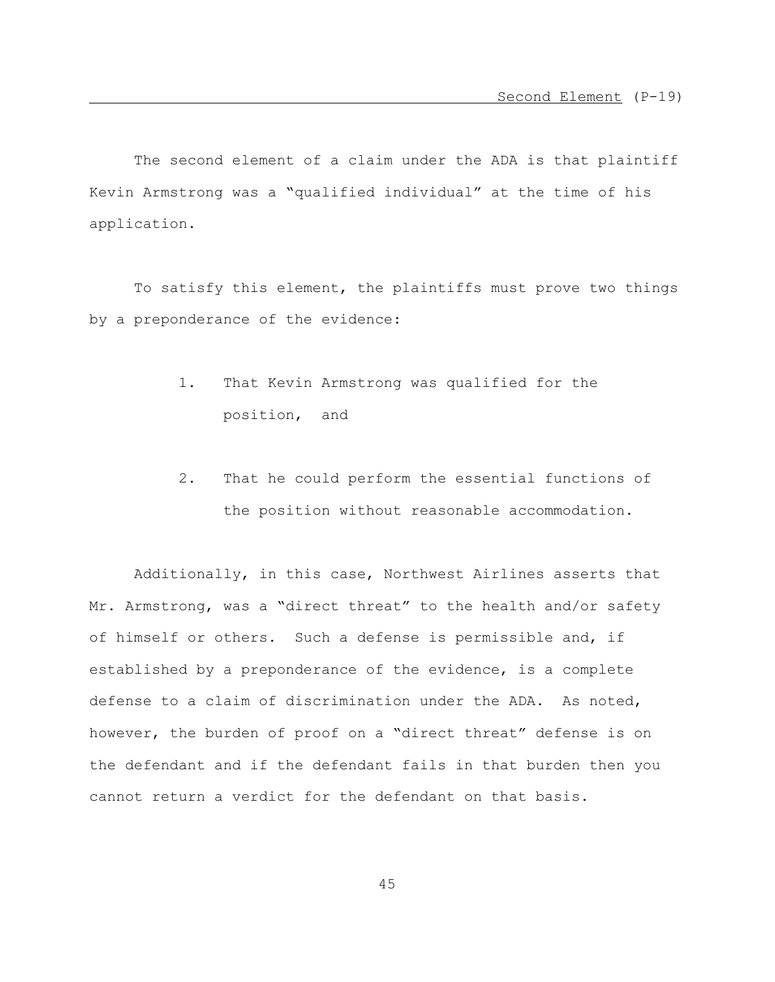The second element of a claim under the ADA is that plaintiff Kevin Armstrong was a "qualified individual" at the time of his application.

To satisfy this element, the plaintiffs must prove two things by a preponderance of the evidence:

- 1. That Kevin Armstrong was qualified for the position, and
- 2. That he could perform the essential functions of the position without reasonable accommodation.

Additionally, in this case, Northwest Airlines asserts that Mr. Armstrong, was a "direct threat" to the health and/or safety of himself or others. Such a defense is permissible and, if established by a preponderance of the evidence, is a complete defense to a claim of discrimination under the ADA. As noted, however, the burden of proof on a "direct threat" defense is on the defendant and if the defendant fails in that burden then you cannot return a verdict for the defendant on that basis.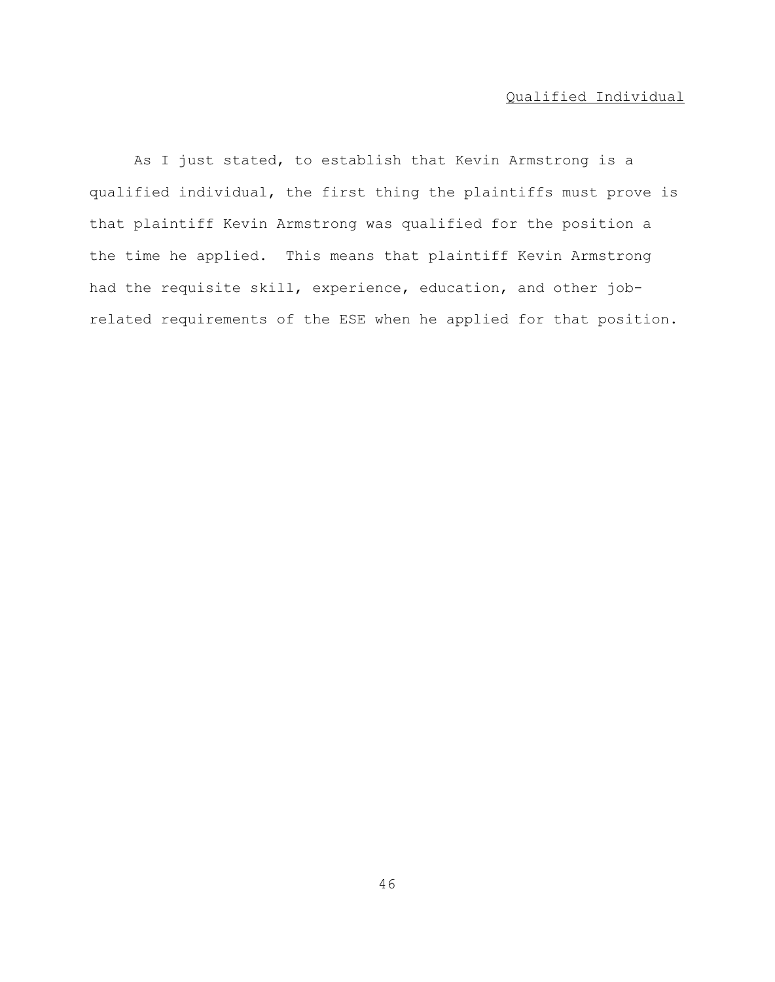## Qualified Individual

As I just stated, to establish that Kevin Armstrong is a qualified individual, the first thing the plaintiffs must prove is that plaintiff Kevin Armstrong was qualified for the position a the time he applied. This means that plaintiff Kevin Armstrong had the requisite skill, experience, education, and other jobrelated requirements of the ESE when he applied for that position.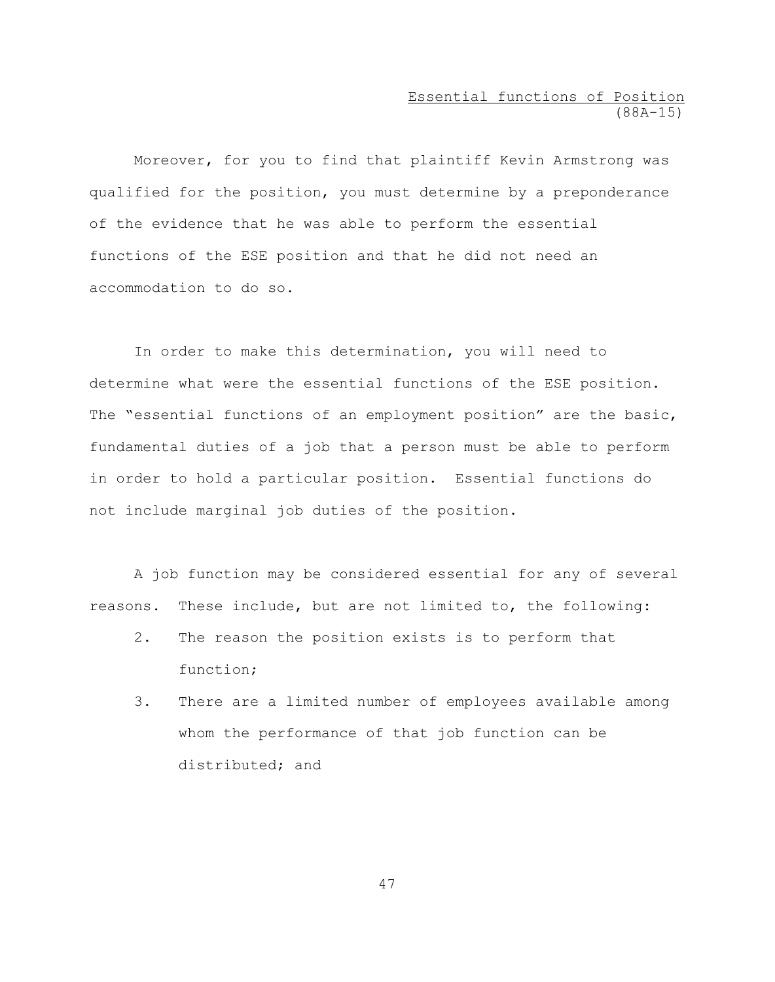# Essential functions of Position (88A-15)

Moreover, for you to find that plaintiff Kevin Armstrong was qualified for the position, you must determine by a preponderance of the evidence that he was able to perform the essential functions of the ESE position and that he did not need an accommodation to do so.

In order to make this determination, you will need to determine what were the essential functions of the ESE position. The "essential functions of an employment position" are the basic, fundamental duties of a job that a person must be able to perform in order to hold a particular position. Essential functions do not include marginal job duties of the position.

A job function may be considered essential for any of several reasons. These include, but are not limited to, the following:

- 2. The reason the position exists is to perform that function;
- 3. There are a limited number of employees available among whom the performance of that job function can be distributed; and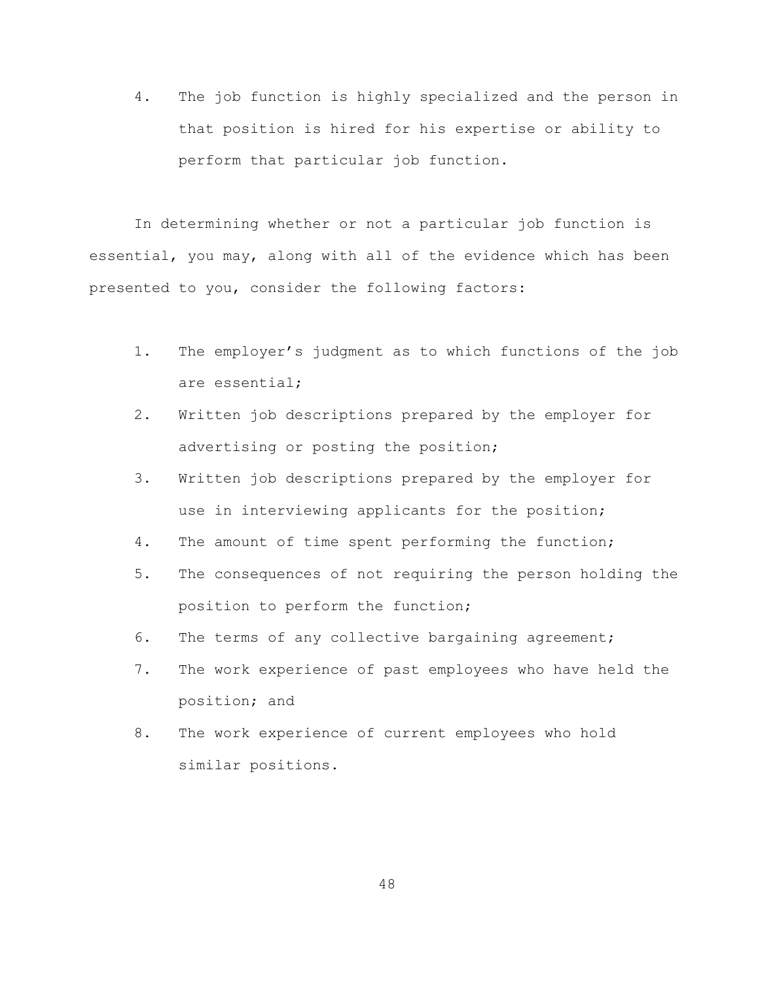4. The job function is highly specialized and the person in that position is hired for his expertise or ability to perform that particular job function.

In determining whether or not a particular job function is essential, you may, along with all of the evidence which has been presented to you, consider the following factors:

- 1. The employer's judgment as to which functions of the job are essential;
- 2. Written job descriptions prepared by the employer for advertising or posting the position;
- 3. Written job descriptions prepared by the employer for use in interviewing applicants for the position;
- 4. The amount of time spent performing the function;
- 5. The consequences of not requiring the person holding the position to perform the function;
- 6. The terms of any collective bargaining agreement;
- 7. The work experience of past employees who have held the position; and
- 8. The work experience of current employees who hold similar positions.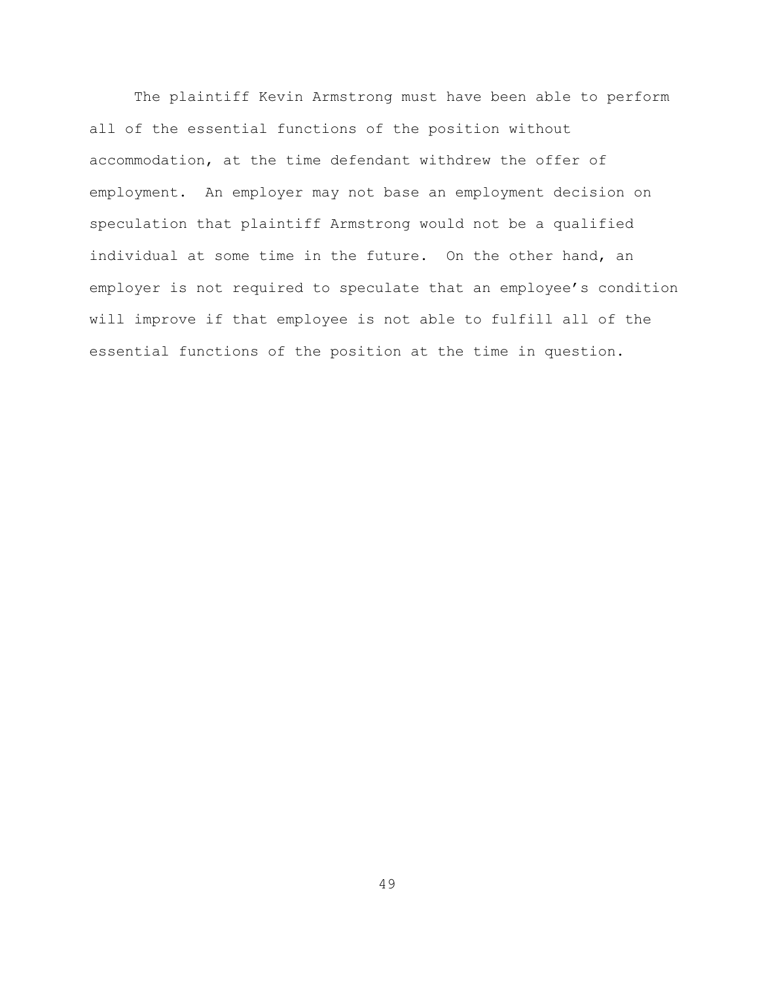The plaintiff Kevin Armstrong must have been able to perform all of the essential functions of the position without accommodation, at the time defendant withdrew the offer of employment. An employer may not base an employment decision on speculation that plaintiff Armstrong would not be a qualified individual at some time in the future. On the other hand, an employer is not required to speculate that an employee's condition will improve if that employee is not able to fulfill all of the essential functions of the position at the time in question.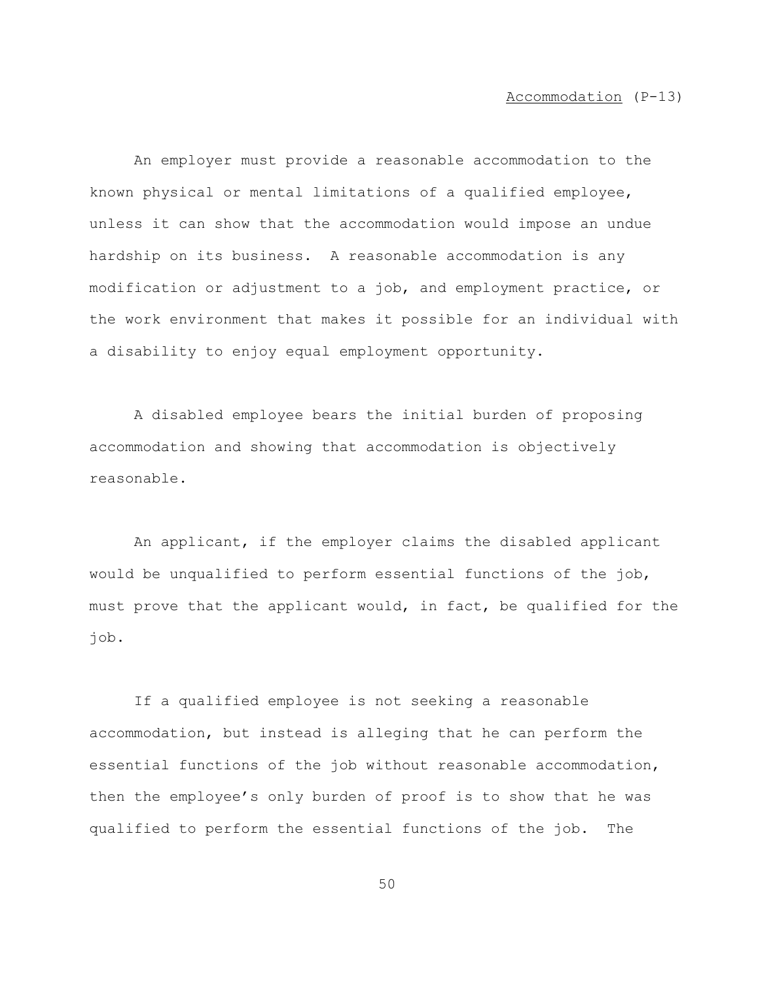An employer must provide a reasonable accommodation to the known physical or mental limitations of a qualified employee, unless it can show that the accommodation would impose an undue hardship on its business. A reasonable accommodation is any modification or adjustment to a job, and employment practice, or the work environment that makes it possible for an individual with a disability to enjoy equal employment opportunity.

A disabled employee bears the initial burden of proposing accommodation and showing that accommodation is objectively reasonable.

An applicant, if the employer claims the disabled applicant would be unqualified to perform essential functions of the job, must prove that the applicant would, in fact, be qualified for the job.

If a qualified employee is not seeking a reasonable accommodation, but instead is alleging that he can perform the essential functions of the job without reasonable accommodation, then the employee's only burden of proof is to show that he was qualified to perform the essential functions of the job. The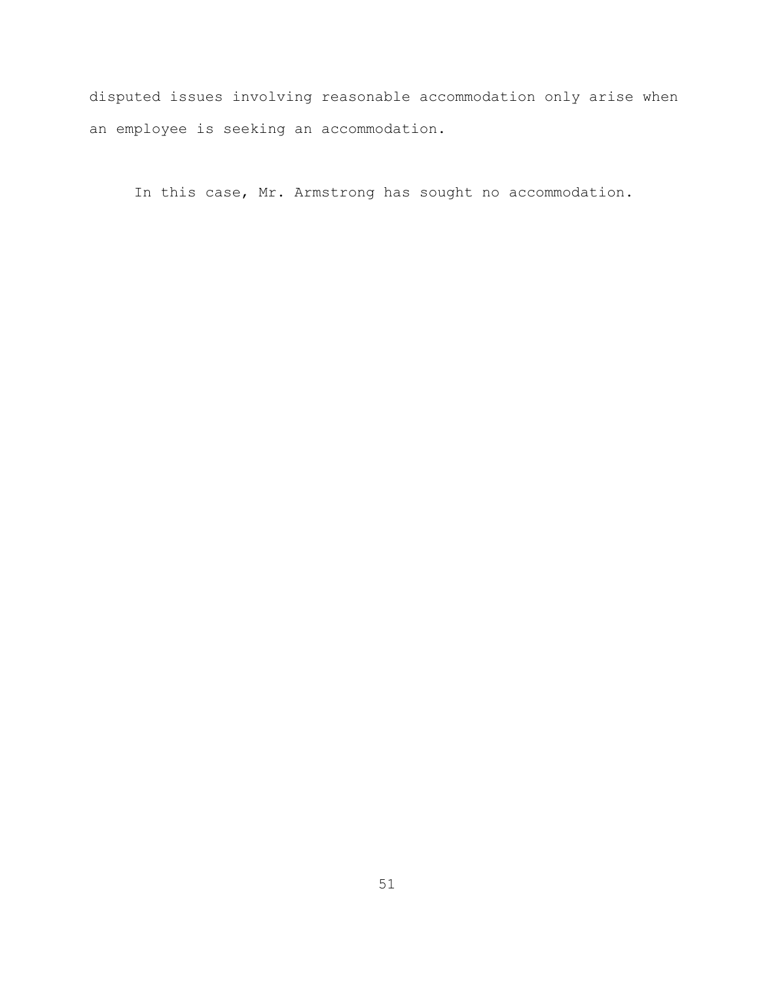disputed issues involving reasonable accommodation only arise when an employee is seeking an accommodation.

In this case, Mr. Armstrong has sought no accommodation.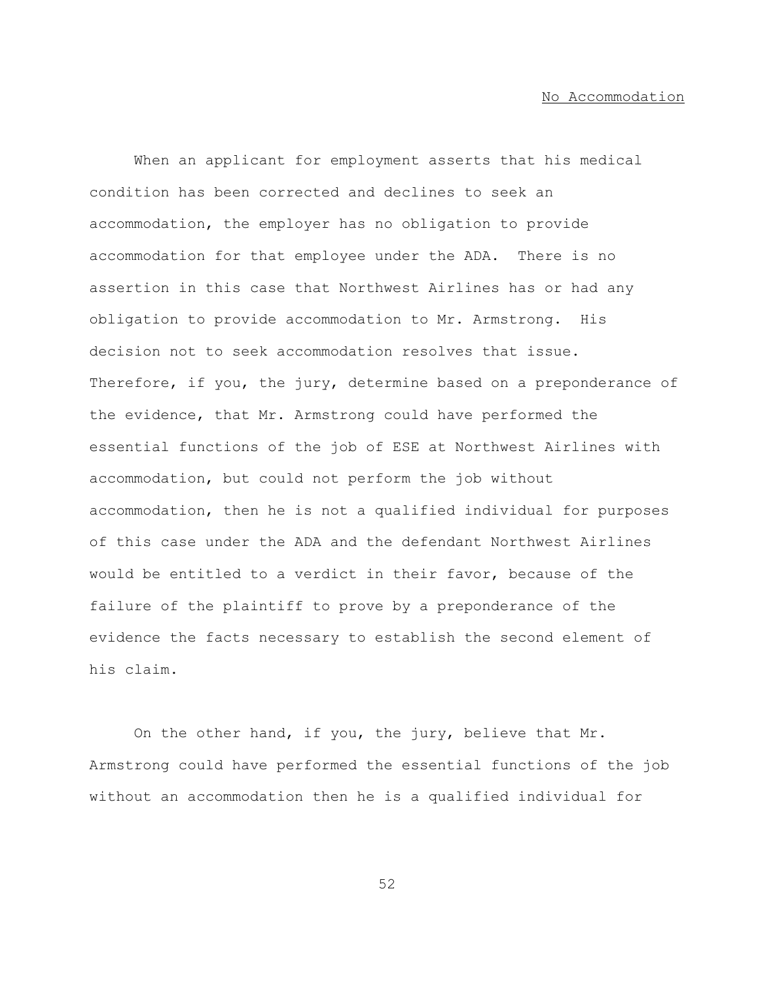When an applicant for employment asserts that his medical condition has been corrected and declines to seek an accommodation, the employer has no obligation to provide accommodation for that employee under the ADA. There is no assertion in this case that Northwest Airlines has or had any obligation to provide accommodation to Mr. Armstrong. His decision not to seek accommodation resolves that issue. Therefore, if you, the jury, determine based on a preponderance of the evidence, that Mr. Armstrong could have performed the essential functions of the job of ESE at Northwest Airlines with accommodation, but could not perform the job without accommodation, then he is not a qualified individual for purposes of this case under the ADA and the defendant Northwest Airlines would be entitled to a verdict in their favor, because of the failure of the plaintiff to prove by a preponderance of the evidence the facts necessary to establish the second element of his claim.

On the other hand, if you, the jury, believe that Mr. Armstrong could have performed the essential functions of the job without an accommodation then he is a qualified individual for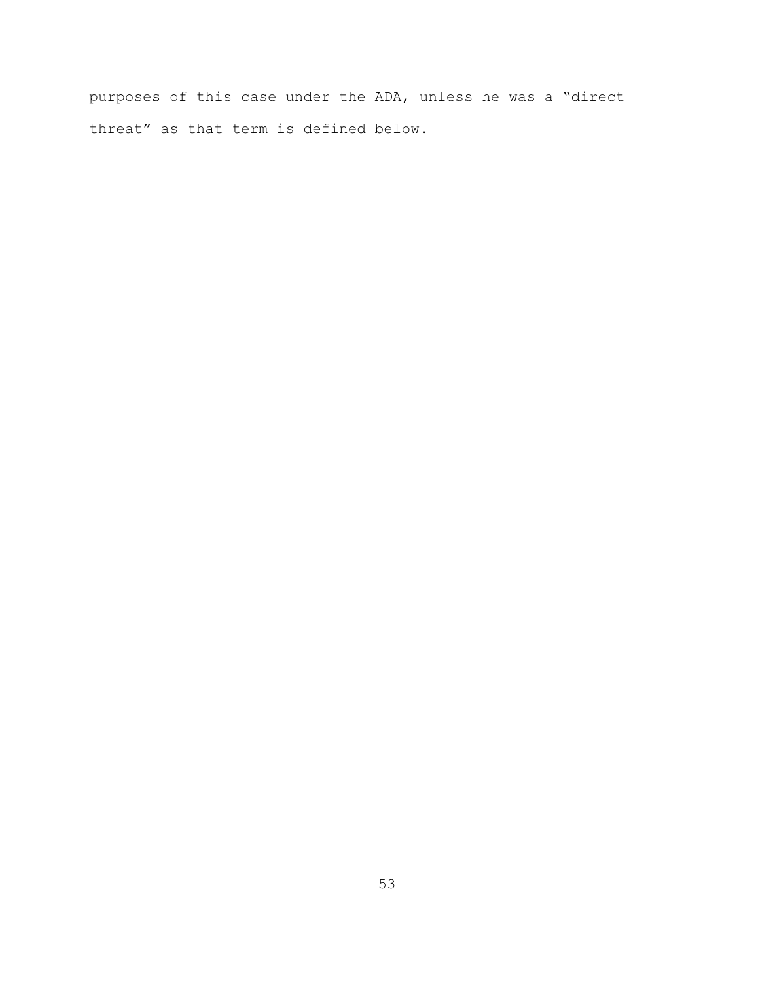purposes of this case under the ADA, unless he was a "direct threat" as that term is defined below.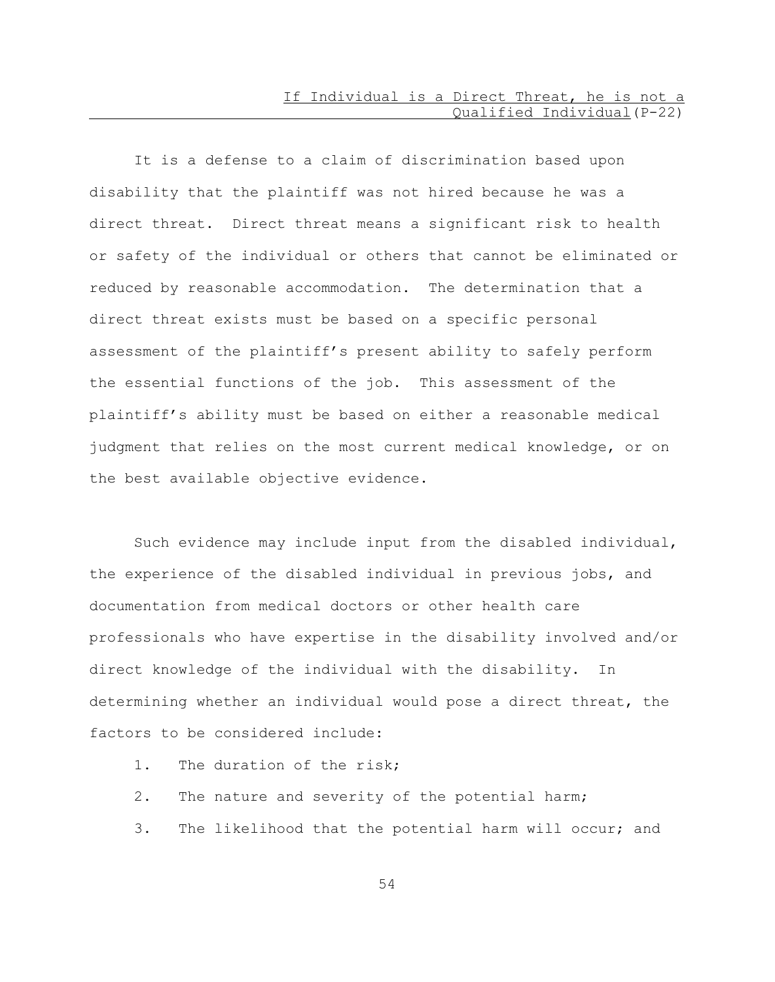It is a defense to a claim of discrimination based upon disability that the plaintiff was not hired because he was a direct threat. Direct threat means a significant risk to health or safety of the individual or others that cannot be eliminated or reduced by reasonable accommodation. The determination that a direct threat exists must be based on a specific personal assessment of the plaintiff's present ability to safely perform the essential functions of the job. This assessment of the plaintiff's ability must be based on either a reasonable medical judgment that relies on the most current medical knowledge, or on the best available objective evidence.

Such evidence may include input from the disabled individual, the experience of the disabled individual in previous jobs, and documentation from medical doctors or other health care professionals who have expertise in the disability involved and/or direct knowledge of the individual with the disability. In determining whether an individual would pose a direct threat, the factors to be considered include:

- 1. The duration of the risk;
- 2. The nature and severity of the potential harm;
- 3. The likelihood that the potential harm will occur; and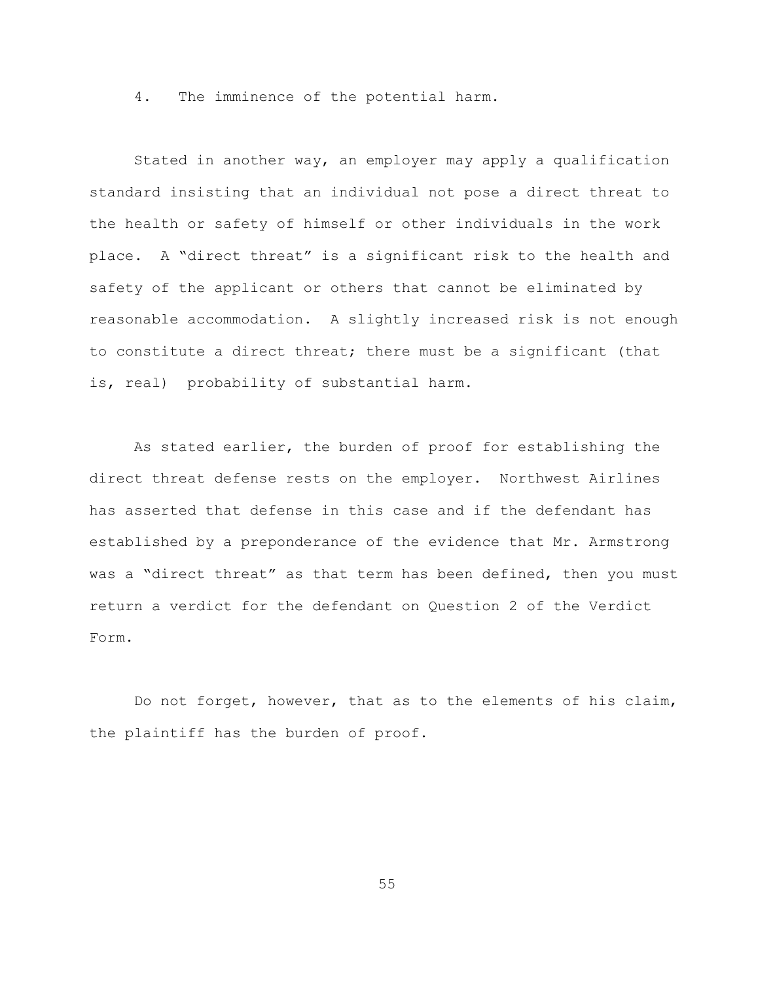4. The imminence of the potential harm.

Stated in another way, an employer may apply a qualification standard insisting that an individual not pose a direct threat to the health or safety of himself or other individuals in the work place. A "direct threat" is a significant risk to the health and safety of the applicant or others that cannot be eliminated by reasonable accommodation. A slightly increased risk is not enough to constitute a direct threat; there must be a significant (that is, real) probability of substantial harm.

As stated earlier, the burden of proof for establishing the direct threat defense rests on the employer. Northwest Airlines has asserted that defense in this case and if the defendant has established by a preponderance of the evidence that Mr. Armstrong was a "direct threat" as that term has been defined, then you must return a verdict for the defendant on Question 2 of the Verdict Form.

Do not forget, however, that as to the elements of his claim, the plaintiff has the burden of proof.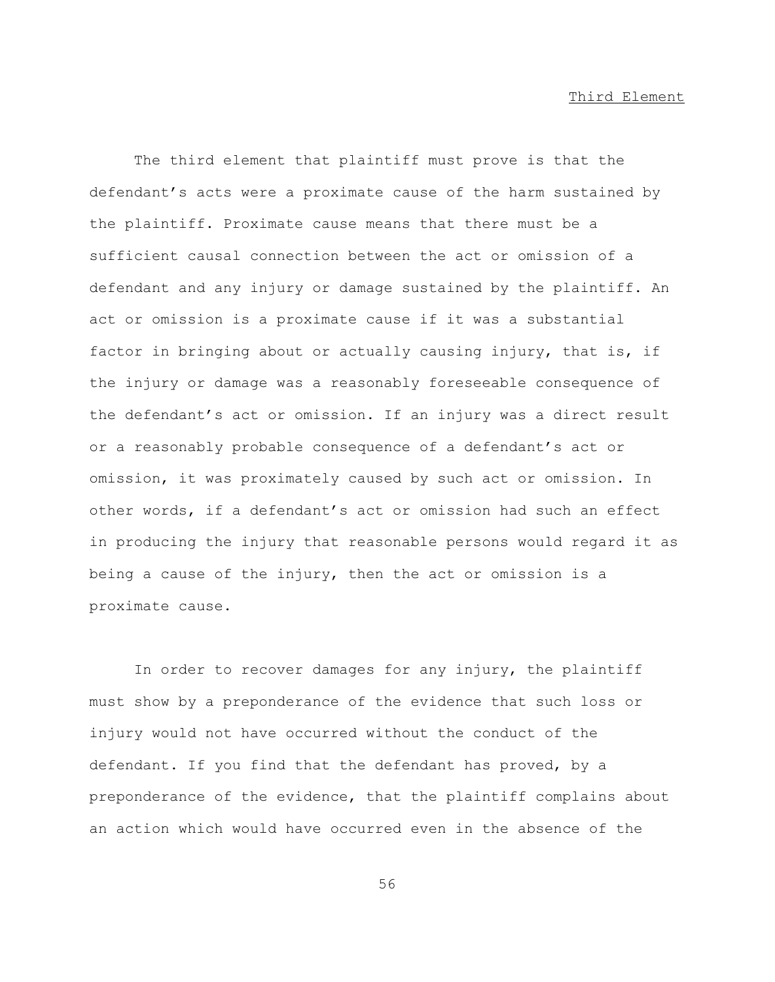The third element that plaintiff must prove is that the defendant's acts were a proximate cause of the harm sustained by the plaintiff. Proximate cause means that there must be a sufficient causal connection between the act or omission of a defendant and any injury or damage sustained by the plaintiff. An act or omission is a proximate cause if it was a substantial factor in bringing about or actually causing injury, that is, if the injury or damage was a reasonably foreseeable consequence of the defendant's act or omission. If an injury was a direct result or a reasonably probable consequence of a defendant's act or omission, it was proximately caused by such act or omission. In other words, if a defendant's act or omission had such an effect in producing the injury that reasonable persons would regard it as being a cause of the injury, then the act or omission is a proximate cause.

In order to recover damages for any injury, the plaintiff must show by a preponderance of the evidence that such loss or injury would not have occurred without the conduct of the defendant. If you find that the defendant has proved, by a preponderance of the evidence, that the plaintiff complains about an action which would have occurred even in the absence of the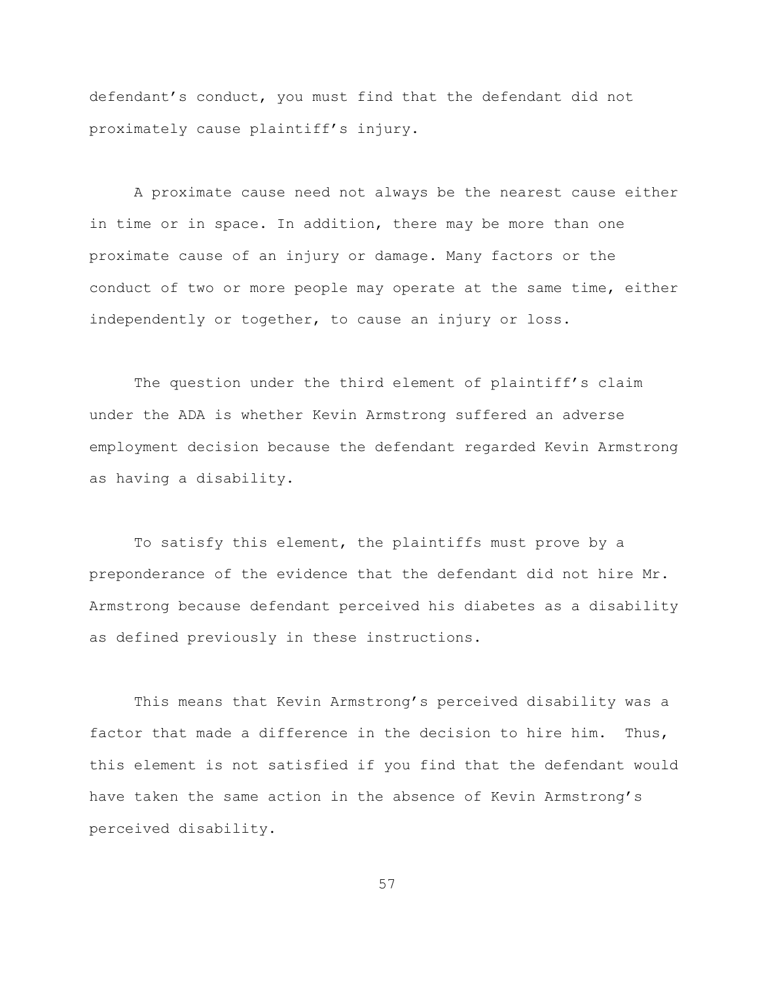defendant's conduct, you must find that the defendant did not proximately cause plaintiff's injury.

A proximate cause need not always be the nearest cause either in time or in space. In addition, there may be more than one proximate cause of an injury or damage. Many factors or the conduct of two or more people may operate at the same time, either independently or together, to cause an injury or loss.

The question under the third element of plaintiff's claim under the ADA is whether Kevin Armstrong suffered an adverse employment decision because the defendant regarded Kevin Armstrong as having a disability.

To satisfy this element, the plaintiffs must prove by a preponderance of the evidence that the defendant did not hire Mr. Armstrong because defendant perceived his diabetes as a disability as defined previously in these instructions.

This means that Kevin Armstrong's perceived disability was a factor that made a difference in the decision to hire him. Thus, this element is not satisfied if you find that the defendant would have taken the same action in the absence of Kevin Armstrong's perceived disability.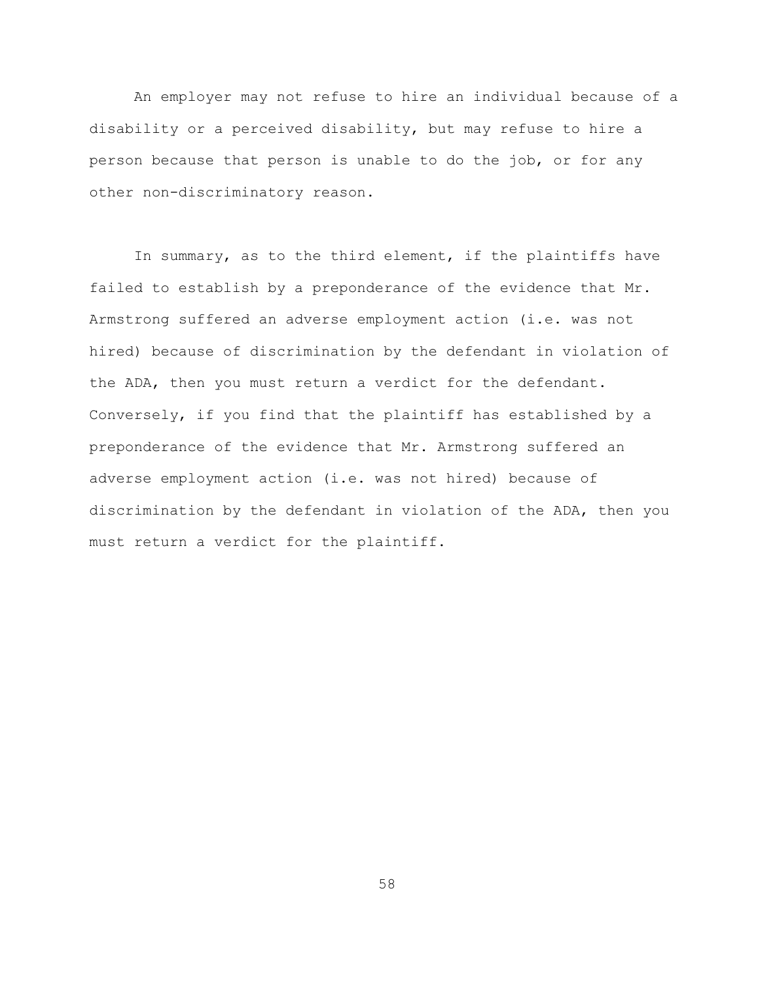An employer may not refuse to hire an individual because of a disability or a perceived disability, but may refuse to hire a person because that person is unable to do the job, or for any other non-discriminatory reason.

In summary, as to the third element, if the plaintiffs have failed to establish by a preponderance of the evidence that Mr. Armstrong suffered an adverse employment action (i.e. was not hired) because of discrimination by the defendant in violation of the ADA, then you must return a verdict for the defendant. Conversely, if you find that the plaintiff has established by a preponderance of the evidence that Mr. Armstrong suffered an adverse employment action (i.e. was not hired) because of discrimination by the defendant in violation of the ADA, then you must return a verdict for the plaintiff.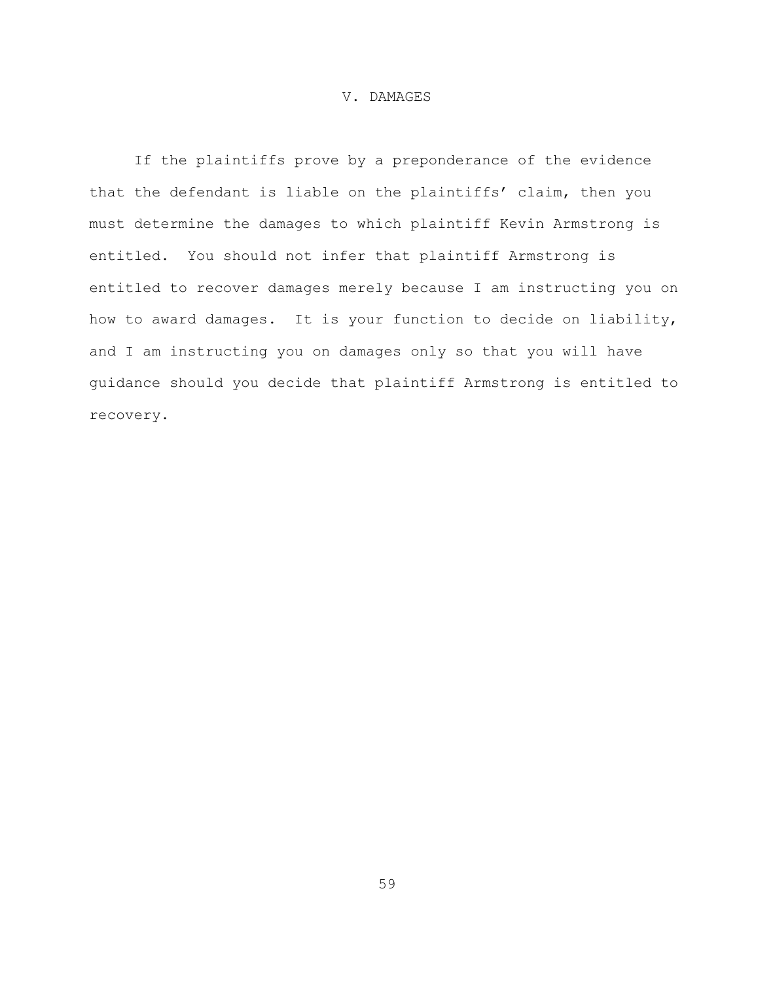#### V. DAMAGES

If the plaintiffs prove by a preponderance of the evidence that the defendant is liable on the plaintiffs' claim, then you must determine the damages to which plaintiff Kevin Armstrong is entitled. You should not infer that plaintiff Armstrong is entitled to recover damages merely because I am instructing you on how to award damages. It is your function to decide on liability, and I am instructing you on damages only so that you will have guidance should you decide that plaintiff Armstrong is entitled to recovery.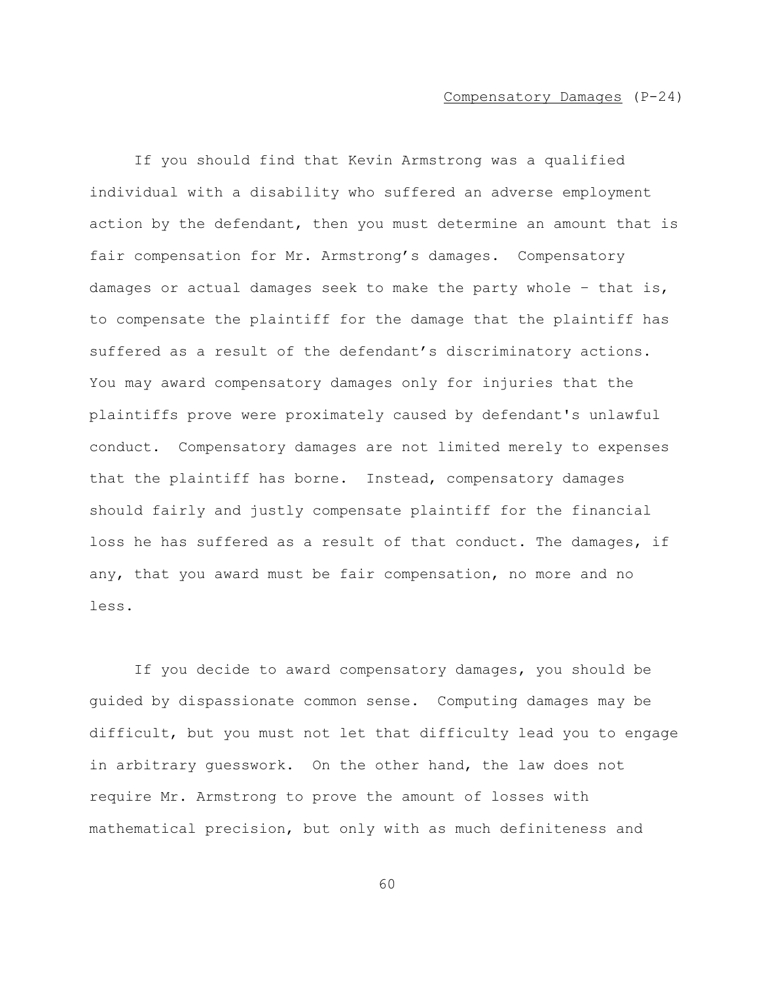If you should find that Kevin Armstrong was a qualified individual with a disability who suffered an adverse employment action by the defendant, then you must determine an amount that is fair compensation for Mr. Armstrong's damages. Compensatory damages or actual damages seek to make the party whole – that is, to compensate the plaintiff for the damage that the plaintiff has suffered as a result of the defendant's discriminatory actions. You may award compensatory damages only for injuries that the plaintiffs prove were proximately caused by defendant's unlawful conduct. Compensatory damages are not limited merely to expenses that the plaintiff has borne. Instead, compensatory damages should fairly and justly compensate plaintiff for the financial loss he has suffered as a result of that conduct. The damages, if any, that you award must be fair compensation, no more and no less.

If you decide to award compensatory damages, you should be guided by dispassionate common sense. Computing damages may be difficult, but you must not let that difficulty lead you to engage in arbitrary guesswork. On the other hand, the law does not require Mr. Armstrong to prove the amount of losses with mathematical precision, but only with as much definiteness and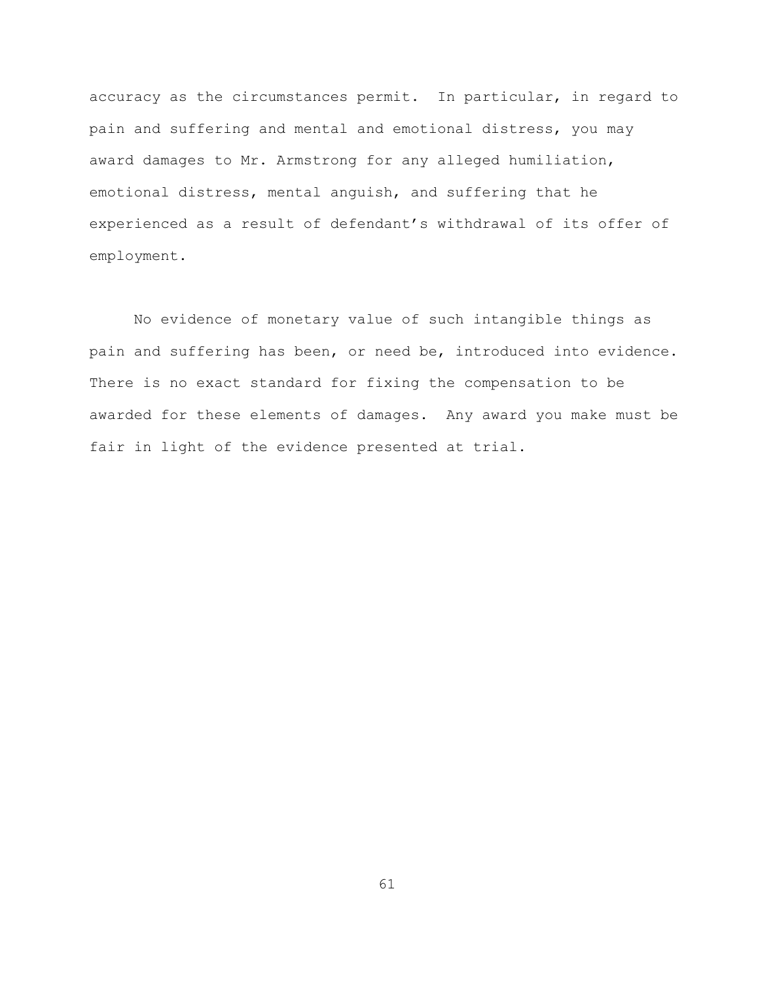accuracy as the circumstances permit. In particular, in regard to pain and suffering and mental and emotional distress, you may award damages to Mr. Armstrong for any alleged humiliation, emotional distress, mental anguish, and suffering that he experienced as a result of defendant's withdrawal of its offer of employment.

No evidence of monetary value of such intangible things as pain and suffering has been, or need be, introduced into evidence. There is no exact standard for fixing the compensation to be awarded for these elements of damages. Any award you make must be fair in light of the evidence presented at trial.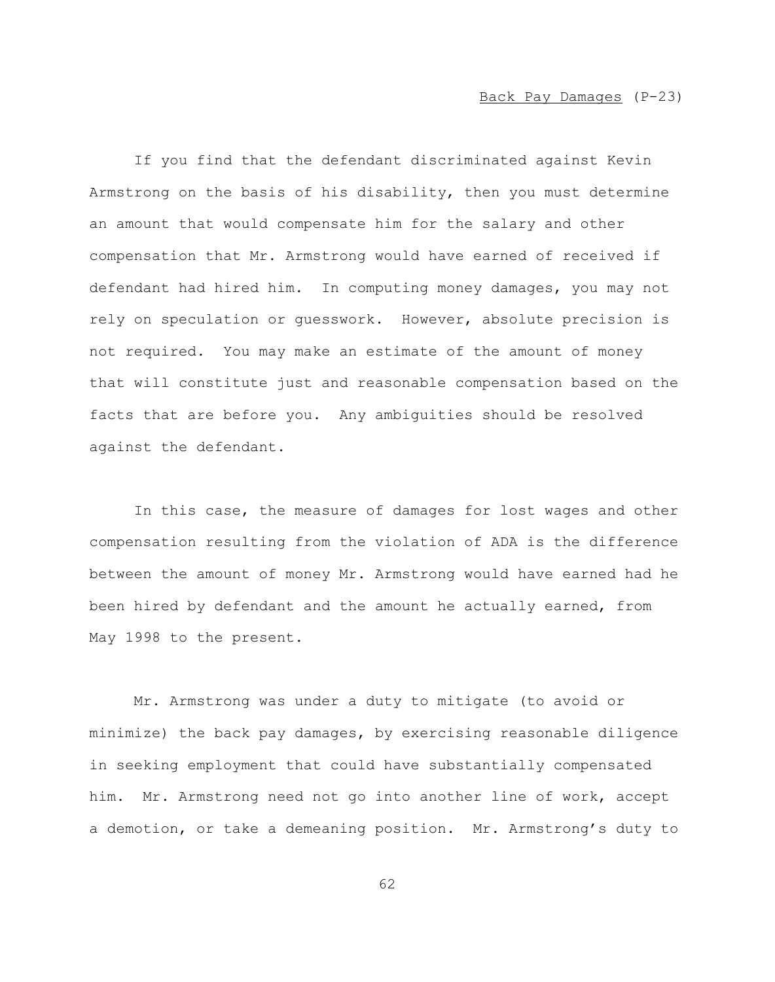If you find that the defendant discriminated against Kevin Armstrong on the basis of his disability, then you must determine an amount that would compensate him for the salary and other compensation that Mr. Armstrong would have earned of received if defendant had hired him. In computing money damages, you may not rely on speculation or guesswork. However, absolute precision is not required. You may make an estimate of the amount of money that will constitute just and reasonable compensation based on the facts that are before you. Any ambiguities should be resolved against the defendant.

In this case, the measure of damages for lost wages and other compensation resulting from the violation of ADA is the difference between the amount of money Mr. Armstrong would have earned had he been hired by defendant and the amount he actually earned, from May 1998 to the present.

Mr. Armstrong was under a duty to mitigate (to avoid or minimize) the back pay damages, by exercising reasonable diligence in seeking employment that could have substantially compensated him. Mr. Armstrong need not go into another line of work, accept a demotion, or take a demeaning position. Mr. Armstrong's duty to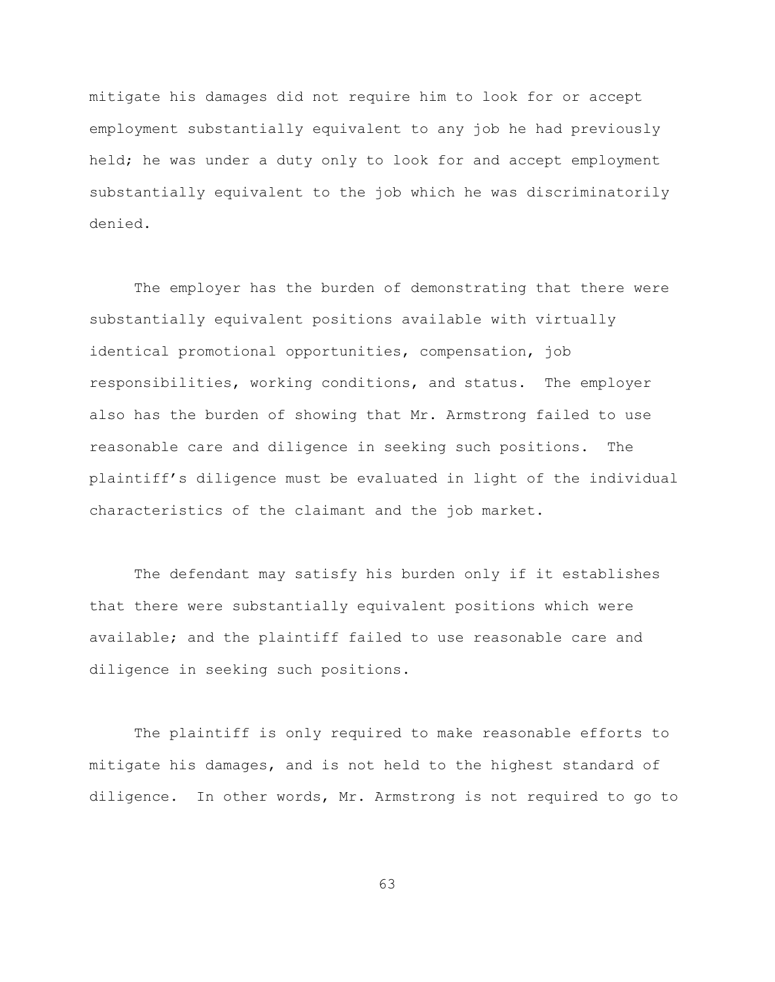mitigate his damages did not require him to look for or accept employment substantially equivalent to any job he had previously held; he was under a duty only to look for and accept employment substantially equivalent to the job which he was discriminatorily denied.

The employer has the burden of demonstrating that there were substantially equivalent positions available with virtually identical promotional opportunities, compensation, job responsibilities, working conditions, and status. The employer also has the burden of showing that Mr. Armstrong failed to use reasonable care and diligence in seeking such positions. The plaintiff's diligence must be evaluated in light of the individual characteristics of the claimant and the job market.

The defendant may satisfy his burden only if it establishes that there were substantially equivalent positions which were available; and the plaintiff failed to use reasonable care and diligence in seeking such positions.

The plaintiff is only required to make reasonable efforts to mitigate his damages, and is not held to the highest standard of diligence. In other words, Mr. Armstrong is not required to go to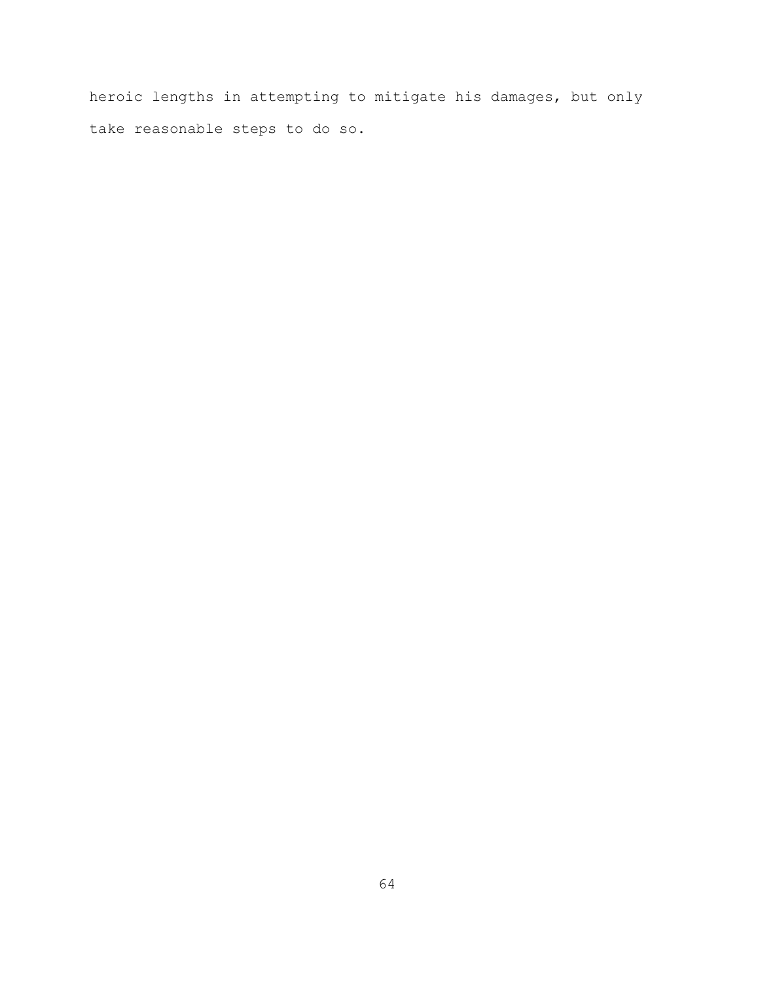heroic lengths in attempting to mitigate his damages, but only take reasonable steps to do so.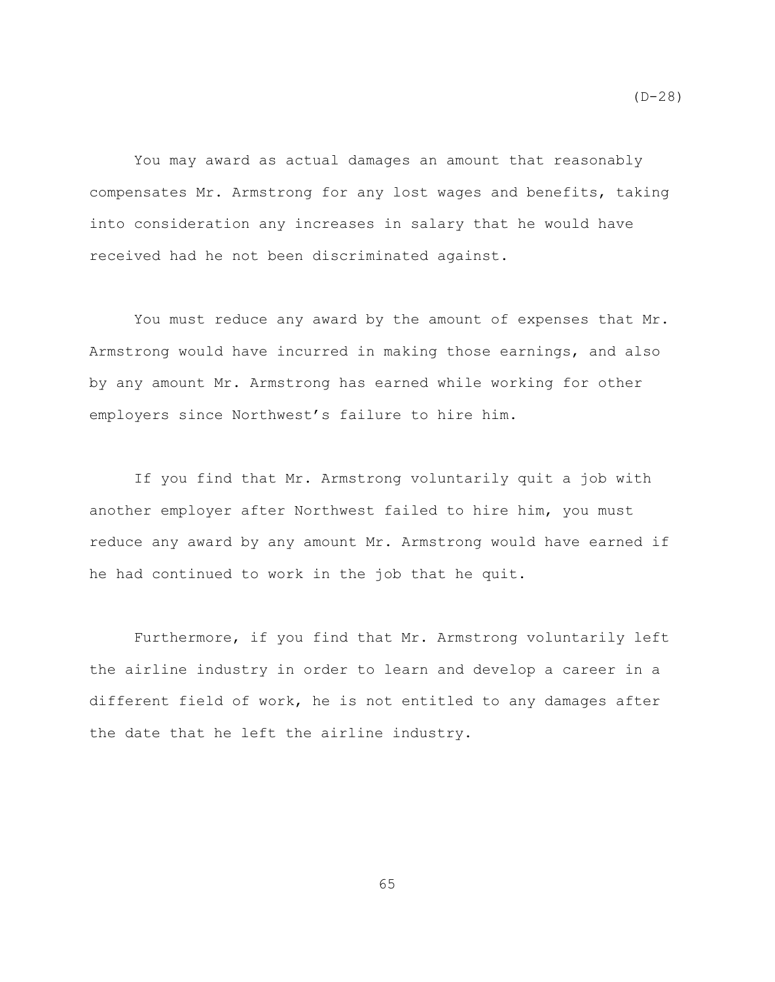You may award as actual damages an amount that reasonably compensates Mr. Armstrong for any lost wages and benefits, taking into consideration any increases in salary that he would have received had he not been discriminated against.

You must reduce any award by the amount of expenses that Mr. Armstrong would have incurred in making those earnings, and also by any amount Mr. Armstrong has earned while working for other employers since Northwest's failure to hire him.

If you find that Mr. Armstrong voluntarily quit a job with another employer after Northwest failed to hire him, you must reduce any award by any amount Mr. Armstrong would have earned if he had continued to work in the job that he quit.

Furthermore, if you find that Mr. Armstrong voluntarily left the airline industry in order to learn and develop a career in a different field of work, he is not entitled to any damages after the date that he left the airline industry.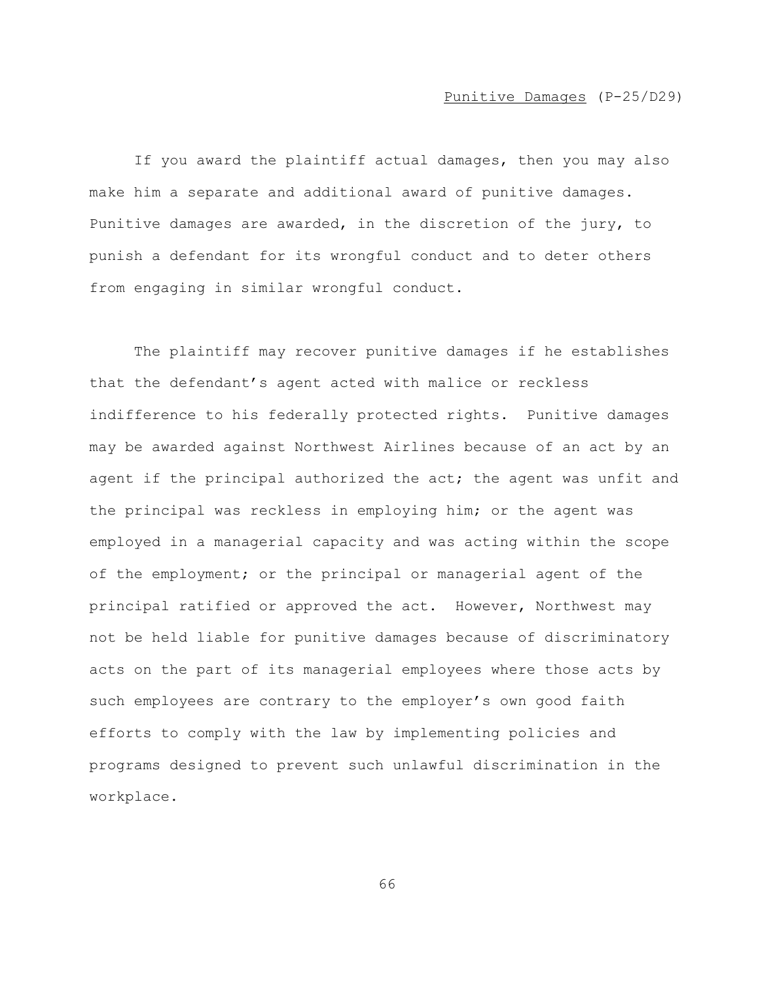If you award the plaintiff actual damages, then you may also make him a separate and additional award of punitive damages. Punitive damages are awarded, in the discretion of the jury, to punish a defendant for its wrongful conduct and to deter others from engaging in similar wrongful conduct.

The plaintiff may recover punitive damages if he establishes that the defendant's agent acted with malice or reckless indifference to his federally protected rights. Punitive damages may be awarded against Northwest Airlines because of an act by an agent if the principal authorized the act; the agent was unfit and the principal was reckless in employing him; or the agent was employed in a managerial capacity and was acting within the scope of the employment; or the principal or managerial agent of the principal ratified or approved the act. However, Northwest may not be held liable for punitive damages because of discriminatory acts on the part of its managerial employees where those acts by such employees are contrary to the employer's own good faith efforts to comply with the law by implementing policies and programs designed to prevent such unlawful discrimination in the workplace.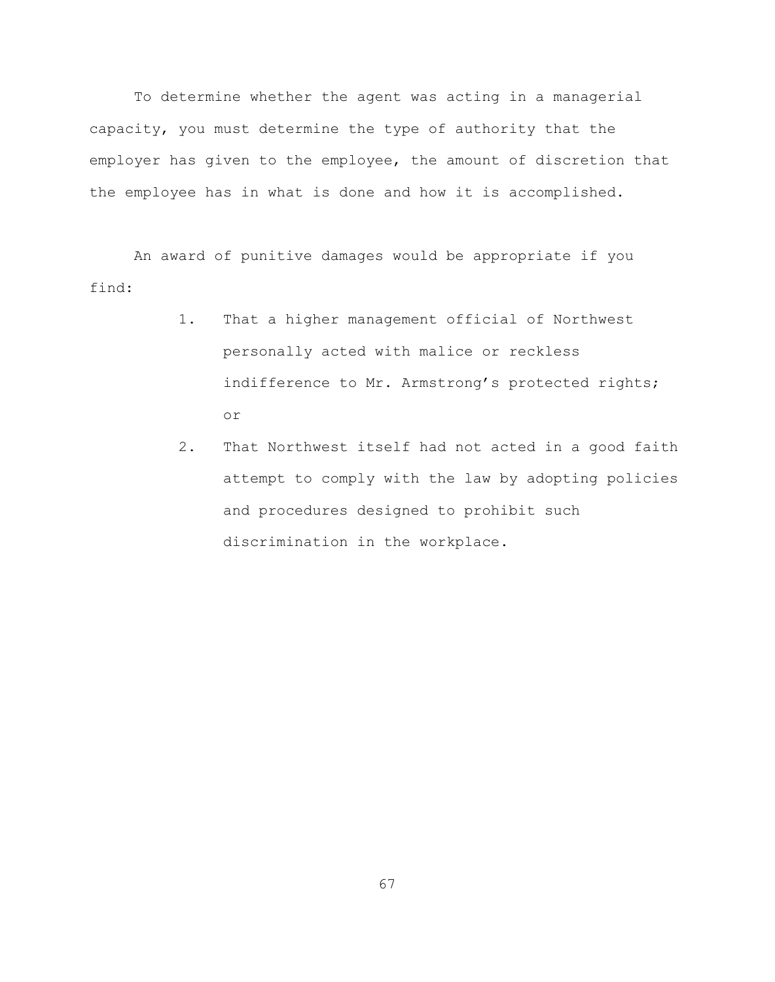To determine whether the agent was acting in a managerial capacity, you must determine the type of authority that the employer has given to the employee, the amount of discretion that the employee has in what is done and how it is accomplished.

An award of punitive damages would be appropriate if you find:

- 1. That a higher management official of Northwest personally acted with malice or reckless indifference to Mr. Armstrong's protected rights; or
- 2. That Northwest itself had not acted in a good faith attempt to comply with the law by adopting policies and procedures designed to prohibit such discrimination in the workplace.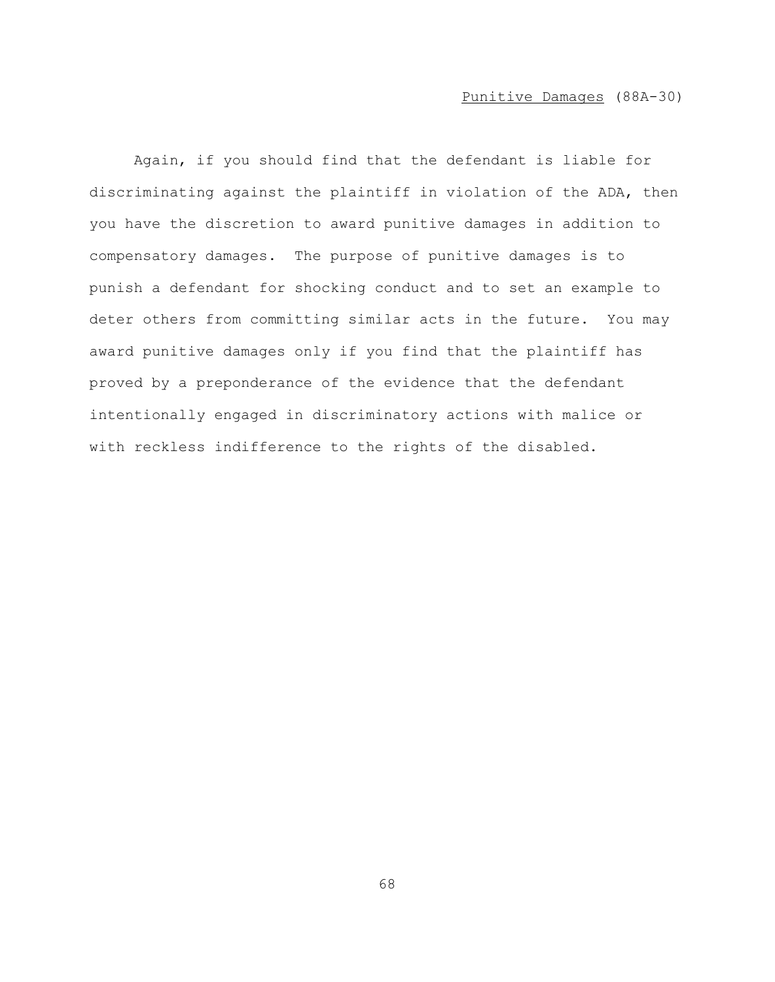Again, if you should find that the defendant is liable for discriminating against the plaintiff in violation of the ADA, then you have the discretion to award punitive damages in addition to compensatory damages. The purpose of punitive damages is to punish a defendant for shocking conduct and to set an example to deter others from committing similar acts in the future. You may award punitive damages only if you find that the plaintiff has proved by a preponderance of the evidence that the defendant intentionally engaged in discriminatory actions with malice or with reckless indifference to the rights of the disabled.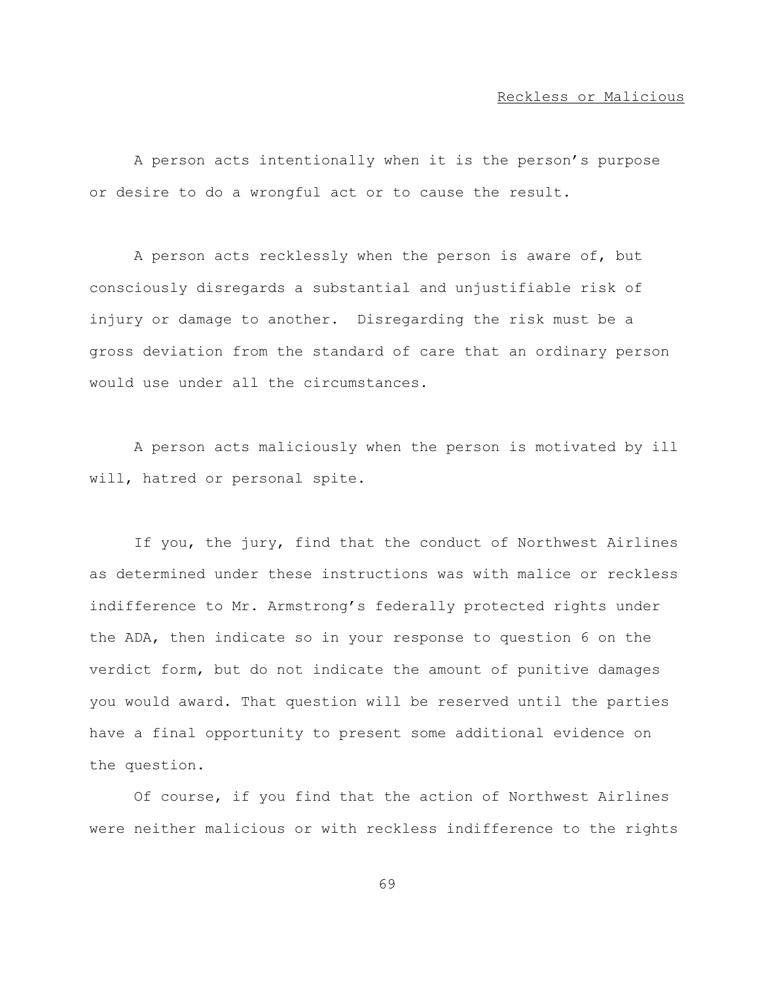#### Reckless or Malicious

A person acts intentionally when it is the person's purpose or desire to do a wrongful act or to cause the result.

A person acts recklessly when the person is aware of, but consciously disregards a substantial and unjustifiable risk of injury or damage to another. Disregarding the risk must be a gross deviation from the standard of care that an ordinary person would use under all the circumstances.

A person acts maliciously when the person is motivated by ill will, hatred or personal spite.

If you, the jury, find that the conduct of Northwest Airlines as determined under these instructions was with malice or reckless indifference to Mr. Armstrong's federally protected rights under the ADA, then indicate so in your response to question 6 on the verdict form, but do not indicate the amount of punitive damages you would award. That question will be reserved until the parties have a final opportunity to present some additional evidence on the question.

Of course, if you find that the action of Northwest Airlines were neither malicious or with reckless indifference to the rights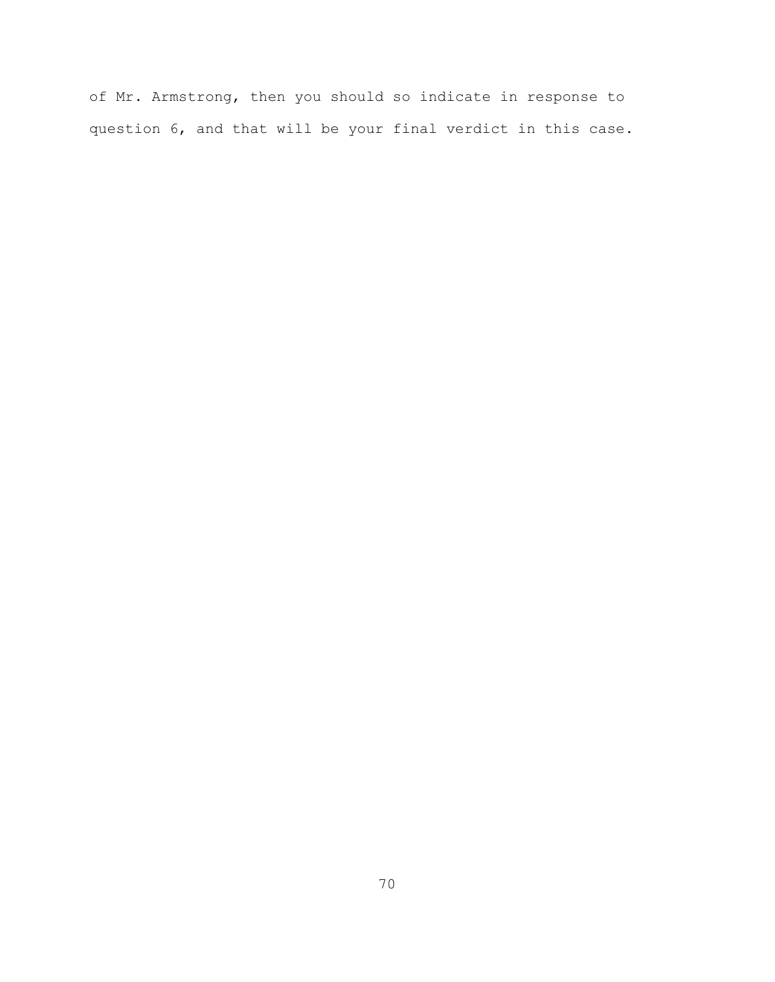of Mr. Armstrong, then you should so indicate in response to question 6, and that will be your final verdict in this case.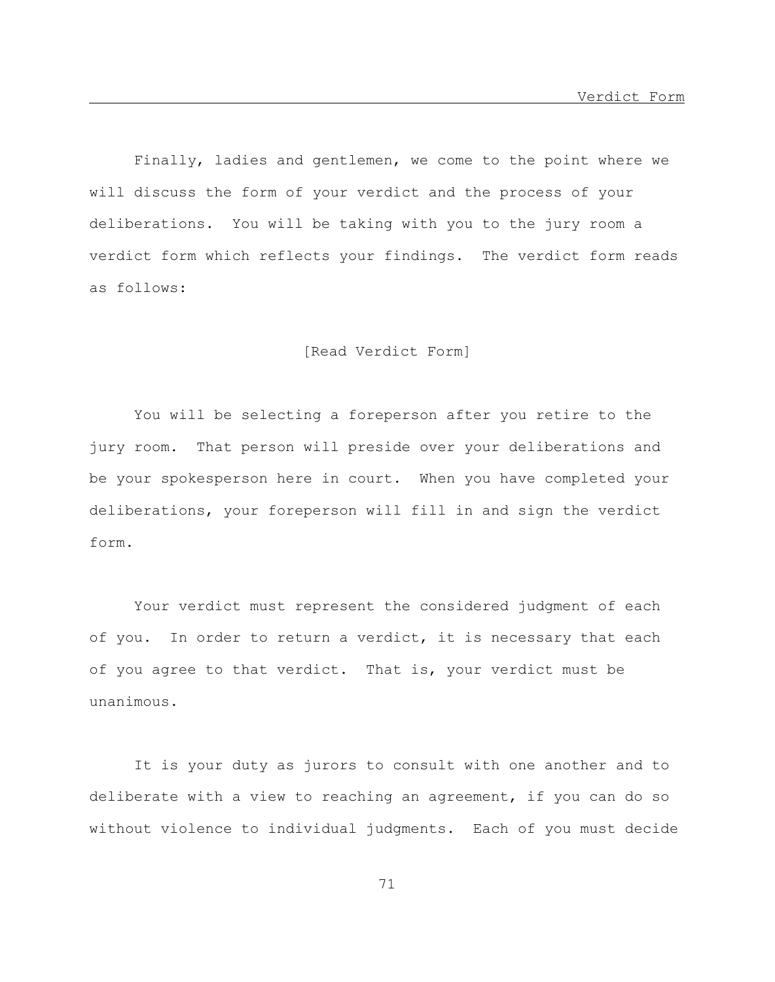Finally, ladies and gentlemen, we come to the point where we will discuss the form of your verdict and the process of your deliberations. You will be taking with you to the jury room a verdict form which reflects your findings. The verdict form reads as follows:

#### [Read Verdict Form]

You will be selecting a foreperson after you retire to the jury room. That person will preside over your deliberations and be your spokesperson here in court. When you have completed your deliberations, your foreperson will fill in and sign the verdict form.

Your verdict must represent the considered judgment of each of you. In order to return a verdict, it is necessary that each of you agree to that verdict. That is, your verdict must be unanimous.

It is your duty as jurors to consult with one another and to deliberate with a view to reaching an agreement, if you can do so without violence to individual judgments. Each of you must decide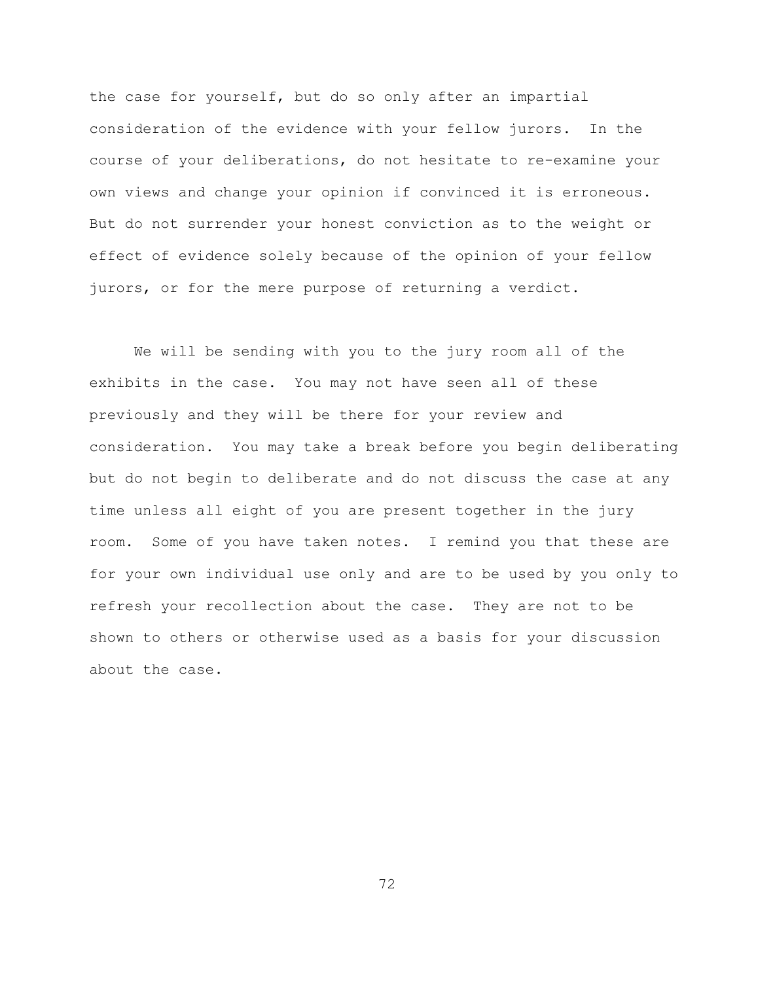the case for yourself, but do so only after an impartial consideration of the evidence with your fellow jurors. In the course of your deliberations, do not hesitate to re-examine your own views and change your opinion if convinced it is erroneous. But do not surrender your honest conviction as to the weight or effect of evidence solely because of the opinion of your fellow jurors, or for the mere purpose of returning a verdict.

We will be sending with you to the jury room all of the exhibits in the case. You may not have seen all of these previously and they will be there for your review and consideration. You may take a break before you begin deliberating but do not begin to deliberate and do not discuss the case at any time unless all eight of you are present together in the jury room. Some of you have taken notes. I remind you that these are for your own individual use only and are to be used by you only to refresh your recollection about the case. They are not to be shown to others or otherwise used as a basis for your discussion about the case.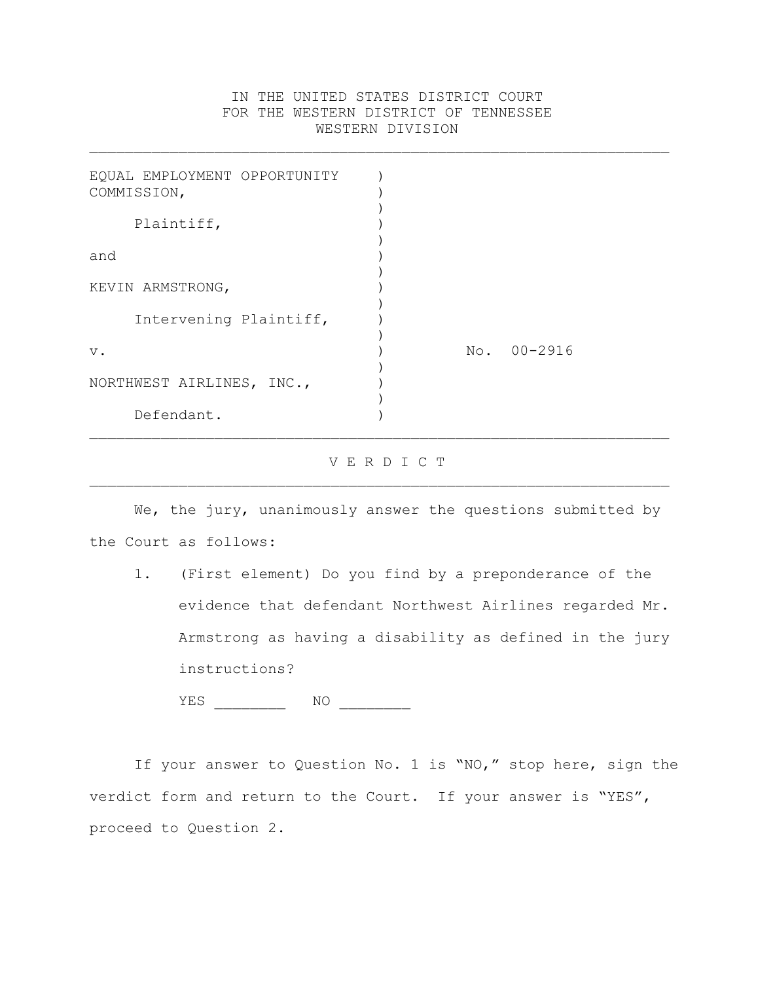## IN THE UNITED STATES DISTRICT COURT FOR THE WESTERN DISTRICT OF TENNESSEE WESTERN DIVISION

 $\mathcal{L}_\text{max} = \mathcal{L}_\text{max} = \mathcal{L}_\text{max} = \mathcal{L}_\text{max} = \mathcal{L}_\text{max} = \mathcal{L}_\text{max} = \mathcal{L}_\text{max} = \mathcal{L}_\text{max} = \mathcal{L}_\text{max} = \mathcal{L}_\text{max} = \mathcal{L}_\text{max} = \mathcal{L}_\text{max} = \mathcal{L}_\text{max} = \mathcal{L}_\text{max} = \mathcal{L}_\text{max} = \mathcal{L}_\text{max} = \mathcal{L}_\text{max} = \mathcal{L}_\text{max} = \mathcal{$ 

| EQUAL EMPLOYMENT OPPORTUNITY<br>COMMISSION, |             |
|---------------------------------------------|-------------|
| Plaintiff,                                  |             |
| and                                         |             |
| KEVIN ARMSTRONG,                            |             |
| Intervening Plaintiff,                      |             |
| $V$ .                                       | No. 00-2916 |
| NORTHWEST AIRLINES, INC.,                   |             |
| Defendant.                                  |             |

## V E R D I C T  $\mathcal{L}_\text{max} = \mathcal{L}_\text{max} = \mathcal{L}_\text{max} = \mathcal{L}_\text{max} = \mathcal{L}_\text{max} = \mathcal{L}_\text{max} = \mathcal{L}_\text{max} = \mathcal{L}_\text{max} = \mathcal{L}_\text{max} = \mathcal{L}_\text{max} = \mathcal{L}_\text{max} = \mathcal{L}_\text{max} = \mathcal{L}_\text{max} = \mathcal{L}_\text{max} = \mathcal{L}_\text{max} = \mathcal{L}_\text{max} = \mathcal{L}_\text{max} = \mathcal{L}_\text{max} = \mathcal{$

We, the jury, unanimously answer the questions submitted by the Court as follows:

1. (First element) Do you find by a preponderance of the evidence that defendant Northwest Airlines regarded Mr. Armstrong as having a disability as defined in the jury instructions?

YES \_\_\_\_\_\_\_\_ NO \_\_\_\_\_\_\_\_

If your answer to Question No. 1 is "NO," stop here, sign the verdict form and return to the Court. If your answer is "YES", proceed to Question 2.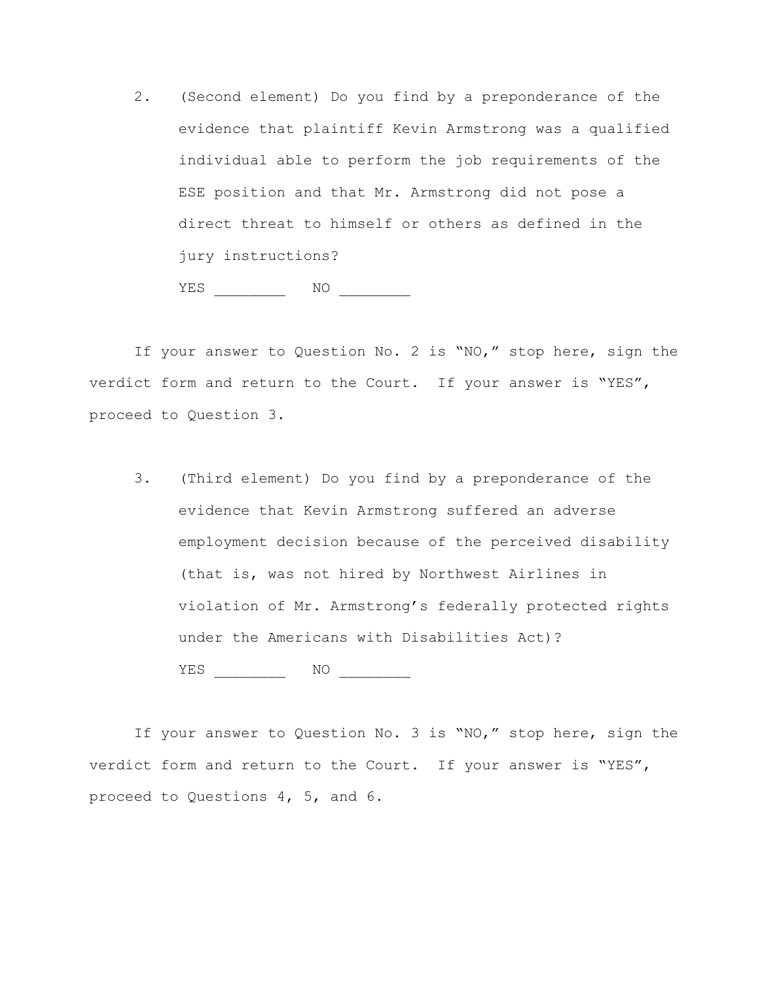2. (Second element) Do you find by a preponderance of the evidence that plaintiff Kevin Armstrong was a qualified individual able to perform the job requirements of the ESE position and that Mr. Armstrong did not pose a direct threat to himself or others as defined in the jury instructions?

YES \_\_\_\_\_\_\_\_ NO \_\_\_\_\_\_\_\_

If your answer to Question No. 2 is "NO," stop here, sign the verdict form and return to the Court. If your answer is "YES", proceed to Question 3.

3. (Third element) Do you find by a preponderance of the evidence that Kevin Armstrong suffered an adverse employment decision because of the perceived disability (that is, was not hired by Northwest Airlines in violation of Mr. Armstrong's federally protected rights under the Americans with Disabilities Act)?

YES \_\_\_\_\_\_\_\_ NO \_\_\_\_\_\_\_\_

If your answer to Question No. 3 is "NO," stop here, sign the verdict form and return to the Court. If your answer is "YES", proceed to Questions 4, 5, and 6.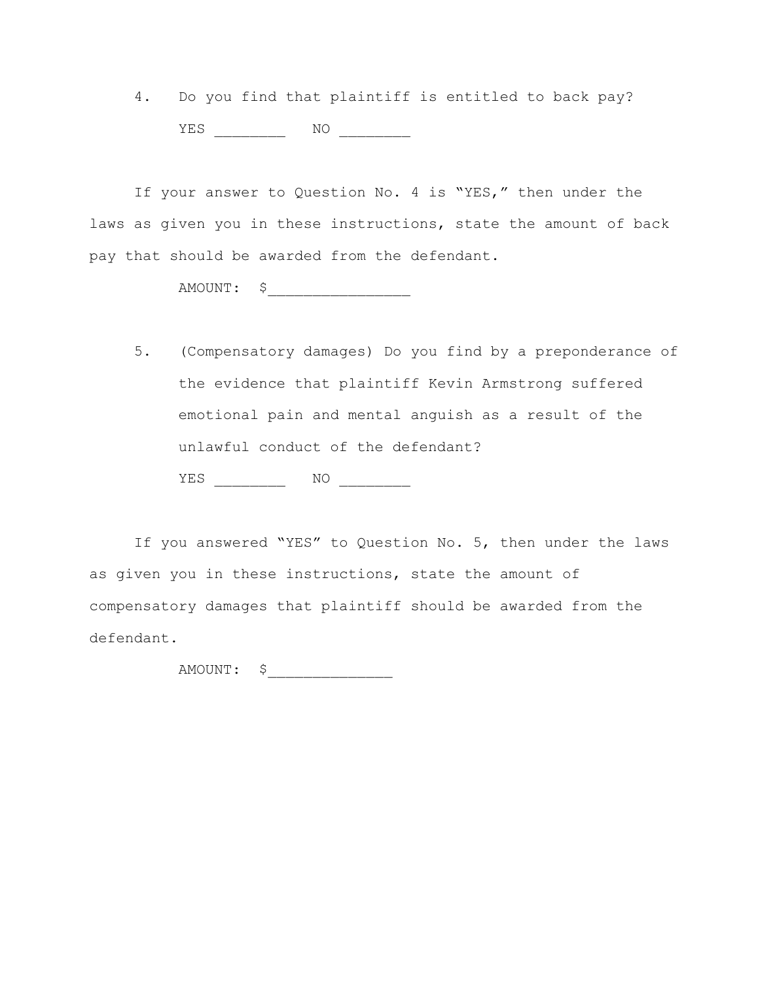4. Do you find that plaintiff is entitled to back pay? YES \_\_\_\_\_\_\_\_ NO \_\_\_\_\_\_\_\_

If your answer to Question No. 4 is "YES," then under the laws as given you in these instructions, state the amount of back pay that should be awarded from the defendant.

AMOUNT: \$\_\_\_\_\_\_\_\_\_\_\_\_\_\_\_\_

5. (Compensatory damages) Do you find by a preponderance of the evidence that plaintiff Kevin Armstrong suffered emotional pain and mental anguish as a result of the unlawful conduct of the defendant?

YES \_\_\_\_\_\_\_\_ NO \_\_\_\_\_\_\_\_

If you answered "YES" to Question No. 5, then under the laws as given you in these instructions, state the amount of compensatory damages that plaintiff should be awarded from the defendant.

AMOUNT: \$\_\_\_\_\_\_\_\_\_\_\_\_\_\_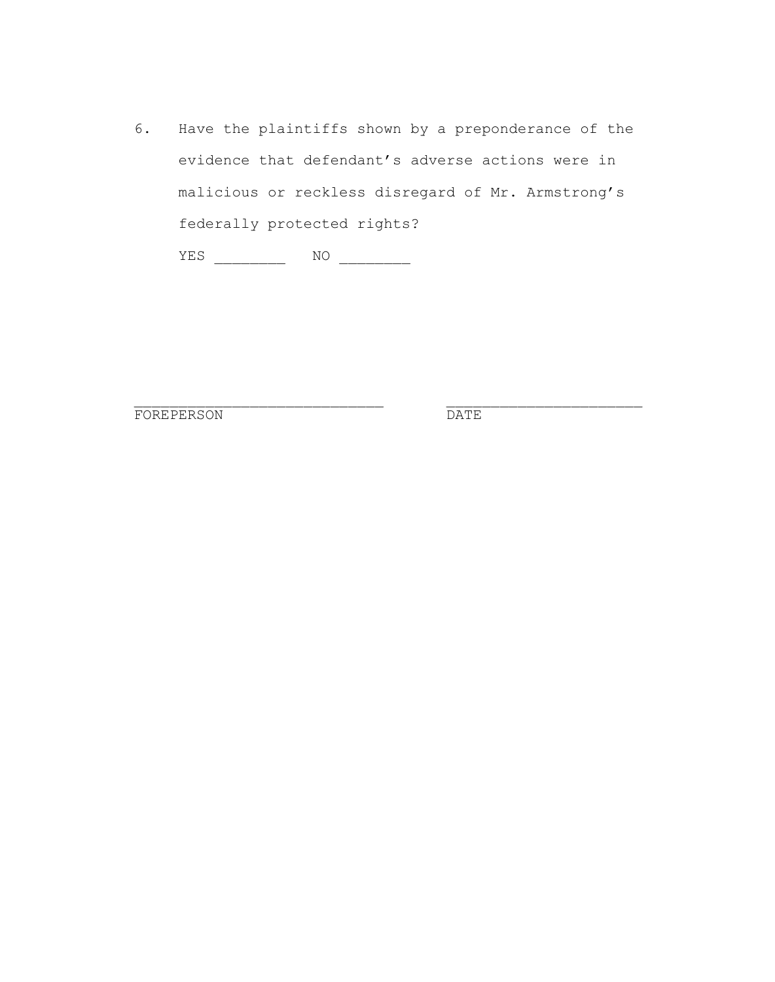6. Have the plaintiffs shown by a preponderance of the evidence that defendant's adverse actions were in malicious or reckless disregard of Mr. Armstrong's federally protected rights?

YES \_\_\_\_\_\_\_\_ NO \_\_\_\_\_\_\_\_

**FOREPERSON** DATE

 $\mathcal{L}_\text{max}$  and the contract of the contract of the contract of the contract of the contract of the contract of the contract of the contract of the contract of the contract of the contract of the contract of the contrac